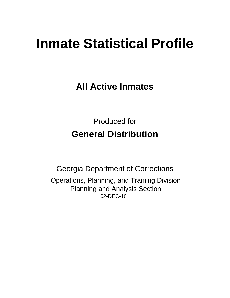# **Inmate Statistical Profile**

**All Active Inmates** 

**Produced for General Distribution** 

**Georgia Department of Corrections** Operations, Planning, and Training Division **Planning and Analysis Section** 02-DEC-10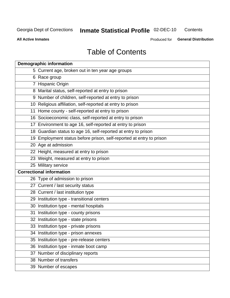**Inmate Statistical Profile 02-DEC-10** Contents

**All Active Inmates** 

Produced for General Distribution

# **Table of Contents**

| <b>Demographic information</b>                                       |
|----------------------------------------------------------------------|
| 5 Current age, broken out in ten year age groups                     |
| 6 Race group                                                         |
| 7 Hispanic Origin                                                    |
| 8 Marital status, self-reported at entry to prison                   |
| 9 Number of children, self-reported at entry to prison               |
| 10 Religious affiliation, self-reported at entry to prison           |
| 11 Home county - self-reported at entry to prison                    |
| 16 Socioeconomic class, self-reported at entry to prison             |
| 17 Environment to age 16, self-reported at entry to prison           |
| 18 Guardian status to age 16, self-reported at entry to prison       |
| 19 Employment status before prison, self-reported at entry to prison |
| 20 Age at admission                                                  |
| 22 Height, measured at entry to prison                               |
| 23 Weight, measured at entry to prison                               |
| 25 Military service                                                  |
| <b>Correctional information</b>                                      |
| 26 Type of admission to prison                                       |
| 27 Current / last security status                                    |
| 28 Current / last institution type                                   |
| 29 Institution type - transitional centers                           |
| 30 Institution type - mental hospitals                               |
| 31 Institution type - county prisons                                 |
| 32 Institution type - state prisons                                  |
| 33 Institution type - private prisons                                |
| 34 Institution type - prison annexes                                 |
| 35 Institution type - pre-release centers                            |
| 36 Institution type - inmate boot camp                               |
| 37 Number of disciplinary reports                                    |
| 38 Number of transfers                                               |
| 39 Number of escapes                                                 |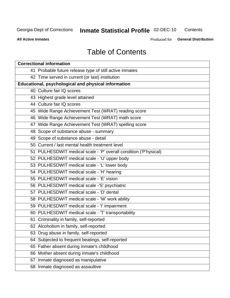# **Inmate Statistical Profile 02-DEC-10**

Contents

**All Active Inmates** 

Produced for General Distribution

# **Table of Contents**

| <b>Correctional information</b>                                  |
|------------------------------------------------------------------|
| 41 Probable future release type of still active inmates          |
| 42 Time served in current (or last) institution                  |
| Educational, psychological and physical information              |
| 40 Culture fair IQ scores                                        |
| 43 Highest grade level attained                                  |
| 44 Culture fair IQ scores                                        |
| 45 Wide Range Achievement Test (WRAT) reading score              |
| 46 Wide Range Achievement Test (WRAT) math score                 |
| 47 Wide Range Achievement Test (WRAT) spelling score             |
| 48 Scope of substance abuse - summary                            |
| 49 Scope of substance abuse - detail                             |
| 50 Current / last mental health treatment level                  |
| 51 PULHESDWIT medical scale - 'P' overall condition ('P'hysical) |
| 52 PULHESDWIT medical scale - 'U' upper body                     |
| 53 PULHESDWIT medical scale - 'L' lower body                     |
| 54 PULHESDWIT medical scale - 'H' hearing                        |
| 55 PULHESDWIT medical scale - 'E' vision                         |
| 56 PULHESDWIT medical scale -'S' psychiatric                     |
| 57 PULHESDWIT medical scale - 'D' dental                         |
| 58 PULHESDWIT medical scale - 'W' work ability                   |
| 59 PULHESDWIT medical scale - 'I' impairment                     |
| 60 PULHESDWIT medical scale - 'T' transportability               |
| 61 Criminality in family, self-reported                          |
| 62 Alcoholism in family, self-reported                           |
| 63 Drug abuse in family, self-reported                           |
| 64 Subjected to frequent beatings, self-reported                 |
| 65 Father absent during inmate's childhood                       |
| 66 Mother absent during inmate's childhood                       |
| 67 Inmate diagnosed as manipulative                              |
| 68 Inmate diagnosed as assaultive                                |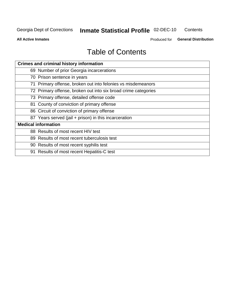# **Inmate Statistical Profile 02-DEC-10**

Contents

**All Active Inmates** 

Produced for General Distribution

# **Table of Contents**

| <b>Crimes and criminal history information</b>                 |
|----------------------------------------------------------------|
| 69 Number of prior Georgia incarcerations                      |
| 70 Prison sentence in years                                    |
| 71 Primary offense, broken out into felonies vs misdemeanors   |
| 72 Primary offense, broken out into six broad crime categories |
| 73 Primary offense, detailed offense code                      |
| 81 County of conviction of primary offense                     |
| 86 Circuit of conviction of primary offense                    |
| 87 Years served (jail + prison) in this incarceration          |
| <b>Medical information</b>                                     |
| 88 Results of most recent HIV test                             |
| 89 Results of most recent tuberculosis test                    |
| 90 Results of most recent syphilis test                        |
| 91 Results of most recent Hepatitis-C test                     |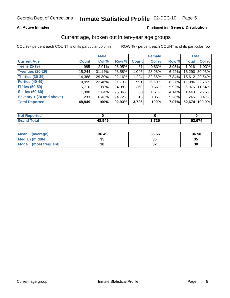### **All Active Inmates**

### Produced for General Distribution

### Current age, broken out in ten-year age groups

COL % - percent each COUNT is of its particular column

|                          |              | <b>Male</b> |        |                 | <b>Female</b> |          | <b>Total</b> |               |
|--------------------------|--------------|-------------|--------|-----------------|---------------|----------|--------------|---------------|
| <b>Current Age</b>       | <b>Count</b> | Col %       | Row %  | <b>Count</b>    | Col %         | Row %    | <b>Total</b> | Col %         |
| <b>Teens (1-19)</b>      | 985          | 2.01%       | 96.95% | 31              | 0.83%         | 3.05%    | 1,016        | 1.93%         |
| <b>Twenties (20-29)</b>  | 15,244       | 31.14%      | 93.58% | 1,046           | 28.08%        | 6.42%    | 16,290       | 30.93%        |
| <b>Thirties (30-39)</b>  | 14,388       | 29.39%      | 92.16% | 1,224           | 32.86%        | $7.84\%$ |              | 15,612 29.64% |
| <b>Forties (40-49)</b>   | 10,995       | 22.46%      | 91.73% | 991             | 26.60%        | 8.27%    |              | 11,986 22.76% |
| <b>Fifties (50-59)</b>   | 5,716        | 11.68%      | 94.08% | 360             | $9.66\%$      | 5.92%    | 6.076        | 11.54%        |
| <b>Sixties (60-69)</b>   | 1,388        | $2.84\%$    | 95.86% | 60              | 1.61%         | 4.14%    | 1,448        | 2.75%         |
| Seventy + (70 and above) | 233          | 0.48%       | 94.72% | 13 <sub>1</sub> | 0.35%         | 5.28%    | 246          | 0.47%         |
| <b>Total Reported</b>    | 48,949       | 100%        | 92.93% | 3,725           | 100%          | 7.07%    | 52,674       | 100.0%        |

| <b>Not Reported</b> |        |               |       |
|---------------------|--------|---------------|-------|
| Total<br>Cro        | 48,949 | つ フクロ<br>. 2J | .,674 |

| <b>Mean</b><br>(average) | 36.49    | 36.66 | 36.50 |
|--------------------------|----------|-------|-------|
| Median (middle)          | つん<br>vu | 36    | 35    |
| Mode<br>(most frequent)  | 30       | ◡▵    | 30    |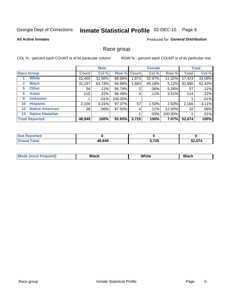#### Inmate Statistical Profile 02-DEC-10 Page 6

#### **All Active Inmates**

### **Produced for General Distribution**

### Race group

COL % - percent each COUNT is of its particular column

|         |                        | <b>Male</b>  |         |             |       | <b>Female</b> |         |              | <b>Total</b> |  |
|---------|------------------------|--------------|---------|-------------|-------|---------------|---------|--------------|--------------|--|
|         | <b>Race Group</b>      | <b>Count</b> | Col %   | Row % Count |       | Col %         | Row %   | <b>Total</b> | Col %        |  |
|         | <b>White</b>           | 15,450       | 31.56%  | 88.68%      | 1,973 | 52.97%        | 11.32%  | 17,423       | 33.08%       |  |
| 2       | <b>Black</b>           | 31,197       | 63.73%  | 94.88%      | 1,683 | 45.18%        | 5.12%   | 32,880       | 62.42%       |  |
| 5       | <b>Other</b>           | 54           | .11%    | 94.74%      | 3     | $.08\%$       | 5.26%   | 57           | .11%         |  |
| 6       | <b>Asian</b>           | 110          | .22%    | 96.49%      | 4     | .11%          | 3.51%   | 114          | .22%         |  |
| 9       | <b>Unknown</b>         |              | $.01\%$ | 100.00%     |       |               |         |              | .01%         |  |
| 10      | <b>Hispanic</b>        | 2,109        | 4.31%   | 97.37%      | 57    | 1.53%         | 2.63%   | 2,166        | 4.11%        |  |
| $12 \,$ | <b>Native American</b> | 28           | $.06\%$ | 87.50%      | 4     | .11%          | 12.50%  | 32           | .06%         |  |
| 13      | <b>Native Hawaiian</b> |              |         |             |       | .03%          | 100.00% |              | .01%         |  |
|         | <b>Total Reported</b>  | 48,949       | 100%    | 92.93%      | 3,725 | 100%          | 7.07%   | 52,674       | 100%         |  |

| enorted<br>NO. |        |                  |        |
|----------------|--------|------------------|--------|
| <b>cotal</b>   | 48,949 | つ フクロ<br>J, I ZJ | 52,674 |

| Mode (<br>tenti<br>most tren | こうへん | White<br>$\sim$ $\sim$ $\sim$ | <b>Black</b> |
|------------------------------|------|-------------------------------|--------------|
|                              |      |                               |              |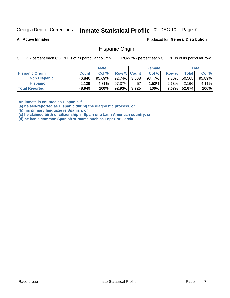#### Inmate Statistical Profile 02-DEC-10 Page 7

**All Active Inmates** 

Produced for General Distribution

### **Hispanic Origin**

COL % - percent each COUNT is of its particular column

ROW % - percent each COUNT is of its particular row

|                        |              | <b>Male</b> |                    |    | <b>Female</b> |          |              | <b>Total</b> |
|------------------------|--------------|-------------|--------------------|----|---------------|----------|--------------|--------------|
| <b>Hispanic Origin</b> | <b>Count</b> | Col %       | <b>Row % Count</b> |    | Col %         | Row %    | Total        | Col %        |
| <b>Non Hispanic</b>    | 46.840       | $95.69\%$   | 92.74% 3.668       |    | 98.47%        | $7.26\%$ | 50,508       | 95.89%       |
| <b>Hispanic</b>        | 2.109        | $4.31\%$    | 97.37%             | 57 | 1.53%         | $2.63\%$ | 2.166        | $4.11\%$     |
| <b>Total Reported</b>  | 48,949       | 100%        | $92.93\%$ 3,725    |    | 100%          |          | 7.07% 52,674 | 100%         |

An inmate is counted as Hispanic if

(a) he self-reported as Hispanic during the diagnostic process, or

(b) his primary language is Spanish, or

(c) he claimed birth or citizenship in Spain or a Latin American country, or

(d) he had a common Spanish surname such as Lopez or Garcia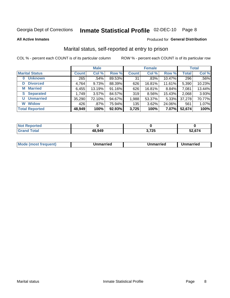# Inmate Statistical Profile 02-DEC-10 Page 8

**All Active Inmates** 

### Produced for General Distribution

### Marital status, self-reported at entry to prison

COL % - percent each COUNT is of its particular column

|                            | <b>Male</b>  |        |        | <b>Female</b> |        |          | <b>Total</b> |        |
|----------------------------|--------------|--------|--------|---------------|--------|----------|--------------|--------|
| <b>Marital Status</b>      | <b>Count</b> | Col %  | Row %  | <b>Count</b>  | Col %  | Row %    | <b>Total</b> | Col %  |
| <b>Unknown</b><br>$\bf{0}$ | 265          | .54%   | 89.53% | 31            | .83%   | 10.47%   | 296          | .56%   |
| <b>Divorced</b><br>D       | 4,764        | 9.73%  | 88.39% | 626           | 16.81% | 11.61%   | 5,390        | 10.23% |
| <b>Married</b><br>М        | 6,455        | 13.19% | 91.16% | 626           | 16.81% | $8.84\%$ | 7,081        | 13.44% |
| <b>Separated</b><br>S.     | 1,749        | 3.57%  | 84.57% | 319           | 8.56%  | 15.43%   | 2,068        | 3.93%  |
| <b>Unmarried</b><br>U      | 35,290       | 72.10% | 94.67% | 1,988         | 53.37% | 5.33%    | 37,278       | 70.77% |
| <b>Widow</b><br>W          | 426          | .87%   | 75.94% | 135           | 3.62%  | 24.06%   | 561          | 1.07%  |
| <b>Total Reported</b>      | 48,949       | 100%   | 92.93% | 3,725         | 100%   | 7.07%    | 52,674       | 100%   |

| orted<br>. NOT  |        |               |        |
|-----------------|--------|---------------|--------|
| $\sim$<br>. Grs | 18,949 | חמד ה<br>りょとり | 52 674 |

|--|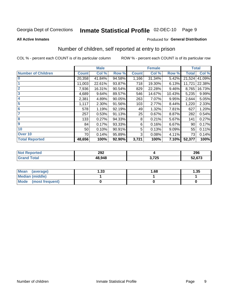# Inmate Statistical Profile 02-DEC-10 Page 9

**All Active Inmates** 

#### Produced for General Distribution

# Number of children, self reported at entry to prison

COL % - percent each COUNT is of its particular column

|                           |              | <b>Male</b> |        |              | <b>Female</b> |        | <b>Total</b> |        |
|---------------------------|--------------|-------------|--------|--------------|---------------|--------|--------------|--------|
| <b>Number of Children</b> | <b>Count</b> | Col %       | Row %  | <b>Count</b> | Col %         | Row %  | <b>Total</b> | Col %  |
| $\bf{0}$                  | 20,358       | 41.84%      | 94.58% | 1,166        | 31.34%        | 5.42%  | 21,524       | 41.09% |
|                           | 11,003       | 22.61%      | 93.87% | 718          | 19.30%        | 6.13%  | 11,721       | 22.38% |
| $\overline{2}$            | 7,936        | 16.31%      | 90.54% | 829          | 22.28%        | 9.46%  | 8,765        | 16.73% |
| 3                         | 4,689        | 9.64%       | 89.57% | 546          | 14.67%        | 10.43% | 5,235        | 9.99%  |
| 4                         | 2,381        | 4.89%       | 90.05% | 263          | 7.07%         | 9.95%  | 2,644        | 5.05%  |
| 5                         | 1,117        | 2.30%       | 91.56% | 103          | 2.77%         | 8.44%  | 1,220        | 2.33%  |
| 6                         | 578          | 1.19%       | 92.19% | 49           | 1.32%         | 7.81%  | 627          | 1.20%  |
|                           | 257          | 0.53%       | 91.13% | 25           | 0.67%         | 8.87%  | 282          | 0.54%  |
| 8                         | 133          | 0.27%       | 94.33% | 8            | 0.21%         | 5.67%  | 141          | 0.27%  |
| $\boldsymbol{9}$          | 84           | 0.17%       | 93.33% | 6            | 0.16%         | 6.67%  | 90           | 0.17%  |
| 10                        | 50           | 0.10%       | 90.91% | 5            | 0.13%         | 9.09%  | 55           | 0.11%  |
| Over 10                   | 70           | 0.14%       | 95.89% | 3            | 0.08%         | 4.11%  | 73           | 0.14%  |
| <b>Total Reported</b>     | 48,656       | 100%        | 92.90% | 3,721        | 100%          | 7.10%  | 52,377       | 100%   |

| Nt | 292    |                | ገበድ<br>290 |
|----|--------|----------------|------------|
|    | 48.948 | ? フクド<br>J.ILJ | 52,673     |

| <b>Mean</b><br>(average) | 1.33 | 1.68 | 1.35 |
|--------------------------|------|------|------|
| <b>Median (middle)</b>   |      |      |      |
| Mode<br>(most frequent)  |      |      |      |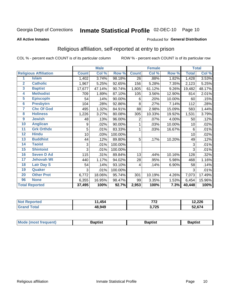# Inmate Statistical Profile 02-DEC-10 Page 10

#### **All Active Inmates**

### Produced for General Distribution

### Religious affiliation, self-reported at entry to prison

COL % - percent each COUNT is of its particular column

|                |                              |              | <b>Male</b> |         |                | <b>Female</b> |        |              | <b>Total</b> |
|----------------|------------------------------|--------------|-------------|---------|----------------|---------------|--------|--------------|--------------|
|                | <b>Religious Affiliation</b> | <b>Count</b> | Col %       | Row %   | <b>Count</b>   | Col %         | Row %  | <b>Total</b> | Col %        |
| 1              | <b>Islam</b>                 | 1,402        | 3.74%       | 98.18%  | 26             | .88%          | 1.82%  | 1,428        | 3.53%        |
| $\overline{2}$ | <b>Catholic</b>              | 1,967        | 5.25%       | 92.65%  | 156            | 5.28%         | 7.35%  | 2,123        | 5.25%        |
| 3              | <b>Baptist</b>               | 17,677       | 47.14%      | 90.74%  | 1,805          | 61.12%        | 9.26%  | 19,482       | 48.17%       |
| 4              | <b>Methodist</b>             | 709          | 1.89%       | 87.10%  | 105            | 3.56%         | 12.90% | 814          | 2.01%        |
| 5              | <b>EpiscopIn</b>             | 54           | .14%        | 90.00%  | 6              | .20%          | 10.00% | 60           | .15%         |
| $6\phantom{a}$ | <b>Presbytrn</b>             | 104          | .28%        | 92.86%  | 8              | .27%          | 7.14%  | 112          | .28%         |
| 7              | <b>Chc Of God</b>            | 495          | 1.32%       | 84.91%  | 88             | 2.98%         | 15.09% | 583          | 1.44%        |
| 8              | <b>Holiness</b>              | 1,226        | 3.27%       | 80.08%  | 305            | 10.33%        | 19.92% | 1,531        | 3.79%        |
| 9              | <b>Jewish</b>                | 48           | .13%        | 96.00%  | $\overline{2}$ | .07%          | 4.00%  | 50           | .12%         |
| 10             | <b>Anglican</b>              | 9            | .02%        | 90.00%  | 1              | .03%          | 10.00% | 10           | .02%         |
| 11             | <b>Grk Orthdx</b>            | 5            | .01%        | 83.33%  | 1              | .03%          | 16.67% | 6            | .01%         |
| 12             | <b>Hindu</b>                 | 10           | .03%        | 100.00% |                |               |        | 10           | .02%         |
| 13             | <b>Buddhist</b>              | 44           | .12%        | 89.80%  | 5              | .17%          | 10.20% | 49           | .12%         |
| 14             | <b>Taoist</b>                | 3            | .01%        | 100.00% |                |               |        | 3            | .01%         |
| 15             | <b>Shintoist</b>             | 3            | .01%        | 100.00% |                |               |        | 3            | .01%         |
| 16             | <b>Seven D Ad</b>            | 115          | .31%        | 89.84%  | 13             | .44%          | 10.16% | 128          | .32%         |
| 17             | <b>Jehovah Wt</b>            | 440          | 1.17%       | 94.02%  | 28             | .95%          | 5.98%  | 468          | 1.16%        |
| 18             | <b>Latr Day S</b>            | 54           | .14%        | 93.10%  | 4              | .14%          | 6.90%  | 58           | .14%         |
| 19             | Quaker                       | 3            | .01%        | 100.00% |                |               |        | 3            | .01%         |
| 20             | <b>Other Prot</b>            | 6,772        | 18.06%      | 95.74%  | 301            | 10.19%        | 4.26%  | 7,073        | 17.49%       |
| 96             | <b>None</b>                  | 6,355        | 16.95%      | 98.47%  | 99             | 3.35%         | 1.53%  | 6,454        | 15.96%       |
|                | <b>Total Reported</b>        | 37,495       | 100%        | 92.7%   | 2,953          | 100%          | 7.3%   | 40,448       | 100%         |

| Reported<br>NO | 1,454<br>44 | ---                      | 12,226 |
|----------------|-------------|--------------------------|--------|
| `otal          | 48,949      | ? フクト<br>J. <i>I L</i> J | 52,674 |

| <b>Mode (most frequent)</b><br>Baptist<br>Baptist<br>Baptist |
|--------------------------------------------------------------|
|--------------------------------------------------------------|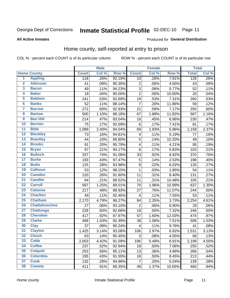#### Inmate Statistical Profile 02-DEC-10 Page 11

**All Active Inmates** 

### Produced for General Distribution

### Home county, self-reported at entry to prison

COL % - percent each COUNT is of its particular column

|                 |                      |                  | <b>Male</b> |                  | <b>Female</b>           |       | <b>Total</b> |              |       |
|-----------------|----------------------|------------------|-------------|------------------|-------------------------|-------|--------------|--------------|-------|
|                 | <b>Home County</b>   | <b>Count</b>     | Col %       | Row <sup>%</sup> | <b>Count</b>            | Col % | Row %        | <b>Total</b> | Col % |
| 1               | <b>Appling</b>       | $\overline{118}$ | .26%        | 92.19%           | 10                      | .28%  | 7.81%        | 128          | .26%  |
| $\overline{2}$  | <b>Atkinson</b>      | 41               | .09%        | 95.35%           | $\overline{c}$          | .06%  | 4.65%        | 43           | .09%  |
| 3               | <b>Bacon</b>         | 49               | .11%        | 94.23%           | $\overline{3}$          | .08%  | 5.77%        | 52           | .11%  |
| 4               | <b>Baker</b>         | 18               | .04%        | 90.00%           | $\overline{2}$          | .06%  | 10.00%       | 20           | .04%  |
| 5               | <b>Baldwin</b>       | 241              | .53%        | 92.69%           | 19                      | .53%  | 7.31%        | 260          | .53%  |
| $6\phantom{a}$  | <b>Banks</b>         | 52               | .11%        | 88.14%           | $\overline{7}$          | .20%  | 11.86%       | 59           | .12%  |
| 7               | <b>Barrow</b>        | 272              | .60%        | 92.83%           | 21                      | .59%  | 7.17%        | 293          | .60%  |
| 8               | <b>Bartow</b>        | 500              | 1.10%       | 88.18%           | 67                      | 1.88% | 11.82%       | 567          | 1.16% |
| $\overline{9}$  | <b>Ben Hill</b>      | 214              | .47%        | 93.04%           | 16                      | .45%  | 6.96%        | 230          | .47%  |
| 10              | <b>Berrien</b>       | 75               | .17%        | 92.59%           | 6                       | .17%  | 7.41%        | 81           | .17%  |
| $\overline{11}$ | <b>Bibb</b>          | 1,089            | 2.40%       | 94.04%           | 69                      | 1.93% | 5.96%        | 1,158        | 2.37% |
| $\overline{12}$ | <b>Bleckley</b>      | 73               | .16%        | 94.81%           | $\overline{\mathbf{4}}$ | .11%  | 5.19%        | 77           | .16%  |
| 13              | <b>Brantley</b>      | 44               | .10%        | 89.80%           | $\overline{5}$          | .14%  | 10.20%       | 49           | .10%  |
| 14              | <b>Brooks</b>        | 91               | .20%        | 95.79%           | $\overline{\mathbf{4}}$ | .11%  | 4.21%        | 95           | .19%  |
| 15              | <b>Bryan</b>         | 97               | .21%        | 94.17%           | $\,6$                   | .17%  | 5.83%        | 103          | .21%  |
| 16              | <b>Bulloch</b>       | 337              | .74%        | 91.08%           | 33                      | .92%  | 8.92%        | 370          | .76%  |
| 17              | <b>Burke</b>         | 193              | .43%        | 97.47%           | 5                       | .14%  | 2.53%        | 198          | .40%  |
| 18              | <b>Butts</b>         | 125              | .28%        | 93.98%           | 8                       | .22%  | 6.02%        | 133          | .27%  |
| 19              | <b>Calhoun</b>       | 53               | .12%        | 98.15%           | $\mathbf{1}$            | .03%  | 1.85%        | 54           | .11%  |
| 20              | <b>Camden</b>        | 120              | .26%        | 91.60%           | 11                      | .31%  | 8.40%        | 131          | .27%  |
| $\overline{21}$ | <b>Candler</b>       | 94               | .21%        | 89.52%           | 11                      | .31%  | 10.48%       | 105          | .21%  |
| $\overline{22}$ | <b>Carroll</b>       | 567              | 1.25%       | 89.01%           | 70                      | 1.96% | 10.99%       | 637          | 1.30% |
| 23              | <b>Catoosa</b>       | 217              | .48%        | 88.93%           | 27                      | .76%  | 11.07%       | 244          | .50%  |
| 24              | <b>Charlton</b>      | 49               | .11%        | 92.45%           | $\overline{\mathbf{4}}$ | .11%  | 7.55%        | 53           | .11%  |
| 25              | <b>Chatham</b>       | 2,170            | 4.79%       | 96.27%           | 84                      | 2.35% | 3.73%        | 2,254        | 4.61% |
| 26              | <b>Chattahoochee</b> | 27               | .06%        | 93.10%           | $\overline{2}$          | .06%  | 6.90%        | 29           | .06%  |
| $\overline{27}$ | <b>Chattooga</b>     | 228              | .50%        | 92.68%           | 18                      | .50%  | 7.32%        | 246          | .50%  |
| 28              | <b>Cherokee</b>      | 417              | .92%        | 87.97%           | 57                      | 1.60% | 12.03%       | 474          | .97%  |
| 29              | <b>Clarke</b>        | 468              | 1.03%       | 92.49%           | 38                      | 1.06% | 7.51%        | 506          | 1.03% |
| 30              | <b>Clay</b>          | 37               | .08%        | 90.24%           | $\overline{\mathbf{4}}$ | .11%  | 9.76%        | 41           | .08%  |
| $\overline{31}$ | <b>Clayton</b>       | 1,425            | 3.14%       | 93.08%           | 106                     | 2.97% | 6.92%        | 1,531        | 3.13% |
| 32              | <b>Clinch</b>        | 63               | .14%        | 95.45%           | 3                       | .08%  | 4.55%        | 66           | .13%  |
| 33              | <b>Cobb</b>          | 2,003            | 4.42%       | 91.09%           | 196                     | 5.49% | 8.91%        | 2,199        | 4.50% |
| 34              | <b>Coffee</b>        | 237              | .52%        | 92.94%           | 18                      | .50%  | 7.06%        | 255          | .52%  |
| 35              | <b>Colquitt</b>      | 253              | .56%        | 95.11%           | 13                      | .36%  | 4.89%        | 266          | .54%  |
| 36              | <b>Columbia</b>      | 195              | .43%        | 91.55%           | 18                      | .50%  | 8.45%        | 213          | .44%  |
| 37              | <b>Cook</b>          | 132              | .29%        | 94.96%           | $\overline{7}$          | .20%  | 5.04%        | 139          | .28%  |
| 38              | <b>Coweta</b>        | 411              | .91%        | 89.35%           | 49                      | 1.37% | 10.65%       | 460          | .94%  |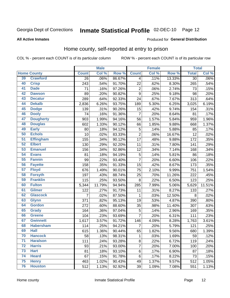#### Inmate Statistical Profile 02-DEC-10 Page 12

#### **All Active Inmates**

#### Produced for General Distribution

### Home county, self-reported at entry to prison

COL % - percent each COUNT is of its particular column

|                 |                    |                | <b>Male</b> |        |                | <b>Female</b> |                  | <b>Total</b>    |          |
|-----------------|--------------------|----------------|-------------|--------|----------------|---------------|------------------|-----------------|----------|
|                 | <b>Home County</b> | <b>Count</b>   | Col %       | Row %  | <b>Count</b>   | Col %         | Row <sup>%</sup> | <b>Total</b>    | Col%     |
| 39              | <b>Crawford</b>    | 26             | .06%        | 86.67% | $\overline{4}$ | .11%          | 13.33%           | $\overline{30}$ | $.06\%$  |
| 40              | <b>Crisp</b>       | 243            | .54%        | 91.70% | 22             | .62%          | 8.30%            | 265             | .54%     |
| 41              | <b>Dade</b>        | 71             | .16%        | 97.26% | $\sqrt{2}$     | .06%          | 2.74%            | 73              | .15%     |
| 42              | <b>Dawson</b>      | 89             | .20%        | 90.82% | 9              | .25%          | 9.18%            | 98              | .20%     |
| 43              | <b>Decatur</b>     | 289            | .64%        | 92.33% | 24             | .67%          | 7.67%            | 313             | .64%     |
| 44              | <b>Dekalb</b>      | 2,836          | 6.26%       | 93.75% | 189            | 5.30%         | 6.25%            | 3,025           | 6.19%    |
| 45              | <b>Dodge</b>       | 139            | .31%        | 90.26% | 15             | .42%          | 9.74%            | 154             | .31%     |
| 46              | <b>Dooly</b>       | 74             | .16%        | 91.36% | $\overline{7}$ | .20%          | 8.64%            | 81              | .17%     |
| 47              | <b>Dougherty</b>   | 903            | 1.99%       | 94.16% | 56             | 1.57%         | 5.84%            | 959             | 1.96%    |
| 48              | <b>Douglas</b>     | 602            | 1.33%       | 90.12% | 66             | 1.85%         | 9.88%            | 668             | 1.37%    |
| 49              | <b>Early</b>       | 80             | .18%        | 94.12% | $\mathbf 5$    | .14%          | 5.88%            | 85              | .17%     |
| 50              | <b>Echols</b>      | 10             | .02%        | 83.33% | $\overline{2}$ | .06%          | 16.67%           | 12              | .02%     |
| $\overline{51}$ | <b>Effingham</b>   | 155            | .34%        | 90.12% | 17             | .48%          | 9.88%            | 172             | .35%     |
| 52              | <b>Elbert</b>      | 130            | .29%        | 92.20% | 11             | .31%          | 7.80%            | 141             | .29%     |
| 53              | <b>Emanuel</b>     | 156            | .34%        | 92.86% | 12             | .34%          | 7.14%            | 168             | .34%     |
| 54              | <b>Evans</b>       | 81             | .18%        | 94.19% | $\sqrt{5}$     | .14%          | 5.81%            | 86              | .18%     |
| 55              | <b>Fannin</b>      | 99             | .22%        | 93.40% | $\overline{7}$ | .20%          | 6.60%            | 106             | .22%     |
| 56              | <b>Fayette</b>     | 158            | .35%        | 91.33% | 15             | .42%          | 8.67%            | 173             | .35%     |
| 57              | <b>Floyd</b>       | 676            | 1.49%       | 90.01% | 75             | 2.10%         | 9.99%            | 751             | 1.54%    |
| 58              | <b>Forsyth</b>     | 197            | .43%        | 88.74% | 25             | .70%          | 11.26%           | 222             | .45%     |
| 59              | <b>Franklin</b>    | 115            | .25%        | 93.50% | $\bf 8$        | .22%          | 6.50%            | 123             | .25%     |
| 60              | <b>Fulton</b>      | 5,344          | 11.79%      | 94.94% | 285            | 7.99%         | 5.06%            | 5,629           | 11.51%   |
| 61              | <b>Gilmer</b>      | 122            | .27%        | 91.73% | 11             | .31%          | 8.27%            | 133             | .27%     |
| 62              | <b>Glascock</b>    | $\overline{7}$ | .02%        | 87.50% | $\mathbf{1}$   | .03%          | 12.50%           | 8               | .02%     |
| 63              | <b>Glynn</b>       | 371            | .82%        | 95.13% | 19             | .53%          | 4.87%            | 390             | .80%     |
| 64              | <b>Gordon</b>      | 272            | .60%        | 88.60% | 35             | .98%          | 11.40%           | 307             | .63%     |
| 65              | <b>Grady</b>       | 164            | .36%        | 97.04% | $\mathbf 5$    | .14%          | 2.96%            | 169             | .35%     |
| 66              | <b>Greene</b>      | 104            | .23%        | 93.69% | $\overline{7}$ | .20%          | 6.31%            | 111             | .23%     |
| 67              | <b>Gwinnett</b>    | 1,617          | 3.57%       | 91.72% | 146            | 4.09%         | 8.28%            | 1,763           | $3.61\%$ |
| 68              | <b>Habersham</b>   | 114            | .25%        | 94.21% | $\overline{7}$ | .20%          | 5.79%            | 121             | .25%     |
| 69              | <b>Hall</b>        | 615            | 1.36%       | 90.44% | 65             | 1.82%         | 9.56%            | 680             | 1.39%    |
| 70              | <b>Hancock</b>     | 58             | .13%        | 98.31% | $\mathbf{1}$   | .03%          | 1.69%            | 59              | .12%     |
| $\overline{71}$ | <b>Haralson</b>    | 111            | .24%        | 93.28% | $\bf 8$        | .22%          | 6.72%            | 119             | .24%     |
| 72              | <b>Harris</b>      | 93             | .21%        | 93.00% | $\overline{7}$ | .20%          | 7.00%            | 100             | .20%     |
| 73              | <b>Hart</b>        | 81             | .18%        | 93.10% | 6              | .17%          | 6.90%            | 87              | .18%     |
| 74              | <b>Heard</b>       | 67             | .15%        | 91.78% | 6              | .17%          | 8.22%            | 73              | .15%     |
| 75              | <b>Henry</b>       | 463            | 1.02%       | 90.43% | 49             | 1.37%         | 9.57%            | 512             | 1.05%    |
| 76              | <b>Houston</b>     | 512            | 1.13%       | 92.92% | 39             | 1.09%         | 7.08%            | 551             | 1.13%    |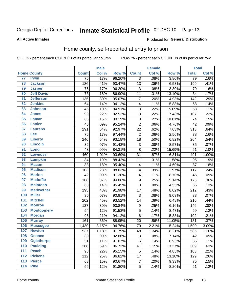# Inmate Statistical Profile 02-DEC-10 Page 13

### **All Active Inmates**

### Produced for General Distribution

### Home county, self-reported at entry to prison

COL % - percent each COUNT is of its particular column

|     |                    |              | <b>Male</b> |        |                  | <b>Female</b> |        | <b>Total</b> |       |
|-----|--------------------|--------------|-------------|--------|------------------|---------------|--------|--------------|-------|
|     | <b>Home County</b> | <b>Count</b> | Col %       | Row %  | <b>Count</b>     | Col %         | Row %  | <b>Total</b> | Col % |
| 77  | <b>Irwin</b>       | 76           | .17%        | 96.20% | $\overline{3}$   | .08%          | 3.80%  | 79           | .16%  |
| 78  | <b>Jackson</b>     | 186          | .41%        | 93.47% | 13               | .36%          | 6.53%  | 199          | .41%  |
| 79  | <b>Jasper</b>      | 76           | .17%        | 96.20% | $\mathbf{3}$     | .08%          | 3.80%  | 79           | .16%  |
| 80  | <b>Jeff Davis</b>  | 73           | .16%        | 86.90% | 11               | .31%          | 13.10% | 84           | .17%  |
| 81  | <b>Jefferson</b>   | 135          | .30%        | 95.07% | $\overline{7}$   | .20%          | 4.93%  | 142          | .29%  |
| 82  | <b>Jenkins</b>     | 64           | .14%        | 94.12% | 4                | .11%          | 5.88%  | 68           | .14%  |
| 83  | <b>Johnson</b>     | 45           | .10%        | 84.91% | $\bf 8$          | .22%          | 15.09% | 53           | .11%  |
| 84  | <b>Jones</b>       | 99           | .22%        | 92.52% | $\bf 8$          | .22%          | 7.48%  | 107          | .22%  |
| 85  | <b>Lamar</b>       | 66           | .15%        | 89.19% | $\bf 8$          | .22%          | 10.81% | 74           | .15%  |
| 86  | Lanier             | 40           | .09%        | 95.24% | $\overline{2}$   | .06%          | 4.76%  | 42           | .09%  |
| 87  | <b>Laurens</b>     | 291          | .64%        | 92.97% | 22               | .62%          | 7.03%  | 313          | .64%  |
| 88  | <b>Lee</b>         | 76           | .17%        | 97.44% | $\overline{2}$   | .06%          | 2.56%  | 78           | .16%  |
| 89  | <b>Liberty</b>     | 246          | .54%        | 93.18% | 18               | .50%          | 6.82%  | 264          | .54%  |
| 90  | <b>Lincoln</b>     | 32           | .07%        | 91.43% | $\mathbf{3}$     | .08%          | 8.57%  | 35           | .07%  |
| 91  | Long               | 43           | .09%        | 84.31% | $\bf 8$          | .22%          | 15.69% | 51           | .10%  |
| 92  | <b>Lowndes</b>     | 460          | 1.01%       | 93.69% | 31               | .87%          | 6.31%  | 491          | 1.00% |
| 93  | <b>Lumpkin</b>     | 84           | .19%        | 88.42% | 11               | .31%          | 11.58% | 95           | .19%  |
| 94  | <b>Macon</b>       | 83           | .18%        | 95.40% | 4                | .11%          | 4.60%  | 87           | .18%  |
| 95  | <b>Madison</b>     | 103          | .23%        | 88.03% | 14               | .39%          | 11.97% | 117          | .24%  |
| 96  | <b>Marion</b>      | 42           | .09%        | 91.30% | 4                | .11%          | 8.70%  | 46           | .09%  |
| 97  | <b>Mcduffie</b>    | 166          | .37%        | 94.86% | $\boldsymbol{9}$ | .25%          | 5.14%  | 175          | .36%  |
| 98  | <b>Mcintosh</b>    | 63           | .14%        | 95.45% | $\overline{3}$   | .08%          | 4.55%  | 66           | .13%  |
| 99  | <b>Meriwether</b>  | 195          | .43%        | 91.98% | 17               | .48%          | 8.02%  | 212          | .43%  |
| 100 | <b>Miller</b>      | 30           | .07%        | 90.91% | $\overline{3}$   | .08%          | 9.09%  | 33           | .07%  |
| 101 | <b>Mitchell</b>    | 202          | .45%        | 93.52% | 14               | .39%          | 6.48%  | 216          | .44%  |
| 102 | <b>Monroe</b>      | 137          | .30%        | 93.84% | $\boldsymbol{9}$ | .25%          | 6.16%  | 146          | .30%  |
| 103 | <b>Montgomery</b>  | 54           | .12%        | 91.53% | $\overline{5}$   | .14%          | 8.47%  | 59           | .12%  |
| 104 | <b>Morgan</b>      | 96           | .21%        | 94.12% | $\,6$            | .17%          | 5.88%  | 102          | .21%  |
| 105 | <b>Murray</b>      | 161          | .36%        | 88.95% | 20               | .56%          | 11.05% | 181          | .37%  |
| 106 | <b>Muscogee</b>    | 1,430        | 3.15%       | 94.76% | 79               | 2.21%         | 5.24%  | 1,509        | 3.09% |
| 107 | <b>Newton</b>      | 537          | 1.18%       | 91.79% | 48               | 1.34%         | 8.21%  | 585          | 1.20% |
| 108 | <b>Oconee</b>      | 39           | .09%        | 92.86% | 3                | .08%          | 7.14%  | 42           | .09%  |
| 109 | <b>Oglethorpe</b>  | 51           | .11%        | 91.07% | 5                | .14%          | 8.93%  | 56           | .11%  |
| 110 | <b>Paulding</b>    | 268          | .59%        | 86.73% | 41               | 1.15%         | 13.27% | 309          | .63%  |
| 111 | <b>Peach</b>       | 98           | .22%        | 95.15% | 5                | .14%          | 4.85%  | 103          | .21%  |
| 112 | <b>Pickens</b>     | 112          | .25%        | 86.82% | 17               | .48%          | 13.18% | 129          | .26%  |
| 113 | <b>Pierce</b>      | 68           | .15%        | 90.67% | 7                | .20%          | 9.33%  | 75           | .15%  |
| 114 | <b>Pike</b>        | 56           | .12%        | 91.80% | 5                | .14%          | 8.20%  | 61           | .12%  |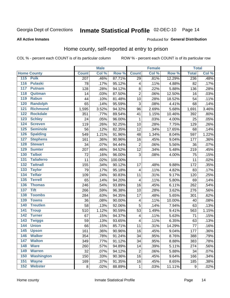#### Inmate Statistical Profile 02-DEC-10 Page 14

#### **All Active Inmates**

#### Produced for General Distribution

### Home county, self-reported at entry to prison

COL % - percent each COUNT is of its particular column

|                  |                    |              | <b>Male</b> |         |                | <b>Female</b> |        | <b>Total</b>     |       |
|------------------|--------------------|--------------|-------------|---------|----------------|---------------|--------|------------------|-------|
|                  | <b>Home County</b> | <b>Count</b> | Col %       | Row %   | <b>Count</b>   | Col %         | Row %  | <b>Total</b>     | Col % |
|                  | 115 Polk           | 207          | .46%        | 87.71%  | 29             | .81%          | 12.29% | 236              | .48%  |
| $\overline{116}$ | <b>Pulaski</b>     | 78           | .17%        | 95.12%  | 4              | .11%          | 4.88%  | 82               | .17%  |
| 117              | <b>Putnam</b>      | 128          | .28%        | 94.12%  | $\bf8$         | .22%          | 5.88%  | 136              | .28%  |
| 118              | Quitman            | 14           | .03%        | 87.50%  | $\overline{2}$ | .06%          | 12.50% | 16               | .03%  |
| 119              | <b>Rabun</b>       | 44           | .10%        | 81.48%  | 10             | .28%          | 18.52% | 54               | .11%  |
| 120              | <b>Randolph</b>    | 65           | .14%        | 95.59%  | $\mathbf{3}$   | .08%          | 4.41%  | 68               | .14%  |
| 121              | <b>Richmond</b>    | 1,595        | 3.52%       | 94.32%  | 96             | 2.69%         | 5.68%  | 1,691            | 3.46% |
| 122              | <b>Rockdale</b>    | 351          | .77%        | 89.54%  | 41             | 1.15%         | 10.46% | 392              | .80%  |
| 123              | <b>Schley</b>      | 24           | .05%        | 96.00%  | 1              | .03%          | 4.00%  | 25               | .05%  |
| 124              | <b>Screven</b>     | 119          | .26%        | 92.25%  | 10             | .28%          | 7.75%  | 129              | .26%  |
| 125              | <b>Seminole</b>    | 56           | .12%        | 82.35%  | 12             | .34%          | 17.65% | 68               | .14%  |
| 126              | <b>Spalding</b>    | 549          | 1.21%       | 91.96%  | 48             | 1.34%         | 8.04%  | 597              | 1.22% |
| 127              | <b>Stephens</b>    | 161          | .36%        | 90.96%  | 16             | .45%          | 9.04%  | 177              | .36%  |
| 128              | <b>Stewart</b>     | 34           | .07%        | 94.44%  | $\overline{2}$ | .06%          | 5.56%  | 36               | .07%  |
| 129              | <b>Sumter</b>      | 207          | .46%        | 94.52%  | 12             | .34%          | 5.48%  | 219              | .45%  |
| 130              | <b>Talbot</b>      | 72           | .16%        | 96.00%  | 3              | .08%          | 4.00%  | 75               | .15%  |
| 131              | <b>Taliaferro</b>  | 11           | .02%        | 100.00% |                |               |        | 11               | .02%  |
| 132              | <b>Tattnall</b>    | 155          | .34%        | 90.12%  | 17             | .48%          | 9.88%  | 172              | .35%  |
| 133              | <b>Taylor</b>      | 79           | .17%        | 95.18%  | 4              | .11%          | 4.82%  | 83               | .17%  |
| 134              | <b>Telfair</b>     | 109          | .24%        | 90.83%  | 11             | .31%          | 9.17%  | 120              | .25%  |
| $\overline{135}$ | <b>Terrell</b>     | 65           | .14%        | 94.20%  | 4              | .11%          | 5.80%  | 69               | .14%  |
| 136              | <b>Thomas</b>      | 246          | .54%        | 93.89%  | 16             | .45%          | 6.11%  | 262              | .54%  |
| 137              | <b>Tift</b>        | 266          | .59%        | 96.38%  | 10             | .28%          | 3.62%  | 276              | .56%  |
| 138              | <b>Toombs</b>      | 284          | .63%        | 94.35%  | 17             | .48%          | 5.65%  | 301              | .62%  |
| 139              | <b>Towns</b>       | 36           | .08%        | 90.00%  | 4              | .11%          | 10.00% | 40               | .08%  |
| 140              | <b>Treutlen</b>    | 58           | .13%        | 92.06%  | 5              | .14%          | 7.94%  | 63               | .13%  |
| 141              | <b>Troup</b>       | 510          | 1.12%       | 90.59%  | 53             | 1.49%         | 9.41%  | 563              | 1.15% |
| 142              | <b>Turner</b>      | 67           | .15%        | 94.37%  | 4              | .11%          | 5.63%  | 71               | .15%  |
| $\overline{143}$ | <b>Twiggs</b>      | 59           | .13%        | 93.65%  | 4              | .11%          | 6.35%  | 63               | .13%  |
| 144              | <b>Union</b>       | 66           | .15%        | 85.71%  | 11             | .31%          | 14.29% | 77               | .16%  |
| 145              | <b>Upson</b>       | 161          | .36%        | 90.96%  | 16             | .45%          | 9.04%  | 177              | .36%  |
| 146              | <b>Walker</b>      | 354          | .78%        | 91.24%  | 34             | .95%          | 8.76%  | 388              | .79%  |
| 147              | <b>Walton</b>      | 349          | .77%        | 91.12%  | 34             | .95%          | 8.88%  | 383              | .78%  |
| 148              | <b>Ware</b>        | 260          | .57%        | 94.89%  | 14             | .39%          | 5.11%  | 274              | .56%  |
| 149              | <b>Warren</b>      | 32           | .07%        | 94.12%  | $\mathbf 2$    | .06%          | 5.88%  | 34               | .07%  |
| 150              | <b>Washington</b>  | 150          | .33%        | 90.36%  | 16             | .45%          | 9.64%  | 166              | .34%  |
| 151              | <b>Wayne</b>       | 169          | .37%        | 91.35%  | 16             | .45%          | 8.65%  | 185              | .38%  |
| 152              | <b>Webster</b>     | 8            | .02%        | 88.89%  | 1              | .03%          | 11.11% | $\boldsymbol{9}$ | .02%  |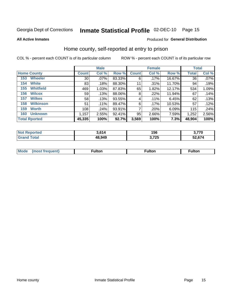# Inmate Statistical Profile 02-DEC-10 Page 15

**All Active Inmates** 

### Produced for General Distribution

### Home county, self-reported at entry to prison

COL % - percent each COUNT is of its particular column

|                         |                 | <b>Male</b> |        |              | <b>Female</b> |        | <b>Total</b> |         |
|-------------------------|-----------------|-------------|--------|--------------|---------------|--------|--------------|---------|
| <b>Home County</b>      | <b>Count</b>    | Col %       | Row %  | <b>Count</b> | Col %         | Row %  | <b>Total</b> | Col %   |
| <b>Wheeler</b><br>153   | 30 <sup>2</sup> | .07%        | 83.33% | 6            | .17%          | 16.67% | 36           | $.07\%$ |
| <b>White</b><br>154     | 83              | .18%        | 88.30% | 11           | .31%          | 11.70% | 94           | .19%    |
| <b>Whitfield</b><br>155 | 469             | 1.03%       | 87.83% | 65           | 1.82%         | 12.17% | 534          | 1.09%   |
| <b>Wilcox</b><br>156    | 59              | .13%        | 88.06% | 8            | .22%          | 11.94% | 67           | .14%    |
| <b>Wilkes</b><br>157    | 58              | .13%        | 93.55% | 4            | .11%          | 6.45%  | 62           | .13%    |
| <b>Wilkinson</b><br>158 | 51              | $.11\%$     | 89.47% | 6            | .17%          | 10.53% | 57           | .12%    |
| 159<br><b>Worth</b>     | 108             | .24%        | 93.91% | 7            | .20%          | 6.09%  | 115          | .24%    |
| <b>Unknown</b><br>160   | 1,157           | 2.55%       | 92.41% | 95           | 2.66%         | 7.59%  | 1,252        | 2.56%   |
| <b>Total Rported</b>    | 45,335          | 100%        | 92.7%  | 3,569        | 100%          | 7.3%   | 48,904       | 100%    |

| ported<br>NO. | .614   | 156              | 8,770  |
|---------------|--------|------------------|--------|
| <b>otal</b>   | 48,949 | 2.725<br>J. I LJ | 52.674 |

|  | Mode | ™ulton | ∶ulton | ™ulton |
|--|------|--------|--------|--------|
|--|------|--------|--------|--------|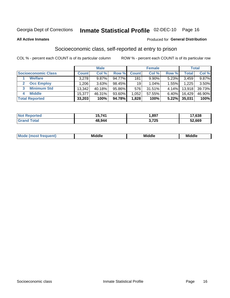# Inmate Statistical Profile 02-DEC-10 Page 16

#### **All Active Inmates**

#### Produced for General Distribution

### Socioeconomic class, self-reported at entry to prison

COL % - percent each COUNT is of its particular column

|                       |        | <b>Male</b> |        |              | <b>Female</b> |          |        | <b>Total</b> |
|-----------------------|--------|-------------|--------|--------------|---------------|----------|--------|--------------|
| Socioeconomic Class   | Count  | Col %       | Row %  | <b>Count</b> | Col %         | Row %    | Total  | Col %        |
| <b>Welfare</b>        | 3,278  | 9.87%       | 94.77% | 181          | 9.90%         | $5.23\%$ | 3.459  | $9.87\%$     |
| <b>Occ Employ</b>     | .206   | 3.63%       | 98.45% | 19           | 1.04%         | $1.55\%$ | 1,225  | 3.50%        |
| <b>Minimum Std</b>    | 13,342 | 40.18%      | 95.86% | 576          | 31.51%        | 4.14%    | 13,918 | 39.73%       |
| <b>Middle</b><br>4    | 15,377 | 46.31%      | 93.60% | 1,052        | 57.55%        | $6.40\%$ | 16,429 | 46.90%       |
| <b>Total Reported</b> | 33,203 | 100%        | 94.78% | 1,828        | 100%          | 5.22%    | 35,031 | 100%         |

| <b>Not Reported</b>   | 15,741 | .897  | 17,638 |
|-----------------------|--------|-------|--------|
| <b>Total</b><br>Grand | 48,944 | 3,725 | 52,669 |

| ____<br>____ |
|--------------|
|--------------|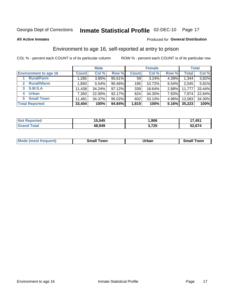# Inmate Statistical Profile 02-DEC-10 Page 17

**All Active Inmates** 

### **Produced for General Distribution**

### Environment to age 16, self-reported at entry to prison

COL % - percent each COUNT is of its particular column

|                                   | <b>Male</b>  |        | <b>Female</b> |              |        | <b>Total</b> |              |        |
|-----------------------------------|--------------|--------|---------------|--------------|--------|--------------|--------------|--------|
| <b>Environment to age 16</b>      | <b>Count</b> | Col %  | Row %         | <b>Count</b> | Col %  | Row %        | <b>Total</b> | Col %  |
| <b>Rural/Farm</b>                 | 1,285        | 3.85%  | 95.61%        | 59           | 3.24%  | 4.39%        | 1,344        | 3.82%  |
| <b>Rural/Nfarm</b><br>$2^{\circ}$ | 1,850        | 5.54%  | 90.46%        | 195          | 10.72% | 9.54%        | 2,045        | 5.81%  |
| <b>S.M.S.A</b><br>3               | 11,438       | 34.24% | 97.12%        | 339          | 18.64% | $2.88\%$     | 11,777       | 33.44% |
| <b>Urban</b><br>4                 | 7,350        | 22.00% | 92.17%        | 624          | 34.30% | 7.83%        | 7,974        | 22.64% |
| <b>Small Town</b><br>5.           | 11,481       | 34.37% | 95.02%        | 602          | 33.10% | 4.98%        | 12,083       | 34.30% |
| <b>Total Reported</b>             | 33,404       | 100%   | 94.84%        | 1,819        | 100%   | 5.16%        | 35,223       | 100%   |

| <b>Not Reported</b> | 15,545 | 906, ا | 17,451 |
|---------------------|--------|--------|--------|
| <b>Grand Total</b>  | 48,949 | 3,725  | 52,674 |

| Mode<br>auent)<br>. | own<br>. ma | <b>Irhan</b><br>. par<br>_____ | `owr<br>_____ |
|---------------------|-------------|--------------------------------|---------------|
|                     |             |                                |               |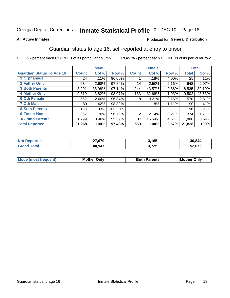# Inmate Statistical Profile 02-DEC-10 Page 18

#### **All Active Inmates**

### Produced for General Distribution

### Guardian status to age 16, self-reported at entry to prison

COL % - percent each COUNT is of its particular column

|                                  |               | <b>Male</b> |           |              | <b>Female</b> |       |        | <b>Total</b> |
|----------------------------------|---------------|-------------|-----------|--------------|---------------|-------|--------|--------------|
| <b>Guardian Status To Age 16</b> | <b>Count!</b> | Col %       | Row %     | <b>Count</b> | Col %         | Row % | Total  | Col %        |
| 1 Orphanage                      | 24            | .11%        | $96.00\%$ |              | .18%          | 4.00% | 25     | .11%         |
| 2 Father Only                    | 634           | 2.98%       | 97.84%    | 14           | 2.50%         | 2.16% | 648    | 2.97%        |
| <b>3 Both Parents</b>            | 8,291         | 38.98%      | 97.14%    | 244          | 43.57%        | 2.86% | 8,535  | 39.10%       |
| <b>4 Mother Only</b>             | 9,319         | 43.82%      | 98.07%    | 183          | 32.68%        | 1.93% | 9,502  | 43.53%       |
| <b>6 Oth Female</b>              | 552           | 2.60%       | 96.84%    | 18           | 3.21%         | 3.16% | 570    | 2.61%        |
| <b>7 Oth Male</b>                | 89            | .42%        | 98.89%    |              | .18%          | 1.11% | 90     | .41%         |
| 8 Step-Parents                   | 198           | .93%        | 100.00%   |              |               |       | 198    | $.91\%$      |
| 9 Foster Home                    | 362           | 1.70%       | 96.79%    | 12           | 2.14%         | 3.21% | 374    | 1.71%        |
| <b>10 Grand Parents</b>          | 1,799         | 8.46%       | 95.39%    | 87           | 15.54%        | 4.61% | 1,886  | 8.64%        |
| <b>Total Reported</b>            | 21,268        | 100%        | 97.43%    | 560          | 100%          | 2.57% | 21,828 | 100%         |

| <b>Not</b><br><b>Reported</b> | 27,679 | 3,165 | 30,844 |
|-------------------------------|--------|-------|--------|
| ™ota⊧                         | 48,947 | 3,725 | 52,672 |

| Mode | วทIv<br>Mot | <b>Both Parents</b><br>Parents | lM.<br>Only<br>. |
|------|-------------|--------------------------------|------------------|
|      |             |                                |                  |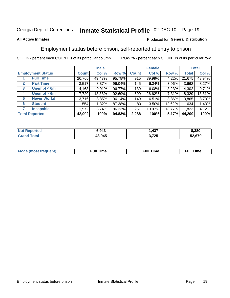#### Inmate Statistical Profile 02-DEC-10 Page 19

### **All Active Inmates**

### Produced for General Distribution

### Employment status before prison, self-reported at entry to prison

COL % - percent each COUNT is of its particular column

|                                  |              | <b>Male</b> |        |                 | <b>Female</b> |        |              | <b>Total</b> |
|----------------------------------|--------------|-------------|--------|-----------------|---------------|--------|--------------|--------------|
| <b>Employment Status</b>         | <b>Count</b> | Col %       | Row %  | <b>Count</b>    | Col %         | Row %  | <b>Total</b> | Col %        |
| <b>Full Time</b>                 | 20,760       | 49.43%      | 95.78% | 915             | 39.99%        | 4.22%  | 21,675       | 48.94%       |
| <b>Part Time</b><br>$\mathbf{2}$ | 3,517        | 8.37%       | 96.04% | 145             | 6.34%         | 3.96%  | 3,662        | 8.27%        |
| Unempl $<$ 6m<br>3               | 4,163        | 9.91%       | 96.77% | 139             | 6.08%         | 3.23%  | 4,302        | 9.71%        |
| Unempl > 6m<br>4                 | 7,720        | 18.38%      | 92.69% | 609             | 26.62%        | 7.31%  | 8,329        | 18.81%       |
| <b>Never Workd</b><br>5          | 3,716        | 8.85%       | 96.14% | 149             | 6.51%         | 3.86%  | 3,865        | 8.73%        |
| <b>Student</b><br>6              | 554          | 1.32%       | 87.38% | 80 <sup>1</sup> | 3.50%         | 12.62% | 634          | 1.43%        |
| <b>Incapable</b>                 | 1,572        | 3.74%       | 86.23% | 251             | 10.97%        | 13.77% | 1,823        | 4.12%        |
| <b>Total Reported</b>            | 42,002       | 100%        | 94.83% | 2,288           | 100%          | 5.17%  | 44,290       | 100%         |

| <b>norteo</b><br>NO | 6,943  | 107<br>701    | 8,380  |
|---------------------|--------|---------------|--------|
| $\sim$ 10<br>Gran   | 48,945 | ? フクド<br>. ZJ | 52.67C |

| Mc | ∙u∥<br>----<br>ıme | ίuΙ<br>Πmε |
|----|--------------------|------------|
|    |                    |            |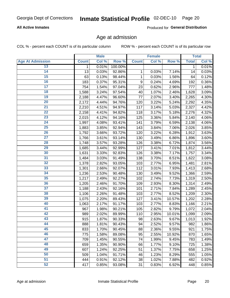### **All Active Inmates**

Produced for General Distribution

### Age at admission

COL % - percent each COUNT is of its particular column

|                         |              | <b>Male</b> |         |              | <b>Female</b> |        |              | <b>Total</b> |
|-------------------------|--------------|-------------|---------|--------------|---------------|--------|--------------|--------------|
| <b>Age At Admission</b> | <b>Count</b> | Col %       | Row %   | <b>Count</b> | Col %         | Row %  | <b>Total</b> | Col %        |
| 13                      | 1            | 0.01%       | 100.00% |              |               |        | 1            | 0.01%        |
| 14                      | 13           | 0.03%       | 92.86%  | 1            | 0.03%         | 7.14%  | 14           | 0.03%        |
| 15                      | 63           | 0.13%       | 98.44%  | 1            | 0.03%         | 1.56%  | 64           | 0.12%        |
| 16                      | 183          | 0.37%       | 95.31%  | 9            | 0.24%         | 4.69%  | 192          | 0.36%        |
| $\overline{17}$         | 754          | 1.54%       | 97.04%  | 23           | 0.62%         | 2.96%  | 777          | 1.48%        |
| 18                      | 1,588        | 3.24%       | 97.54%  | 40           | 1.07%         | 2.46%  | 1,628        | 3.09%        |
| 19                      | 2,188        | 4.47%       | 96.60%  | 77           | 2.07%         | 3.40%  | 2,265        | 4.30%        |
| 20                      | 2,172        | 4.44%       | 94.76%  | 120          | 3.22%         | 5.24%  | 2,292        | 4.35%        |
| $\overline{21}$         | 2,210        | 4.51%       | 94.97%  | 117          | 3.14%         | 5.03%  | 2,327        | 4.42%        |
| $\overline{22}$         | 2,158        | 4.41%       | 94.82%  | 118          | 3.17%         | 5.18%  | 2,276        | 4.32%        |
| 23                      | 2,015        | 4.12%       | 94.16%  | 125          | 3.36%         | 5.84%  | 2,140        | 4.06%        |
| $\overline{24}$         | 1,997        | 4.08%       | 93.41%  | 141          | 3.79%         | 6.59%  | 2,138        | 4.06%        |
| 25                      | 1,883        | 3.85%       | 92.94%  | 143          | 3.84%         | 7.06%  | 2,026        | 3.85%        |
| $\overline{26}$         | 1,792        | 3.66%       | 93.72%  | 120          | 3.22%         | 6.28%  | 1,912        | 3.63%        |
| $\overline{27}$         | 1,766        | 3.61%       | 93.14%  | 130          | 3.49%         | 6.86%  | 1,896        | 3.60%        |
| 28                      | 1,748        | 3.57%       | 93.28%  | 126          | 3.38%         | 6.72%  | 1,874        | 3.56%        |
| 29                      | 1,685        | 3.44%       | 92.99%  | 127          | 3.41%         | 7.01%  | 1,812        | 3.44%        |
| 30                      | 1,631        | 3.33%       | 92.83%  | 126          | 3.38%         | 7.17%  | 1,757        | 3.34%        |
| 31                      | 1,484        | 3.03%       | 91.49%  | 138          | 3.70%         | 8.51%  | 1,622        | 3.08%        |
| $\overline{32}$         | 1,378        | 2.82%       | 93.05%  | 103          | 2.77%         | 6.95%  | 1,481        | 2.81%        |
| 33                      | 1,301        | 2.66%       | 92.07%  | 112          | 3.01%         | 7.93%  | 1,413        | 2.68%        |
| 34                      | 1,236        | 2.53%       | 90.48%  | 130          | 3.49%         | 9.52%  | 1,366        | 2.59%        |
| 35                      | 1,217        | 2.49%       | 92.27%  | 102          | 2.74%         | 7.73%  | 1,319        | 2.50%        |
| 36                      | 1,205        | 2.46%       | 91.70%  | 109          | 2.93%         | 8.30%  | 1,314        | 2.49%        |
| $\overline{37}$         | 1,188        | 2.43%       | 92.16%  | 101          | 2.71%         | 7.84%  | 1,289        | 2.45%        |
| 38                      | 1,106        | 2.26%       | 91.48%  | 103          | 2.77%         | 8.52%  | 1,209        | 2.30%        |
| 39                      | 1,075        | 2.20%       | 89.43%  | 127          | 3.41%         | 10.57% | 1,202        | 2.28%        |
| 40                      | 1,063        | 2.17%       | 91.17%  | 103          | 2.77%         | 8.83%  | 1,166        | 2.21%        |
| 41                      | 967          | 1.98%       | 90.21%  | 105          | 2.82%         | 9.79%  | 1,072        | 2.04%        |
| 42                      | 989          | 2.02%       | 89.99%  | 110          | 2.95%         | 10.01% | 1,099        | 2.09%        |
| 43                      | 915          | 1.87%       | 90.33%  | 98           | 2.63%         | 9.67%  | 1,013        | 1.92%        |
| 44                      | 888          | 1.81%       | 90.43%  | 94           | 2.52%         | 9.57%  | 982          | 1.86%        |
| 45                      | 833          | 1.70%       | 90.45%  | 88           | 2.36%         | 9.55%  | 921          | 1.75%        |
| 46                      | 775          | 1.58%       | 89.08%  | 95           | 2.55%         | 10.92% | 870          | 1.65%        |
| 47                      | 709          | 1.45%       | 90.55%  | 74           | 1.99%         | 9.45%  | 783          | 1.49%        |
| 48                      | 659          | 1.35%       | 90.90%  | 66           | 1.77%         | 9.10%  | 725          | 1.38%        |
| 49                      | 607          | 1.24%       | 92.25%  | 51           | 1.37%         | 7.75%  | 658          | 1.25%        |
| 50                      | 509          | 1.04%       | 91.71%  | 46           | 1.23%         | 8.29%  | 555          | 1.05%        |
| 51                      | 444          | 0.91%       | 92.12%  | 38           | 1.02%         | 7.88%  | 482          | 0.92%        |
| 52                      | 417          | 0.85%       | 93.08%  | 31           | 0.83%         | 6.92%  | 448          | 0.85%        |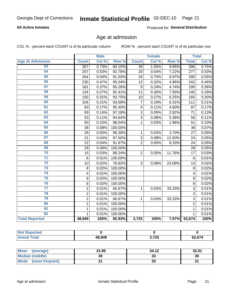### **All Active Inmates**

Produced for General Distribution

# Age at admission

COL % - percent each COUNT is of its particular column

|                         |                | <b>Male</b> |         |                | <b>Female</b> |        |                | <b>Total</b> |
|-------------------------|----------------|-------------|---------|----------------|---------------|--------|----------------|--------------|
| <b>Age At Admission</b> | <b>Count</b>   | Col %       | Row %   | <b>Count</b>   | Col %         | Row %  | <b>Total</b>   | Col %        |
| 53                      | 357            | 0.73%       | 90.15%  | 39             | 1.05%         | 9.85%  | 396            | 0.75%        |
| 54                      | 257            | 0.53%       | 92.78%  | 20             | 0.54%         | 7.22%  | 277            | 0.53%        |
| 55                      | 264            | 0.54%       | 91.03%  | 26             | 0.70%         | 8.97%  | 290            | 0.55%        |
| 56                      | 230            | 0.47%       | 95.04%  | 12             | 0.32%         | 4.96%  | 242            | 0.46%        |
| 57                      | 181            | 0.37%       | 95.26%  | 9              | 0.24%         | 4.74%  | 190            | 0.36%        |
| 58                      | 134            | 0.27%       | 92.41%  | 11             | 0.30%         | 7.59%  | 145            | 0.28%        |
| 59                      | 150            | 0.31%       | 93.75%  | 10             | 0.27%         | 6.25%  | 160            | 0.30%        |
| 60                      | 104            | 0.21%       | 93.69%  | $\overline{7}$ | 0.19%         | 6.31%  | 111            | 0.21%        |
| 61                      | 83             | 0.17%       | 95.40%  | 4              | 0.11%         | 4.60%  | 87             | 0.17%        |
| 62                      | 69             | 0.14%       | 97.18%  | $\overline{2}$ | 0.05%         | 2.82%  | 71             | 0.13%        |
| 63                      | 53             | 0.11%       | 94.64%  | $\overline{3}$ | 0.08%         | 5.36%  | 56             | 0.11%        |
| 64                      | 50             | 0.10%       | 98.04%  | $\mathbf{1}$   | 0.03%         | 1.96%  | 51             | 0.10%        |
| 65                      | 38             | 0.08%       | 100.00% |                |               |        | 38             | 0.07%        |
| 66                      | 26             | 0.05%       | 96.30%  | $\mathbf{1}$   | 0.03%         | 3.70%  | 27             | 0.05%        |
| 67                      | 21             | 0.04%       | 87.50%  | 3              | 0.08%         | 12.50% | 24             | 0.05%        |
| 68                      | 22             | 0.04%       | 91.67%  | $\overline{2}$ | 0.05%         | 8.33%  | 24             | 0.05%        |
| 69                      | 28             | 0.06%       | 100.00% |                |               |        | 28             | 0.05%        |
| 70                      | 15             | 0.03%       | 88.24%  | $\overline{2}$ | 0.05%         | 11.76% | 17             | 0.03%        |
| 71                      | 6              | 0.01%       | 100.00% |                |               |        | 6              | 0.01%        |
| $\overline{72}$         | 10             | 0.02%       | 76.92%  | 3              | 0.08%         | 23.08% | 13             | 0.02%        |
| $\overline{73}$         | 8              | 0.02%       | 100.00% |                |               |        | 8              | 0.02%        |
| 74                      | 4              | 0.01%       | 100.00% |                |               |        | 4              | 0.01%        |
| 75                      | 9              | 0.02%       | 100.00% |                |               |        | 9              | 0.02%        |
| 76                      | 8              | 0.02%       | 100.00% |                |               |        | 8              | 0.02%        |
| $\overline{77}$         | $\overline{c}$ | 0.01%       | 66.67%  | $\mathbf{1}$   | 0.03%         | 33.33% | $\overline{3}$ | 0.01%        |
| 78                      | $\overline{2}$ | 0.01%       | 100.00% |                |               |        | $\overline{2}$ | 0.01%        |
| 79                      | $\overline{c}$ | 0.01%       | 66.67%  | $\mathbf{1}$   | 0.03%         | 33.33% | 3              | 0.01%        |
| 80                      | $\overline{2}$ | 0.01%       | 100.00% |                |               |        | $\overline{2}$ | 0.01%        |
| 81                      | $\mathbf{1}$   | 0.01%       | 100.00% |                |               |        | 1              | 0.01%        |
| 82                      | 1              | 0.01%       | 100.00% |                |               |        | 1              | 0.01%        |
| <b>Total Reported</b>   | 48,949         | 100%        | 92.93%  | 3,725          | 100%          |        | 7.07% 52,674   | 100%         |

| <b>Not Reported</b>     |        |                 |        |
|-------------------------|--------|-----------------|--------|
| <b>Total</b><br>' Grand | 48,949 | ク フクロ<br>J.I LJ | 52,674 |

| Mean<br>(average)       | 31.85 | 34.12 | 32.01 |
|-------------------------|-------|-------|-------|
| <b>Median (middle)</b>  | 30    | აა    | 30    |
| Mode<br>(most frequent) |       | 25    | n,    |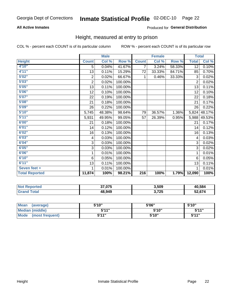### **All Active Inmates**

### Produced for General Distribution

### Height, measured at entry to prison

COL % - percent each COUNT is of its particular column

|                       |                         | <b>Male</b> |         |                  | <b>Female</b> |        | <b>Total</b>    |        |
|-----------------------|-------------------------|-------------|---------|------------------|---------------|--------|-----------------|--------|
| <b>Height</b>         | <b>Count</b>            | Col %       | Row %   | <b>Count</b>     | Col %         | Row %  | <b>Total</b>    | Col %  |
| 4'10"                 | 5                       | 0.04%       | 41.67%  | 7                | 3.24%         | 58.33% | $\overline{12}$ | 0.10%  |
| 4'11''                | 13                      | 0.11%       | 15.29%  | 72               | 33.33%        | 84.71% | 85              | 0.70%  |
| 5'02''                | $\overline{c}$          | 0.02%       | 66.67%  | 1                | 0.46%         | 33.33% | 3               | 0.02%  |
| 5'03''                | $\overline{c}$          | 0.02%       | 100.00% |                  |               |        | $\overline{2}$  | 0.02%  |
| 5'05''                | 13                      | 0.11%       | 100.00% |                  |               |        | 13              | 0.11%  |
| 5'06''                | 12                      | 0.10%       | 100.00% |                  |               |        | 12              | 0.10%  |
| 5'07''                | 22                      | 0.19%       | 100.00% |                  |               |        | 22              | 0.18%  |
| 5'08''                | 21                      | 0.18%       | 100.00% |                  |               |        | 21              | 0.17%  |
| 5'09''                | 26                      | 0.22%       | 100.00% |                  |               |        | 26              | 0.22%  |
| 5'10''                | 5,745                   | 48.38%      | 98.64%  | 79               | 36.57%        | 1.36%  | 5,824           | 48.17% |
| 5'11''                | 5,931                   | 49.95%      | 99.05%  | 57               | 26.39%        | 0.95%  | 5,988           | 49.53% |
| 6'00''                | 21                      | 0.18%       | 100.00% |                  |               |        | 21              | 0.17%  |
| 6'01''                | 14                      | 0.12%       | 100.00% |                  |               |        | 14              | 0.12%  |
| 6'02''                | 16                      | 0.13%       | 100.00% |                  |               |        | 16              | 0.13%  |
| 6'03''                | $\overline{\mathbf{4}}$ | 0.03%       | 100.00% |                  |               |        | 4               | 0.03%  |
| 6'04''                | $\mathbf{3}$            | 0.03%       | 100.00% |                  |               |        | 3               | 0.02%  |
| 6'05''                | 3                       | 0.03%       | 100.00% |                  |               |        | 3               | 0.02%  |
| 6'06''                | 1                       | 0.01%       | 100.00% |                  |               |        | 1               | 0.01%  |
| 6'10''                | 6                       | 0.05%       | 100.00% |                  |               |        | 6               | 0.05%  |
| 6'11''                | 13                      | 0.11%       | 100.00% |                  |               |        | 13              | 0.11%  |
| Seven feet +          | 1                       | 0.01%       | 100.00% |                  |               |        | 1               | 0.01%  |
| <b>Total Reported</b> | 11,874                  | 100%        | 98.21%  | $\overline{216}$ | 100%          | 1.79%  | 12,090          | 100%   |

| <b>Not</b><br><b>Reported</b> | 7.075<br>^7 | 3,509          | 40,584 |
|-------------------------------|-------------|----------------|--------|
| ⊺ota.                         | 48,949      | ク フクエ<br>J.ILJ | 52,674 |

| <b>Mean</b><br>(average)       | 5'10" | 5'06" | 5'10" |
|--------------------------------|-------|-------|-------|
| <b>Median (middle)</b>         | 544"  | 5'10" | 5'11" |
| <b>Mode</b><br>(most frequent) | 5'11" | 5'10" | 5'11" |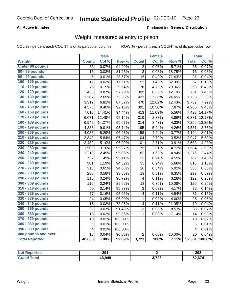### **All Active Inmates**

### Produced for General Distribution

# Weight, measured at entry to prison

COL % - percent each COUNT is of its particular column

|                        |                 | <b>Male</b> |         |                         | <b>Female</b> |        | <b>Total</b>    |        |
|------------------------|-----------------|-------------|---------|-------------------------|---------------|--------|-----------------|--------|
| <b>Weight</b>          | <b>Count</b>    | Col %       | Row %   | <b>Count</b>            | Col %         | Row %  | <b>Total</b>    | Col %  |
| <b>Under 80 pounds</b> | $\overline{33}$ | 0.07%       | 94.29%  | $\overline{2}$          | 0.05%         | 5.71%  | $\overline{35}$ | 0.07%  |
| 80 - 89 pounds         | 13              | 0.03%       | 81.25%  | 3                       | 0.08%         | 18.75% | 16              | 0.03%  |
| 90 - 99 pounds         | 6               | 0.01%       | 28.57%  | 15                      | 0.40%         | 71.43% | 21              | 0.04%  |
| 100 - 109 pounds       | 12              | 0.02%       | 17.91%  | 55                      | 1.48%         | 82.09% | 67              | 0.13%  |
| 110 - 119 pounds       | 75              | 0.15%       | 29.64%  | 178                     | 4.78%         | 70.36% | 253             | 0.48%  |
| 120 - 129 pounds       | 425             | 0.87%       | 57.90%  | 309                     | 8.30%         | 42.10% | 734             | 1.40%  |
| 130 - 139 pounds       | 1,307           | 2.69%       | 75.55%  | 423                     | 11.36%        | 24.45% | 1,730           | 3.30%  |
| 140 - 149 pounds       | 3,312           | 6.81%       | 87.57%  | 470                     | 12.62%        | 12.43% | 3,782           | 7.22%  |
| 150 - 159 pounds       | 4,575           | 9.40%       | 92.13%  | 391                     | 10.50%        | 7.87%  | 4,966           | 9.48%  |
| 160 - 169 pounds       | 7,010           | 14.41%      | 94.44%  | 413                     | 11.09%        | 5.56%  | 7,423           | 14.17% |
| 170 - 179 pounds       | 6,071           | 12.48%      | 95.14%  | 310                     | 8.33%         | 4.86%  | 6,381           | 12.18% |
| 180 - 189 pounds       | 6,942           | 14.27%      | 95.67%  | 314                     | 8.43%         | 4.33%  | 7,256           | 13.85% |
| 190 - 199 pounds       | 4,386           | 9.01%       | 95.74%  | 195                     | 5.24%         | 4.26%  | 4,581           | 8.75%  |
| 200 - 209 pounds       | 4,036           | 8.29%       | 96.23%  | 158                     | 4.24%         | 3.77%  | 4,194           | 8.01%  |
| 210 - 219 pounds       | 2,843           | 5.84%       | 96.47%  | 104                     | 2.79%         | 3.53%  | 2,947           | 5.63%  |
| 220 - 229 pounds       | 2,482           | 5.10%       | 96.09%  | 101                     | 2.71%         | 3.91%  | 2,583           | 4.93%  |
| 230 - 239 pounds       | 1,509           | 3.10%       | 95.27%  | 75                      | 2.01%         | 4.73%  | 1,584           | 3.02%  |
| 240 - 249 pounds       | 1,213           | 2.49%       | 95.06%  | 63                      | 1.69%         | 4.94%  | 1,276           | 2.44%  |
| 250 - 259 pounds       | 727             | 1.49%       | 95.41%  | 35                      | 0.94%         | 4.59%  | 762             | 1.45%  |
| 260 - 269 pounds       | 581             | 1.19%       | 94.32%  | 35                      | 0.94%         | 5.68%  | 616             | 1.18%  |
| 270 - 279 pounds       | 318             | 0.65%       | 94.08%  | 20                      | 0.54%         | 5.92%  | 338             | 0.65%  |
| 280 - 289 pounds       | 280             | 0.58%       | 93.65%  | 19                      | 0.51%         | 6.35%  | 299             | 0.57%  |
| 290 - 299 pounds       | 118             | 0.24%       | 96.72%  | 4                       | 0.11%         | 3.28%  | 122             | 0.23%  |
| 300 - 309 pounds       | 116             | 0.24%       | 89.92%  | 13                      | 0.35%         | 10.08% | 129             | 0.25%  |
| 310 - 319 pounds       | 69              | 0.14%       | 95.83%  | 3                       | 0.08%         | 4.17%  | 72              | 0.14%  |
| 320 - 329 pounds       | 77              | 0.16%       | 95.06%  | $\overline{\mathbf{4}}$ | 0.11%         | 4.94%  | 81              | 0.15%  |
| 330 - 339 pounds       | 24              | 0.05%       | 96.00%  | $\mathbf{1}$            | 0.03%         | 4.00%  | 25              | 0.05%  |
| 340 - 349 pounds       | 15              | 0.03%       | 78.95%  | $\overline{\mathbf{4}}$ | 0.11%         | 21.05% | 19              | 0.04%  |
| 350 - 359 pounds       | 32              | 0.07%       | 91.43%  | 3                       | 0.08%         | 8.57%  | 35              | 0.07%  |
| 360 - 369 pounds       | 13              | 0.03%       | 92.86%  | $\mathbf{1}$            | 0.03%         | 7.14%  | 14              | 0.03%  |
| 370 - 379 pounds       | 10              | 0.02%       | 100.00% |                         |               |        | 10              | 0.02%  |
| 380 - 389 pounds       | 6               | 0.01%       | 100.00% |                         |               |        | 6               | 0.01%  |
| 390 - 399 pounds       | 4               | 0.01%       | 100.00% |                         |               |        | $\overline{4}$  | 0.01%  |
| 400 pounds and over    | 18              | 0.04%       | 90.00%  | $\overline{2}$          | 0.05%         | 10.00% | 20              | 0.04%  |
| <b>Total Reported</b>  | 48,658          | 100%        | 92.89%  | 3,723                   | 100%          | 7.11%  | 52,381          | 100.0% |

| Reported<br><b>NOT</b> | 291    |                 | 293    |
|------------------------|--------|-----------------|--------|
| <b>Total</b><br>"Gra.  | 48,949 | ) フクに<br>נים וי | 52,674 |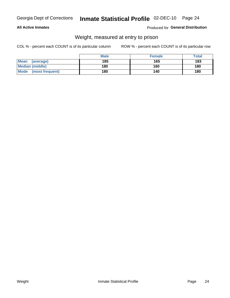### **All Active Inmates**

### Produced for General Distribution

# Weight, measured at entry to prison

COL % - percent each COUNT is of its particular column

|                          | <b>Male</b> | <b>Female</b> | Total |
|--------------------------|-------------|---------------|-------|
| <b>Mean</b><br>(average) | 185         | 165           | 183   |
| <b>Median (middle)</b>   | 180         | 160           | 180   |
| Mode<br>(most frequent)  | 180         | 140           | 180   |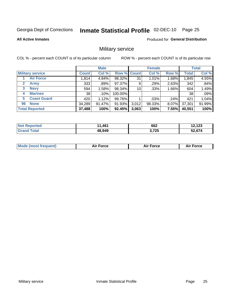# Inmate Statistical Profile 02-DEC-10 Page 25

### **All Active Inmates**

Produced for General Distribution

### Military service

COL % - percent each COUNT is of its particular column

|                          |              | <b>Male</b> |                    |       | <b>Female</b> |          |              | <b>Total</b> |
|--------------------------|--------------|-------------|--------------------|-------|---------------|----------|--------------|--------------|
| <b>Military service</b>  | <b>Count</b> | Col %       | <b>Row % Count</b> |       | Col %         | Row %    | <b>Total</b> | Col %        |
| <b>Air Force</b>         | 1,814        | 4.84%       | 98.32%             | 31    | 1.01%         | 1.68%    | 1,845        | 4.55%        |
| 2<br>Army                | 333          | $.89\%$     | 97.37%             | 9     | .29%          | 2.63%    | 342          | .84%         |
| <b>Navy</b><br>3         | 594          | $1.58\%$    | 98.34%             | 10    | .33%          | 1.66%    | 604          | 1.49%        |
| <b>Marines</b><br>4      | 38           | $.10\%$     | 100.00%            |       |               |          | 38           | .09%         |
| <b>Coast Guard</b><br>5. | 420          | 1.12%       | 99.76%             |       | .03%          | .24%     | 421          | 1.04%        |
| <b>None</b><br>96        | 34,289       | 91.47%      | 91.93%             | 3,012 | 98.33%        | 8.07%    | 37,301       | 91.99%       |
| <b>Total Reported</b>    | 37,488       | 100%        | 92.45%             | 3,063 | 100%          | $7.55\%$ | 40,551       | 100%         |

| <b>Not</b>             | ,461   | 662             | פר גר  |
|------------------------|--------|-----------------|--------|
| <b>ported:</b>         | 44     |                 | 143    |
| <b>otal</b><br>' Grano | 48,949 | ? フクベ<br>J.I ZJ | 52,674 |

| <b>Mode (most frequent)</b><br><b>Force</b><br><b>Force</b><br>orce<br>Aır |
|----------------------------------------------------------------------------|
|----------------------------------------------------------------------------|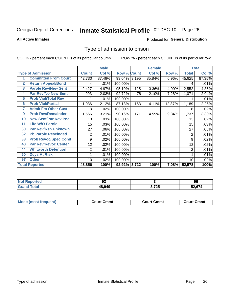#### Inmate Statistical Profile 02-DEC-10 Page 26

#### **All Active Inmates**

### **Produced for General Distribution**

### Type of admission to prison

COL % - percent each COUNT is of its particular column

|                |                             |                 | <b>Male</b> |                    |     | <b>Female</b> |        |              | <b>Total</b> |
|----------------|-----------------------------|-----------------|-------------|--------------------|-----|---------------|--------|--------------|--------------|
|                | <b>Type of Admission</b>    | <b>Count</b>    | Col %       | <b>Row % Count</b> |     | Col %         | Row %  | <b>Total</b> | Col %        |
|                | <b>Committed From Court</b> | 42,730          | 87.46%      | 93.04% 3,195       |     | 85.84%        | 6.96%  | 45,925       | 87.35%       |
| $\overline{2}$ | <b>Return Appeal/Bond</b>   | 4               | .01%        | 100.00%            |     |               |        | 4            | .01%         |
| 3              | <b>Parole Rev/New Sent</b>  | 2,427           | 4.97%       | 95.10%             | 125 | 3.36%         | 4.90%  | 2,552        | 4.85%        |
| 4              | <b>Par Rev/No New Sent</b>  | 993             | 2.03%       | 92.72%             | 78  | 2.10%         | 7.28%  | 1,071        | 2.04%        |
| 5              | <b>Prob Viol/Total Rev</b>  |                 | .01%        | 100.00%            |     |               |        |              | .01%         |
| 6              | <b>Prob Viol/Partial</b>    | 1,036           | 2.12%       | 87.13%             | 153 | 4.11%         | 12.87% | 1,189        | 2.26%        |
| 7              | <b>Admit Fm Other Cust</b>  | 8               | .02%        | 100.00%            |     |               |        | 8            | .02%         |
| 9              | <b>Prob Rev/Remainder</b>   | 1,566           | 3.21%       | 90.16%             | 171 | 4.59%         | 9.84%  | 1,737        | 3.30%        |
| 10             | <b>New Sent/Par Rev Pnd</b> | 13              | .03%        | 100.00%            |     |               |        | 13           | .02%         |
| 11             | <b>Life W/O Parole</b>      | 15              | .03%        | 100.00%            |     |               |        | 15           | .03%         |
| 30             | <b>Par Rev/Rsn Unknown</b>  | 27              | .06%        | 100.00%            |     |               |        | 27           | .05%         |
| 32             | <b>Pb Parole Rescinded</b>  | $\overline{c}$  | .01%        | 100.00%            |     |               |        | 2            | .01%         |
| 33             | <b>Prob Revoc/Spec Cond</b> | 9               | $.02\%$     | 100.00%            |     |               |        | 9            | .02%         |
| 40             | <b>Par Rev/Revoc Center</b> | 12 <sub>2</sub> | .02%        | 100.00%            |     |               |        | 12           | .02%         |
| 44             | <b>Whitworth Detention</b>  | $\overline{2}$  | .01%        | 100.00%            |     |               |        | 2            | .01%         |
| 50             | <b>Dcys At Risk</b>         | 1               | .01%        | 100.00%            |     |               |        |              | .01%         |
| 97             | <b>Other</b>                | 10              | .02%        | 100.00%            |     |               |        | 10           | .02%         |
|                | <b>Total Reported</b>       | 48,856          | 100%        | 92.92% 3,722       |     | 100%          | 7.08%  | 52,578       | 100%         |

| <b>Not</b><br><b>Reported</b> | ດາ<br>JJ |       | 96     |
|-------------------------------|----------|-------|--------|
| Total<br>. Gran               | 48,949   | 3,725 | 52.674 |

| <b>Mode (most frequent)</b> | Court Cmmt | <b>Court Cmmt</b> | Court Cmmt |
|-----------------------------|------------|-------------------|------------|
|                             |            |                   |            |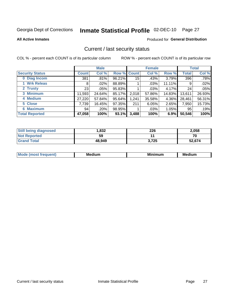# Inmate Statistical Profile 02-DEC-10 Page 27

**Produced for General Distribution** 

#### **All Active Inmates**

### Current / last security status

COL % - percent each COUNT is of its particular column

|                        |              | <b>Male</b> |                    |       | <b>Female</b> |          |                 | <b>Total</b> |
|------------------------|--------------|-------------|--------------------|-------|---------------|----------|-----------------|--------------|
| <b>Security Status</b> | <b>Count</b> | Col %       | <b>Row % Count</b> |       | Col %         | Row %    | Total           | Col %        |
| 0 Diag Incom           | 381          | .81%        | 96.21%             | 15    | .43%          | 3.79%    | 396             | .78%         |
| 1 Wrk Releas           | 8            | .02%        | 88.89%             |       | .03%          | 11.11%   | 9               | .02%         |
| 2 Trusty               | 23           | $.05\%$     | 95.83%             |       | $.03\%$       | 4.17%    | 24              | .05%         |
| 3 Minimum              | 11,593       | 24.64%      | 85.17%             | 2,018 | 57.86%        | 14.83%   | 13,611          | 26.93%       |
| 4 Medium               | 27,220       | 57.84%      | 95.64%             | 1,241 | 35.58%        | 4.36%    | 28,461          | 56.31%       |
| 5 Close                | 7,739        | 16.45%      | 97.35%             | 211   | 6.05%         | 2.65%    | 7,950           | 15.73%       |
| <b>Maximum</b><br>6.   | 94           | .20%        | 98.95%             |       | .03%          | $1.05\%$ | 95 <sub>1</sub> | .19%         |
| <b>Total Reported</b>  | 47,058       | 100%        | 93.1%              | 3,488 | 100%          | 6.9%     | 50,546          | 100%         |

| <b>Still being diagnosed</b> | .832   | 226   | 2,058  |
|------------------------------|--------|-------|--------|
| <b>Not Reported</b>          | 59     |       | 70     |
| <b>Grand Total</b>           | 48,949 | 3,725 | 52.674 |

| <b>Mode</b><br>`reauent) | <b>Medium</b> | <b>BRID</b><br>num | Mer<br>dium |
|--------------------------|---------------|--------------------|-------------|
|                          |               |                    |             |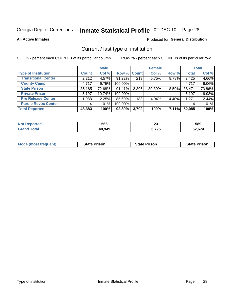# Inmate Statistical Profile 02-DEC-10 Page 28

**All Active Inmates** 

### Produced for General Distribution

# Current / last type of institution

COL % - percent each COUNT is of its particular column

|                            |              | <b>Male</b> |             |                  | <b>Female</b> |        |              | <b>Total</b> |
|----------------------------|--------------|-------------|-------------|------------------|---------------|--------|--------------|--------------|
| <b>Type of Institution</b> | <b>Count</b> | Col %       | Row % Count |                  | Col %         | Row %  | <b>Total</b> | Col %        |
| <b>Transitional Center</b> | 2,212        | 4.57%       | 91.22%      | 213              | 5.75%         | 8.78%  | 2,425        | 4.66%        |
| <b>County Camp</b>         | 4,717        | 9.75%       | 100.00%     |                  |               |        | 4,717        | 9.06%        |
| <b>State Prison</b>        | 35,165       | 72.68%      | 91.41%      | 3,306            | 89.30%        | 8.59%  | 38,471       | 73.86%       |
| <b>Private Prison</b>      | 5,197        | 10.74%      | 100.00%     |                  |               |        | 5,197        | 9.98%        |
| <b>Pre Release Center</b>  | 1,088        | 2.25%       | 85.60%      | 183 <sub>1</sub> | 4.94%         | 14.40% | 1,271        | 2.44%        |
| <b>Parole Revoc Center</b> | 4            | $.01\%$     | 100.00%     |                  |               |        | 4            | .01%         |
| <b>Total Reported</b>      | 48,383       | 100%        | 92.89%      | 3,702            | 100%          | 7.11%  | 52,085       | 100%         |

| w<br>е | 566           | n.<br>20               | 589  |
|--------|---------------|------------------------|------|
|        | <b>48 Q40</b> | <b>2.725</b><br>J,I LJ | . מי |

|  |  | <b>Mode (most frequent)</b> | <b>State Prison</b> | <b>State Prison</b> | <b>State Prison</b> |
|--|--|-----------------------------|---------------------|---------------------|---------------------|
|--|--|-----------------------------|---------------------|---------------------|---------------------|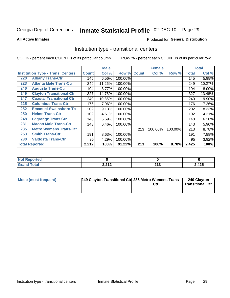#### Inmate Statistical Profile 02-DEC-10 Page 29

**All Active Inmates** 

### Produced for General Distribution

### Institution type - transitional centers

COL % - percent each COUNT is of its particular column

|                                          |                                 |              | <b>Male</b> |         |              | <b>Female</b> |         |              | <b>Total</b> |
|------------------------------------------|---------------------------------|--------------|-------------|---------|--------------|---------------|---------|--------------|--------------|
| <b>Institution Type - Trans. Centers</b> |                                 | <b>Count</b> | Col %       | Row %   | <b>Count</b> | Col %         | Row %   | <b>Total</b> | Col %        |
| 220                                      | <b>Albany Trans-Ctr</b>         | 145          | 6.56%       | 100.00% |              |               |         | 145          | 5.98%        |
| 223                                      | <b>Atlanta Male Trans-Ctr</b>   | 249          | 11.26%      | 100.00% |              |               |         | 249          | 10.27%       |
| 246                                      | <b>Augusta Trans-Ctr</b>        | 194          | 8.77%       | 100.00% |              |               |         | 194          | $8.00\%$     |
| 249                                      | <b>Clayton Transitional Ctr</b> | 327          | 14.78%      | 100.00% |              |               |         | 327          | 13.48%       |
| 247                                      | <b>Coastal Transitional Ctr</b> | 240          | 10.85%      | 100.00% |              |               |         | 240          | 9.90%        |
| 225                                      | <b>Columbus Trans-Ctr</b>       | 176          | 7.96%       | 100.00% |              |               |         | 176          | 7.26%        |
| 252                                      | <b>Emanuel-Swainsboro Tc</b>    | 202          | 9.13%       | 100.00% |              |               |         | 202          | 8.33%        |
| 250                                      | <b>Helms Trans-Ctr</b>          | 102          | 4.61%       | 100.00% |              |               |         | 102          | 4.21%        |
| 248                                      | <b>Lagrange Trans Ctr</b>       | 148          | 6.69%       | 100.00% |              |               |         | 148          | 6.10%        |
| 231                                      | <b>Macon Male Trans-Ctr</b>     | 143          | 6.46%       | 100.00% |              |               |         | 143          | 5.90%        |
| 235                                      | <b>Metro Womens Trans-Ctr</b>   |              |             |         | 213          | 100.00%       | 100.00% | 213          | 8.78%        |
| 253                                      | <b>Smith Trans-Ctr</b>          | 191          | 8.63%       | 100.00% |              |               |         | 191          | 7.88%        |
| 230                                      | <b>Valdosta Trans-Ctr</b>       | 95           | 4.29%       | 100.00% |              |               |         | 95           | 3.92%        |
|                                          | <b>Total Reported</b>           | 2,212        | 100%        | 91.22%  | 213          | 100%          | 8.78%   | 2,425        | 100%         |

| <b>rteo</b><br>N |                         |                       |       |
|------------------|-------------------------|-----------------------|-------|
|                  | <b>2.212</b><br>L, L, L | $\mathbf{a}$<br>2 I J | 2,425 |

| <b>Mode (most frequent)</b> | 249 Clayton Transitional Ctr 235 Metro Womens Trans- | 249 Clayton<br>Transitional Ctr |
|-----------------------------|------------------------------------------------------|---------------------------------|
|                             |                                                      |                                 |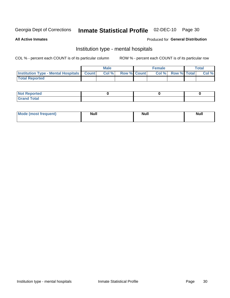#### Inmate Statistical Profile 02-DEC-10 Page 30

#### **All Active Inmates**

### Produced for General Distribution

### Institution type - mental hospitals

COL % - percent each COUNT is of its particular column

|                                                  | Male |                    | <b>Female</b> |                   | <b>Total</b> |
|--------------------------------------------------|------|--------------------|---------------|-------------------|--------------|
| <b>Institution Type - Mental Hospitals Count</b> | Col% | <b>Row % Count</b> |               | Col % Row % Total | Col %        |
| <b>Total Reported</b>                            |      |                    |               |                   |              |

| <b>Not Reported</b>                     |  |  |
|-----------------------------------------|--|--|
| <b>otal</b><br>C <sub>r</sub><br>______ |  |  |

| Mode.<br>frequent) | <b>Nul</b><br>_____ | <b>Null</b> | <b>Null</b> |
|--------------------|---------------------|-------------|-------------|
|                    |                     |             |             |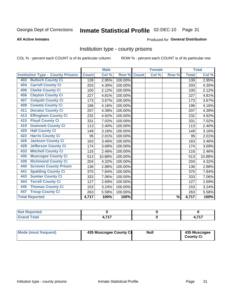# Inmate Statistical Profile 02-DEC-10 Page 31

#### **All Active Inmates**

### **Produced for General Distribution**

### Institution type - county prisons

COL % - percent each COUNT is of its particular column

|                                          |              | <b>Male</b> |         |              | <b>Female</b> |               |              | <b>Total</b> |
|------------------------------------------|--------------|-------------|---------|--------------|---------------|---------------|--------------|--------------|
| <b>Institution Type - County Prisons</b> | <b>Count</b> | Col %       | Row %   | <b>Count</b> | Col %         | Row %         | <b>Total</b> | Col %        |
| <b>Bulloch County Ci</b><br>402          | 139          | 2.95%       | 100.00% |              |               |               | 139          | 2.95%        |
| <b>Carroll County Ci</b><br>404          | 203          | 4.30%       | 100.00% |              |               |               | 203          | 4.30%        |
| <b>Clarke County Ci</b><br>406           | 100          | 2.12%       | 100.00% |              |               |               | 100          | 2.12%        |
| <b>Clayton County Ci</b><br>456          | 227          | 4.81%       | 100.00% |              |               |               | 227          | 4.81%        |
| <b>Colquitt County Ci</b><br>407         | 173          | 3.67%       | 100.00% |              |               |               | 173          | 3.67%        |
| <b>Coweta County Ci</b><br>409           | 196          | 4.16%       | 100.00% |              |               |               | 196          | 4.16%        |
| <b>Decatur County Ci</b><br>411          | 207          | 4.39%       | 100.00% |              |               |               | 207          | 4.39%        |
| <b>Effingham County Ci</b><br>413        | 232          | 4.92%       | 100.00% |              |               |               | 232          | 4.92%        |
| <b>Floyd County Ci</b><br>415            | 331          | 7.02%       | 100.00% |              |               |               | 331          | 7.02%        |
| <b>Gwinnett County Ci</b><br>419         | 113          | 2.40%       | 100.00% |              |               |               | 113          | 2.40%        |
| <b>Hall County Ci</b><br>420             | 149          | 3.16%       | 100.00% |              |               |               | 149          | 3.16%        |
| <b>Harris County Ci</b><br>422           | 95           | 2.01%       | 100.00% |              |               |               | 95           | 2.01%        |
| <b>Jackson County Ci</b><br>426          | 163          | 3.46%       | 100.00% |              |               |               | 163          | 3.46%        |
| <b>Jefferson County Ci</b><br>428        | 174          | 3.69%       | 100.00% |              |               |               | 174          | 3.69%        |
| <b>Mitchell County Ci</b><br>433         | 116          | 2.46%       | 100.00% |              |               |               | 116          | 2.46%        |
| <b>Muscogee County Ci</b><br>435         | 513          | 10.88%      | 100.00% |              |               |               | 513          | 10.88%       |
| <b>Richmond County Ci</b><br>439         | 204          | 4.32%       | 100.00% |              |               |               | 204          | 4.32%        |
| <b>Screven County Prison</b><br>440      | 136          | 2.88%       | 100.00% |              |               |               | 136          | 2.88%        |
| <b>Spalding County Ci</b><br>441         | 370          | 7.84%       | 100.00% |              |               |               | 370          | 7.84%        |
| <b>Sumter County Ci</b><br>443           | 333          | 7.06%       | 100.00% |              |               |               | 333          | 7.06%        |
| <b>Terrell County Ci</b><br>444          | 127          | 2.69%       | 100.00% |              |               |               | 127          | 2.69%        |
| <b>Thomas County Ci</b><br>445           | 153          | 3.24%       | 100.00% |              |               |               | 153          | 3.24%        |
| <b>Troup County Ci</b><br>447            | 263          | 5.58%       | 100.00% |              |               |               | 263          | 5.58%        |
| <b>Total Reported</b>                    | 4,717        | 100%        | 100%    |              |               | $\frac{9}{6}$ | 4,717        | 100%         |

| <b>Not</b><br>Reported       |        |                 |
|------------------------------|--------|-----------------|
| <b>Total</b><br><b>Grand</b> | $474-$ | 747<br>T.I<br>. |

| <b>Mode (most frequent)</b> | 435 Muscogee County Ci | <b>Null</b> | 435 Muscogee<br><b>County Ci</b> |
|-----------------------------|------------------------|-------------|----------------------------------|
|                             |                        |             |                                  |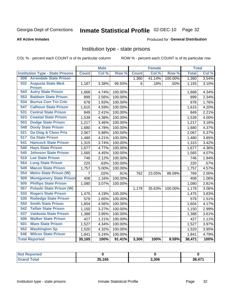# Inmate Statistical Profile 02-DEC-10 Page 32

**All Active Inmates** 

### Produced for General Distribution

### Institution type - state prisons

COL % - percent each COUNT is of its particular column

|                                         |              | <b>Male</b> |         |              | <b>Female</b> |         | <b>Total</b> |       |
|-----------------------------------------|--------------|-------------|---------|--------------|---------------|---------|--------------|-------|
| <b>Institution Type - State Prisons</b> | <b>Count</b> | Col %       | Row %   | <b>Count</b> | Col %         | Row %   | <b>Total</b> | Col % |
| <b>Arrendale State Prison</b><br>508    |              |             |         | 1,360        | 41.14%        | 100.00% | 1,360        | 3.54% |
| 532<br><b>Augusta State Med.</b>        | 1,187        | 3.38%       | 99.50%  | 6            | .18%          | .50%    | 1,193        | 3.10% |
| <b>Prison</b>                           |              |             |         |              |               |         |              |       |
| <b>Autry State Prison</b><br>543        | 1,668        | 4.74%       | 100.00% |              |               |         | 1,668        | 4.34% |
| 553<br><b>Baldwin State Prison</b>      | 899          | 2.56%       | 100.00% |              |               |         | 899          | 2.34% |
| 534<br><b>Burrus Corr Trn Cntr</b>      | 678          | 1.93%       | 100.00% |              |               |         | 678          | 1.76% |
| <b>Calhoun State Prison</b><br>547      | 1,615        | 4.59%       | 100.00% |              |               |         | 1,615        | 4.20% |
| 531<br><b>Central State Prison</b>      | 849          | 2.41%       | 100.00% |              |               |         | 849          | 2.21% |
| 523<br><b>Coastal State Prison</b>      | 1,539        | 4.38%       | 100.00% |              |               |         | 1,539        | 4.00% |
| <b>Dodge State Prison</b><br>503        | 1,217        | 3.46%       | 100.00% |              |               |         | 1,217        | 3.16% |
| 548<br><b>Dooly State Prison</b>        | 1,680        | 4.78%       | 100.00% |              |               |         | 1,680        | 4.37% |
| <b>Ga Diag &amp; Class Pris</b><br>521  | 2,067        | 5.88%       | 100.00% |              |               |         | 2,067        | 5.37% |
| <b>Ga State Prison</b><br>517           | 1,480        | 4.21%       | 100.00% |              |               |         | 1,480        | 3.85% |
| <b>Hancock State Prison</b><br>541      | 1,315        | 3.74%       | 100.00% |              |               |         | 1,315        | 3.42% |
| 540<br><b>Hays State Prison</b>         | 1,677        | 4.77%       | 100.00% |              |               |         | 1,677        | 4.36% |
| <b>Johnson State Prison</b><br>545      | 1,565        | 4.45%       | 100.00% |              |               |         | 1,565        | 4.07% |
| 510<br><b>Lee State Prison</b>          | 746          | 2.12%       | 100.00% |              |               |         | 746          | 1.94% |
| 564<br><b>Long State Prison</b>         | 220          | .63%        | 100.00% |              |               |         | 220          | .57%  |
| <b>Macon State Prison</b><br>549        | 1,757        | 5.00%       | 100.00% |              |               |         | 1,757        | 4.57% |
| 554<br><b>Metro State Prison (W)</b>    | 7            | .02%        | .91%    | 762          | 23.05%        | 99.09%  | 769          | 2.00% |
| <b>Montgomery State Prison</b><br>509   | 408          | 1.16%       | 100.00% |              |               |         | 408          | 1.06% |
| <b>Phillips State Prison</b><br>505     | 1,080        | 3.07%       | 100.00% |              |               |         | 1,080        | 2.81% |
| <b>Pulaski State Prison (W)</b><br>557  |              |             |         | 1,178        | 35.63%        | 100.00% | 1,178        | 3.06% |
| <b>Rogers State Prison</b><br>533       | 1,475        | 4.19%       | 100.00% |              |               |         | 1,475        | 3.83% |
| <b>Rutledge State Prison</b><br>530     | 579          | 1.65%       | 100.00% |              |               |         | 579          | 1.51% |
| <b>Smith State Prison</b><br>550        | 1,604        | 4.56%       | 100.00% |              |               |         | 1,604        | 4.17% |
| 542<br><b>Telfair State Prison</b>      | 1,150        | 3.27%       | 100.00% |              |               |         | 1,150        | 2.99% |
| <b>Valdosta State Prison</b><br>537     | 1,388        | 3.95%       | 100.00% |              |               |         | 1,388        | 3.61% |
| <b>Walker State Prison</b><br>506       | 427          | 1.21%       | 100.00% |              |               |         | 427          | 1.11% |
| <b>Ware State Prison</b><br>501         | 1,527        | 4.34%       | 100.00% |              |               |         | 1,527        | 3.97% |
| 552<br><b>Washington Sp</b>             | 1,520        | 4.32%       | 100.00% |              |               |         | 1,520        | 3.95% |
| 546<br><b>Wilcox State Prison</b>       | 1,841        | 5.24%       | 100.00% |              |               |         | 1,841        | 4.79% |
| <b>Total Reported</b>                   | 35,165       | 100%        | 91.41%  | 3,306        | 100%          | 8.59%   | 38,471       | 100%  |

| N <sub>of</sub><br>™rteα |        |       |              |
|--------------------------|--------|-------|--------------|
| Гоtal                    | 35,165 | 3,306 | 474<br>38 A7 |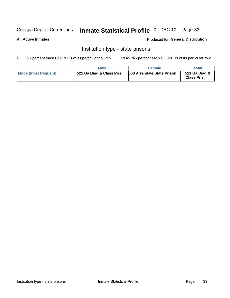# Inmate Statistical Profile 02-DEC-10 Page 33

#### **All Active Inmates**

#### Produced for General Distribution

### Institution type - state prisons

COL % - percent each COUNT is of its particular column

|                      | <b>Male</b>                         | <b>Female</b>                     | Total                              |
|----------------------|-------------------------------------|-----------------------------------|------------------------------------|
| Mode (most frequent) | <b>521 Ga Diag &amp; Class Pris</b> | <b>508 Arrendale State Prison</b> | 521 Ga Diag &<br><b>Class Pris</b> |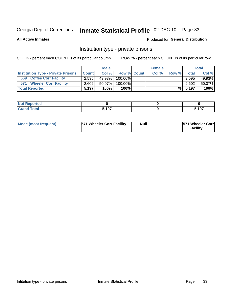# Inmate Statistical Profile 02-DEC-10 Page 33

**All Active Inmates** 

### Produced for General Distribution

### Institution type - private prisons

COL % - percent each COUNT is of its particular column

|                                           |              | <b>Male</b> |                    | <b>Female</b> |       |            | <b>Total</b> |
|-------------------------------------------|--------------|-------------|--------------------|---------------|-------|------------|--------------|
| <b>Institution Type - Private Prisons</b> | <b>Count</b> | Col%        | <b>Row % Count</b> | Col %         | Row % | Total      | Col %        |
| 569<br><b>Coffee Corr Facility</b>        | 2,595        | 49.93%      | $100.00\%$         |               |       | 2.595      | 49.93%       |
| <b>Wheeler Corr Facility</b><br>571       | 2,602        | $50.07\%$   | 100.00%            |               |       | 2.602      | 50.07%       |
| <b>Total Reported</b>                     | 5.197        | 100%        | $100\%$            |               |       | $\%$ 5,197 | 100%         |

| . Reported<br>INOT<br>$\sim$ |            |       |
|------------------------------|------------|-------|
| <b>otal</b>                  | E 107<br>. | 5,197 |

| Mode (most frequent) | 571 Wheeler Corr Facility | <b>Null</b> | <b>571 Wheeler Corrl</b><br>Facilitv |
|----------------------|---------------------------|-------------|--------------------------------------|
|----------------------|---------------------------|-------------|--------------------------------------|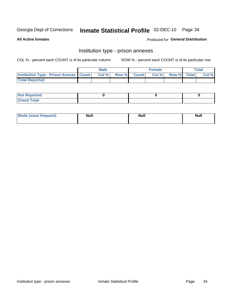# Inmate Statistical Profile 02-DEC-10 Page 34

**All Active Inmates** 

Produced for General Distribution

# Institution type - prison annexes

COL % - percent each COUNT is of its particular column

|                                                   | <b>Male</b> |       |              | <b>Female</b> |             | <b>Total</b> |
|---------------------------------------------------|-------------|-------|--------------|---------------|-------------|--------------|
| <b>Institution Type - Prison Annexe   Count  </b> | Col %       | Row % | <b>Count</b> | Col %         | Row % Total | Col %        |
| <b>Total Reported</b>                             |             |       |              |               |             |              |

| <b>Reported</b><br>I NOT                      |  |  |
|-----------------------------------------------|--|--|
| <b>Total</b><br>Carar<br>$\sim$ . When $\sim$ |  |  |

| <b>Mode</b>     | <b>Null</b> | <b>Null</b> | <b>Null</b> |
|-----------------|-------------|-------------|-------------|
| most frequent). |             |             |             |
|                 |             |             |             |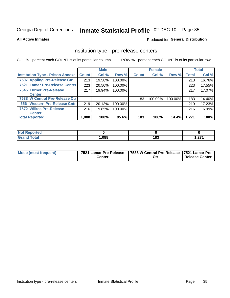# Inmate Statistical Profile 02-DEC-10 Page 35

**All Active Inmates** 

Produced for General Distribution

# Institution type - pre-release centers

COL % - percent each COUNT is of its particular column

|                                         |              | <b>Male</b> |         |              | <b>Female</b> |         |              | <b>Total</b> |
|-----------------------------------------|--------------|-------------|---------|--------------|---------------|---------|--------------|--------------|
| <b>Institution Type - Prison Annexe</b> | <b>Count</b> | Col %       | Row %   | <b>Count</b> | Col %         | Row %   | <b>Total</b> | Col %        |
| 7507 Appling Pre-Release Ctr            | 213          | 19.58%      | 100.00% |              |               |         | 213          | 16.76%       |
| 7521 Lamar Pre-Release Center           | 223          | 20.50%      | 100.00% |              |               |         | 223          | 17.55%       |
| <b>7546 Turner Pre-Release</b>          | 217          | 19.94%      | 100.00% |              |               |         | 217          | 17.07%       |
| <b>Center</b>                           |              |             |         |              |               |         |              |              |
| 7538 W Central Pre-Release Ctr          |              |             |         | 183          | 100.00%       | 100.00% | 183          | 14.40%       |
| 556 Western Pre-Release Cntr            | 219          | 20.13%      | 100.00% |              |               |         | 219          | 17.23%       |
| 7572 Wilkes Pre-Release                 | 216          | 19.85%      | 100.00% |              |               |         | 216          | 16.99%       |
| <b>Center</b>                           |              |             |         |              |               |         |              |              |
| <b>Total Reported</b>                   | 1,088        | 100%        | 85.6%   | 183          | 100%          | 14.4%   | 1,271        | 100%         |

| .eported      |      |     |                       |
|---------------|------|-----|-----------------------|
| <b>c</b> otal | ,088 | 183 | - 274<br>. <i>.</i> . |

| Mode (most frequent) | Center | 7521 Lamar Pre-Release   7538 W Central Pre-Release   7521 Lamar Pre-  <br>Ctr | Release Center |
|----------------------|--------|--------------------------------------------------------------------------------|----------------|
|                      |        |                                                                                |                |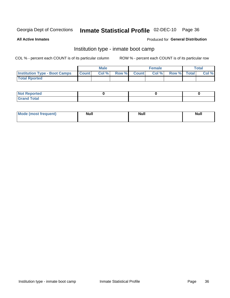# Inmate Statistical Profile 02-DEC-10 Page 36

**All Active Inmates** 

### Produced for General Distribution

## Institution type - inmate boot camp

COL % - percent each COUNT is of its particular column

|                                      |                  | <b>Male</b> |              |              | <b>Female</b> |             | <b>Total</b> |
|--------------------------------------|------------------|-------------|--------------|--------------|---------------|-------------|--------------|
| <b>Institution Type - Boot Camps</b> | <b>I</b> Count I | Col %       | <b>Row %</b> | <b>Count</b> | Col %         | Row % Total | Col %        |
| <b>Total Rported</b>                 |                  |             |              |              |               |             |              |

| <b>Not Reported</b>            |  |  |
|--------------------------------|--|--|
| <b>Total</b><br>C <sub>r</sub> |  |  |

| <b>Mode (most frequent)</b> | <b>Null</b> | <b>Null</b> | <b>Null</b> |
|-----------------------------|-------------|-------------|-------------|
|                             |             |             |             |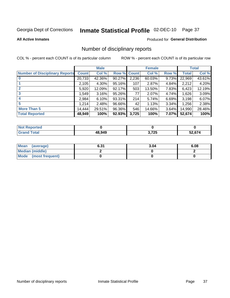# Inmate Statistical Profile 02-DEC-10 Page 37

#### **All Active Inmates**

#### Produced for General Distribution

## Number of disciplinary reports

COL % - percent each COUNT is of its particular column

|                                       |              | <b>Male</b> |        |       | <b>Female</b> |          |              | <b>Total</b> |
|---------------------------------------|--------------|-------------|--------|-------|---------------|----------|--------------|--------------|
| <b>Number of Disciplinary Reports</b> | <b>Count</b> | Col %       | Row %  | Count | Col %         | Row %    | <b>Total</b> | Col %        |
| $\bf{0}$                              | 20,733       | 42.36%      | 90.27% | 2,236 | 60.03%        | 9.73%    | 22,969       | 43.61%       |
|                                       | 2,105        | 4.30%       | 95.16% | 107   | 2.87%         | 4.84%    | 2,212        | 4.20%        |
| $\overline{2}$                        | 5,920        | 12.09%      | 92.17% | 503   | 13.50%        | 7.83%    | 6,423        | 12.19%       |
| 3                                     | 1,549        | 3.16%       | 95.26% | 77    | 2.07%         | 4.74%    | 1,626        | 3.09%        |
| 4                                     | 2,984        | 6.10%       | 93.31% | 214   | 5.74%         | 6.69%    | 3,198        | 6.07%        |
| 5                                     | 1,214        | 2.48%       | 96.66% | 42    | 1.13%         | $3.34\%$ | 1,256        | 2.38%        |
| <b>More Than 5</b>                    | 14,444       | 29.51%      | 96.36% | 546   | 14.66%        | $3.64\%$ | 14,990       | 28.46%       |
| <b>Total Reported</b>                 | 48,949       | 100%        | 92.93% | 3,725 | 100%          | 7.07%    | 52,674       | 100%         |

| Reported<br><b>NOT</b> |        |                      |        |
|------------------------|--------|----------------------|--------|
| <b>Total</b>           | 48,949 | ? フクベ<br>1 LJ<br>. ت | 52.674 |

| Mean (average)         | 6.31 | 3.04 | 6.08 |
|------------------------|------|------|------|
| <b>Median (middle)</b> |      |      |      |
| Mode (most frequent)   |      |      |      |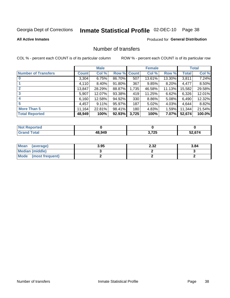# Inmate Statistical Profile 02-DEC-10 Page 38

**All Active Inmates** 

## **Produced for General Distribution**

## Number of transfers

COL % - percent each COUNT is of its particular column

|                            |              | <b>Male</b> |           |             | <b>Female</b> |        |        | <b>Total</b> |
|----------------------------|--------------|-------------|-----------|-------------|---------------|--------|--------|--------------|
| <b>Number of Transfers</b> | <b>Count</b> | Col %       |           | Row % Count | Col %         | Row %  | Total  | Col %        |
| $\bf{0}$                   | 3,304        | 6.75%       | 86.70%    | 507         | 13.61%        | 13.30% | 3,811  | 7.24%        |
|                            | 4,110        | 8.40%       | $91.80\%$ | 367         | 9.85%         | 8.20%  | 4,477  | 8.50%        |
| $\mathbf{2}$               | 13,847       | 28.29%      | 88.87%    | 1,735       | 46.58%        | 11.13% | 15,582 | 29.58%       |
| 3                          | 5,907        | 12.07%      | 93.38%    | 419         | 11.25%        | 6.62%  | 6,326  | 12.01%       |
|                            | 6,160        | 12.58%      | 94.92%    | 330         | 8.86%         | 5.08%  | 6,490  | 12.32%       |
| 5                          | 4,457        | 9.11%       | 95.97%    | 187         | 5.02%         | 4.03%  | 4,644  | 8.82%        |
| <b>More Than 5</b>         | 11,164       | 22.81%      | 98.41%    | 180         | 4.83%         | 1.59%  | 11,344 | 21.54%       |
| <b>Total Reported</b>      | 48,949       | 100%        | 92.93%    | 3,725       | 100%          | 7.07%  | 52,674 | 100.0%       |

| Reported<br><b>NOT</b> |        |                      |        |
|------------------------|--------|----------------------|--------|
| <b>Total</b>           | 48,949 | ? フクベ<br>1 LJ<br>. ت | 52.674 |

| Mean (average)       | 3.95 | 2.32 | 3.84 |
|----------------------|------|------|------|
| Median (middle)      |      |      |      |
| Mode (most frequent) |      |      |      |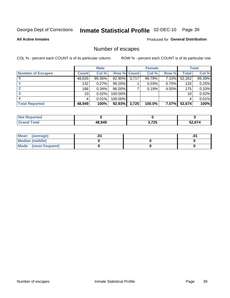# Inmate Statistical Profile 02-DEC-10 Page 39

**All Active Inmates** 

## **Produced for General Distribution**

# Number of escapes

COL % - percent each COUNT is of its particular column

|                          |                 | <b>Male</b> |             |       | <b>Female</b> |       |        | <b>Total</b> |
|--------------------------|-----------------|-------------|-------------|-------|---------------|-------|--------|--------------|
| <b>Number of Escapes</b> | <b>Count</b>    | Col %       | Row % Count |       | Col %         | Row % | Total  | Col %        |
|                          | 48,635          | 99.36%      | 92.90%      | 3,717 | 99.79%        | 7.10% | 52,352 | 99.39%       |
|                          | 132             | 0.27%       | 99.25%      |       | 0.03%         | 0.75% | 133    | 0.25%        |
|                          | 168             | 0.34%       | 96.00%      |       | 0.19%         | 4.00% | 175    | $0.33\%$     |
|                          | 10 <sup>1</sup> | 0.02%       | 100.00%     |       |               |       | 10     | 0.02%        |
|                          |                 | 0.01%       | 100.00%     |       |               |       | 4      | 0.01%        |
| <b>Total Reported</b>    | 48,949          | 100%        | $92.93\%$   | 3,725 | 100.0%        | 7.07% | 52,674 | 100%         |

| Peportea |        |                 |                                            |
|----------|--------|-----------------|--------------------------------------------|
| Total    | 48.949 | つ フクロ<br>J.I LJ | $\sim$ $\sim$ $\sim$ $\sim$ $\sim$<br>.674 |

| Mean (average)         |  | .0 |
|------------------------|--|----|
| <b>Median (middle)</b> |  |    |
| Mode (most frequent)   |  |    |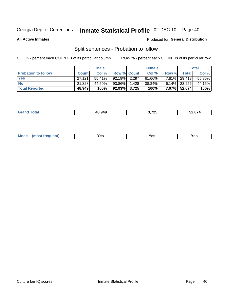#### Inmate Statistical Profile 02-DEC-10 Page 40

**All Active Inmates** 

### Produced for General Distribution

# Split sentences - Probation to follow

COL % - percent each COUNT is of its particular column

|                            |              | <b>Male</b> |                    | <b>Female</b> |       |                 | <b>Total</b> |
|----------------------------|--------------|-------------|--------------------|---------------|-------|-----------------|--------------|
| <b>Probation to follow</b> | <b>Count</b> | Col%        | <b>Row % Count</b> | Col %         | Row % | Total           | Col %        |
| <b>Yes</b>                 | 27.121       | 55.41%      | 92.19% 2.297       | $61.66\%$     |       | 7.81% 29,418    | 55.85%       |
| <b>No</b>                  | 21.828       | 44.59%      | $93.86\%$   1,428  | 38.34%        |       | $6.14\%$ 23,256 | 44.15%       |
| <b>Total Reported</b>      | 48,949       | 100%        | $92.93\%$ 3,725    | 100%          |       | 7.07% 52,674    | 100%         |

| 48.949 | המד ו<br>--<br>J.I LJ | -^ ^- ^ |
|--------|-----------------------|---------|
|        |                       |         |

| requent<br>′es<br>Yes<br><b>YAC</b><br>. |  | $Moo$ |  |  |  |
|------------------------------------------|--|-------|--|--|--|
|------------------------------------------|--|-------|--|--|--|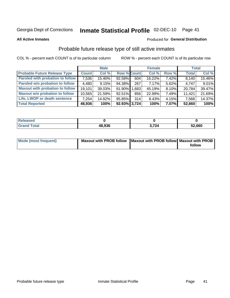# Inmate Statistical Profile 02-DEC-10 Page 41

**All Active Inmates** 

#### Produced for General Distribution

# Probable future release type of still active inmates

COL % - percent each COUNT is of its particular column

|                                         |              | <b>Male</b> |                    |       | <b>Female</b> |          | Total        |        |
|-----------------------------------------|--------------|-------------|--------------------|-------|---------------|----------|--------------|--------|
| <b>Probable Future Release Type</b>     | <b>Count</b> | Col %       | <b>Row % Count</b> |       | Col%          | Row %    | <b>Total</b> | Col %  |
| <b>Paroled with probation to follow</b> | 7,536        | 15.40%      | 92.58%             | 604   | 16.22%        | $7.42\%$ | 8,140        | 15.46% |
| Paroled w/o probation to follow         | 4,480        | 9.15%       | 94.38%             | 267   | 7.17%         | 5.62%    | 4,747        | 9.01%  |
| <b>Maxout with probation to follow</b>  | 19.101       | 39.03%      | 91.90%             | 1,683 | 45.19%        | 8.10%    | 20,784       | 39.47% |
| <b>Maxout w/o probation to follow</b>   | 10,565       | 21.59%      | $92.51\%$          | 856   | 22.99%        | 7.49%    | 11,421       | 21.69% |
| Life, LWOP or death sentence            | 7.254        | 14.82%      | 95.85%             | 314   | 8.43%         | 4.15%    | 7,568        | 14.37% |
| <b>Total Reported</b>                   | 48,936       | 100%        | 92.93% 3.724       |       | 100%          | $7.07\%$ | 52,660       | 100%   |

| eleased     |        |      |        |
|-------------|--------|------|--------|
| <b>otal</b> | 48,936 | ,724 | 52,660 |

| <b>Mode (most frequent)</b> | Maxout with PROB follow   Maxout with PROB follow   Maxout with PROB |        |
|-----------------------------|----------------------------------------------------------------------|--------|
|                             |                                                                      | follow |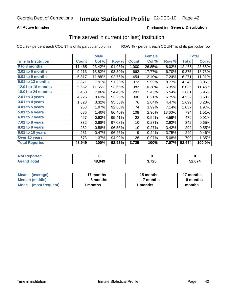## **All Active Inmates**

## **Produced for General Distribution**

# Time served in current (or last) institution

COL % - percent each COUNT is of its particular column

|                            |              | <b>Male</b> |        |              | <b>Female</b> |        |              | <b>Total</b> |
|----------------------------|--------------|-------------|--------|--------------|---------------|--------|--------------|--------------|
| <b>Time In Institution</b> | <b>Count</b> | Col %       | Row %  | <b>Count</b> | Col %         | Row %  | <b>Total</b> | Col %        |
| 0 to 3 months              | 11,465       | 23.42%      | 91.98% | 1,000        | 26.85%        | 8.02%  | 12,465       | 23.66%       |
| 3.01 to 6 months           | 9,213        | 18.82%      | 93.30% | 662          | 17.77%        | 6.70%  | 9,875        | 18.75%       |
| 6.01 to 9 months           | 5,817        | 11.88%      | 92.76% | 454          | 12.19%        | 7.24%  | 6,271        | 11.91%       |
| 9.01 to 12 months          | 3,871        | 7.91%       | 91.23% | 372          | 9.99%         | 8.77%  | 4,243        | 8.06%        |
| <b>12.01 to 18 months</b>  | 5,652        | 11.55%      | 93.65% | 383          | 10.28%        | 6.35%  | 6,035        | 11.46%       |
| 18.01 to 24 months         | 3,458        | 7.06%       | 94.46% | 203          | 5.45%         | 5.54%  | 3,661        | 6.95%        |
| $2.01$ to 3 years          | 4,226        | 8.63%       | 93.25% | 306          | 8.21%         | 6.75%  | 4,532        | 8.60%        |
| 3.01 to 4 years            | 1,623        | 3.32%       | 95.53% | 76           | 2.04%         | 4.47%  | 1,699        | 3.23%        |
| 4.01 to 5 years            | 963          | 1.97%       | 92.86% | 74           | 1.99%         | 7.14%  | 1,037        | 1.97%        |
| 5.01 to 6 years            | 686          | 1.40%       | 86.40% | 108          | 2.90%         | 13.60% | 794          | 1.51%        |
| 6.01 to 7 years            | 457          | 0.93%       | 95.41% | 22           | 0.59%         | 4.59%  | 479          | 0.91%        |
| 7.01 to 8 years            | 332          | 0.68%       | 97.08% | 10           | 0.27%         | 2.92%  | 342          | 0.65%        |
| 8.01 to 9 years            | 282          | 0.58%       | 96.58% | 10           | 0.27%         | 3.42%  | 292          | 0.55%        |
| 9.01 to 10 years           | 231          | 0.47%       | 96.25% | 9            | 0.24%         | 3.75%  | 240          | 0.46%        |
| Over 10 years              | 673          | 1.37%       | 94.92% | 36           | 0.97%         | 5.08%  | 709          | 1.35%        |
| <b>Total Reported</b>      | 48,949       | 100%        | 92.93% | 3,725        | 100%          | 7.07%  | 52,674       | 100.0%       |

| <b>Penorted</b><br><b>Not</b> |        |       |                      |
|-------------------------------|--------|-------|----------------------|
| <i>i</i> ntal                 | 48,949 | המד ה | $\sim$ $\sim$ $\sim$ |

| <b>Mean</b><br>(average) | 17 months | 15 months | 17 months |
|--------------------------|-----------|-----------|-----------|
| Median (middle)          | 8 months  | 7 months  | 8 months  |
| Mode<br>(most frequent)  | months    | months    | ∖ months  |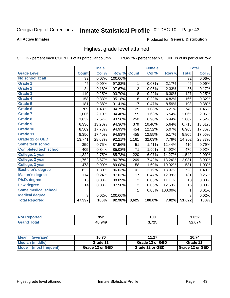# Inmate Statistical Profile 02-DEC-10 Page 43

#### **All Active Inmates**

#### Produced for General Distribution

## Highest grade level attained

COL % - percent each COUNT is of its particular column

|                              |              | <b>Male</b>                |         |                         | <b>Female</b> |         |              | <b>Total</b> |
|------------------------------|--------------|----------------------------|---------|-------------------------|---------------|---------|--------------|--------------|
| <b>Grade Level</b>           | <b>Count</b> | $\overline{\text{Col }\%}$ | Row %   | <b>Count</b>            | Col %         | Row %   | <b>Total</b> | Col %        |
| No school at all             | 32           | 0.07%                      | 100.00% |                         |               |         | 32           | 0.06%        |
| Grade 1                      | 45           | 0.09%                      | 97.83%  | 1                       | 0.03%         | 2.17%   | 46           | 0.09%        |
| <b>Grade 2</b>               | 84           | 0.18%                      | 97.67%  | $\overline{c}$          | 0.06%         | 2.33%   | 86           | 0.17%        |
| <b>Grade 3</b>               | 119          | 0.25%                      | 93.70%  | $\bf 8$                 | 0.22%         | 6.30%   | 127          | 0.25%        |
| Grade 4                      | 158          | 0.33%                      | 95.18%  | 8                       | 0.22%         | 4.82%   | 166          | 0.32%        |
| Grade 5                      | 181          | 0.38%                      | 91.41%  | 17                      | 0.47%         | 8.59%   | 198          | 0.38%        |
| Grade 6                      | 709          | 1.48%                      | 94.79%  | 39                      | 1.08%         | 5.21%   | 748          | 1.45%        |
| Grade 7                      | 1,006        | 2.10%                      | 94.46%  | 59                      | 1.63%         | 5.54%   | 1,065        | 2.06%        |
| Grade 8                      | 3,632        | 7.57%                      | 93.56%  | 250                     | 6.90%         | 6.44%   | 3,882        | 7.52%        |
| Grade 9                      | 6,336        | 13.20%                     | 94.36%  | 379                     | 10.46%        | 5.64%   | 6,715        | 13.01%       |
| Grade 10                     | 8,509        | 17.73%                     | 94.93%  | 454                     | 12.52%        | 5.07%   | 8,963        | 17.36%       |
| Grade 11                     | 8,350        | 17.40%                     | 94.83%  | 455                     | 12.55%        | 5.17%   | 8,805        | 17.06%       |
| <b>Grade 12 or GED</b>       | 13,741       | 28.63%                     | 92.21%  | 1,161                   | 32.03%        | 7.79%   | 14,902       | 28.87%       |
| Some tech school             | 359          | 0.75%                      | 87.56%  | 51                      | 1.41%         | 12.44%  | 410          | 0.79%        |
| <b>Completed tech school</b> | 405          | 0.84%                      | 85.08%  | 71                      | 1.96%         | 14.92%  | 476          | 0.92%        |
| College, 1 year              | 1,322        | 2.75%                      | 85.73%  | 220                     | 6.07%         | 14.27%  | 1,542        | 2.99%        |
| College, 2 year              | 1,762        | 3.67%                      | 86.76%  | 269                     | 7.42%         | 13.24%  | 2,031        | 3.93%        |
| College, 3 year              | 473          | 0.99%                      | 89.08%  | 58                      | 1.60%         | 10.92%  | 531          | 1.03%        |
| <b>Bachelor's degree</b>     | 622          | 1.30%                      | 86.03%  | 101                     | 2.79%         | 13.97%  | 723          | 1.40%        |
| <b>Master's degree</b>       | 114          | 0.24%                      | 87.02%  | 17                      | 0.47%         | 12.98%  | 131          | 0.25%        |
| Ph.D. degree                 | 16           | 0.03%                      | 88.89%  | $\overline{\mathbf{c}}$ | 0.06%         | 11.11%  | 18           | 0.03%        |
| Law degree                   | 14           | 0.03%                      | 87.50%  | $\overline{c}$          | 0.06%         | 12.50%  | 16           | 0.03%        |
| <b>Some medical school</b>   |              |                            |         | 1                       | 0.03%         | 100.00% | 1            | 0.01%        |
| <b>Medical degree</b>        | 8            | 0.02%                      | 100.00% |                         |               |         | 8            | 0.02%        |
| <b>Total Reported</b>        | 47,997       | 100%                       | 92.98%  | 3,625                   | 100.0%        | 7.02%   | 51,622       | 100%         |

| 952    | 100          | 1,052         |
|--------|--------------|---------------|
| 48.949 | つ フクロ<br>-47 | <b>FO 074</b> |

| <b>Mean</b><br>(average)       | 10.70           | 11.27           | 10.74           |
|--------------------------------|-----------------|-----------------|-----------------|
| Median (middle)                | Grade 11        | Grade 12 or GED | Grade 11        |
| <b>Mode</b><br>(most frequent) | Grade 12 or GED | Grade 12 or GED | Grade 12 or GED |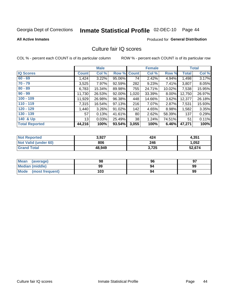# Inmate Statistical Profile 02-DEC-10 Page 44

**All Active Inmates** 

### **Produced for General Distribution**

## Culture fair IQ scores

COL % - percent each COUNT is of its particular column

|                       |                 | <b>Male</b> |                    |       | <b>Female</b> |          |              | <b>Total</b> |
|-----------------------|-----------------|-------------|--------------------|-------|---------------|----------|--------------|--------------|
| <b>IQ Scores</b>      | <b>Count</b>    | Col %       | <b>Row % Count</b> |       | Col %         | Row %    | <b>Total</b> | Col %        |
| $60 - 69$             | ,424            | 3.22%       | 95.06%             | 74    | 2.42%         | 4.94%    | 1,498        | 3.17%        |
| $70 - 79$             | 3,525           | 7.97%       | 92.59%             | 282   | 9.23%         | 7.41%    | 3,807        | 8.05%        |
| $80 - 89$             | 6,783           | 15.34%      | 89.98%             | 755   | 24.71%        | 10.02%   | 7,538        | 15.95%       |
| $90 - 99$             | 11,730          | 26.53%      | 92.00%             | 1,020 | 33.39%        | $8.00\%$ | 12,750       | 26.97%       |
| $100 - 109$           | 11,929          | 26.98%      | 96.38%             | 448   | 14.66%        | 3.62%    | 12,377       | 26.18%       |
| $110 - 119$           | 7,315           | 16.54%      | 97.13%             | 216   | 7.07%         | 2.87%    | 7,531        | 15.93%       |
| $120 - 129$           | 1,440           | 3.26%       | 91.02%             | 142   | 4.65%         | 8.98%    | 1,582        | 3.35%        |
| $130 - 139$           | 57              | 0.13%       | 41.61%             | 80    | 2.62%         | 58.39%   | 137          | 0.29%        |
| 140 & Up              | 13 <sup>1</sup> | 0.03%       | 25.49%             | 38    | 1.24%         | 74.51%   | 51           | 0.11%        |
| <b>Total Reported</b> | 44,216          | 100%        | 93.54%             | 3,055 | 100%          | 6.46%    | 47,271       | 100%         |

| <b>Not Reported</b>         | 3,927  | 424   | 4,351  |
|-----------------------------|--------|-------|--------|
| <b>Not Valid (under 60)</b> | 806    | 246   | 1,052  |
| <b>Grand Total</b>          | 48,949 | 3,725 | 52,674 |

| <b>Mean</b><br>(average)       | 98  | 96 | 97 |
|--------------------------------|-----|----|----|
| Median (middle)                | 99  | 94 | 99 |
| <b>Mode</b><br>(most frequent) | 103 | 94 | 99 |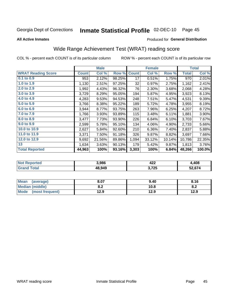# Inmate Statistical Profile 02-DEC-10 Page 45

**All Active Inmates** 

#### Produced for General Distribution

# Wide Range Achievement Test (WRAT) reading score

COL % - percent each COUNT is of its particular column

|                           |              | <b>Male</b> |        |              | <b>Female</b> |          |              | <b>Total</b> |
|---------------------------|--------------|-------------|--------|--------------|---------------|----------|--------------|--------------|
| <b>WRAT Reading Score</b> | <b>Count</b> | Col %       | Row %  | <b>Count</b> | Col %         | Row %    | <b>Total</b> | Col %        |
| $0.1$ to $0.9$            | 953          | 2.12%       | 98.25% | 17           | 0.51%         | 1.75%    | 970          | 2.01%        |
| 1.0 to 1.9                | 1,130        | 2.51%       | 97.25% | 32           | 0.97%         | 2.75%    | 1,162        | 2.41%        |
| 2.0 to 2.9                | 1,992        | 4.43%       | 96.32% | 76           | 2.30%         | 3.68%    | 2,068        | 4.28%        |
| 3.0 to 3.9                | 3,729        | 8.29%       | 95.05% | 194          | 5.87%         | 4.95%    | 3,923        | 8.13%        |
| 4.0 to 4.9                | 4,283        | 9.53%       | 94.53% | 248          | 7.51%         | 5.47%    | 4,531        | 9.39%        |
| 5.0 to 5.9                | 3,766        | 8.38%       | 95.22% | 189          | 5.72%         | 4.78%    | 3,955        | 8.19%        |
| 6.0 to 6.9                | 3,944        | 8.77%       | 93.75% | 263          | 7.96%         | 6.25%    | 4,207        | 8.72%        |
| 7.0 to 7.9                | 1,766        | 3.93%       | 93.89% | 115          | 3.48%         | 6.11%    | 1,881        | 3.90%        |
| 8.0 to 8.9                | 3,477        | 7.73%       | 93.90% | 226          | 6.84%         | 6.10%    | 3,703        | 7.67%        |
| 9.0 to 9.9                | 2,599        | 5.78%       | 95.10% | 134          | 4.06%         | 4.90%    | 2,733        | 5.66%        |
| 10.0 to 10.9              | 2,627        | 5.84%       | 92.60% | 210          | 6.36%         | 7.40%    | 2,837        | 5.88%        |
| 11.0 to 11.9              | 3,371        | 7.50%       | 91.18% | 326          | 9.87%         | 8.82%    | 3,697        | 7.66%        |
| 12.0 to 12.9              | 9,692        | 21.56%      | 89.86% | 1,094        | 33.12%        | 10.14%   | 10,786       | 22.35%       |
| 13                        | 1,634        | 3.63%       | 90.13% | 179          | 5.42%         | $9.87\%$ | 1,813        | 3.76%        |
| <b>Total Reported</b>     | 44,963       | 100%        | 93.16% | 3,303        | 100%          | 6.84%    | 48,266       | 100.0%       |

| <b>nted</b><br>NO | 3,986  | ハつつ<br>422            | ,408   |
|-------------------|--------|-----------------------|--------|
| $T$ otol $T$      | 48,949 | ? フクベ<br><b>J.ILJ</b> | 52 674 |

| <b>Mean</b><br>(average)       | 8.07       | 9.40 | 8.16 |
|--------------------------------|------------|------|------|
| <b>Median (middle)</b>         | י ה<br>0.Z | 10.8 | O.A  |
| <b>Mode</b><br>(most frequent) | 12.9       | 12.9 | 12.9 |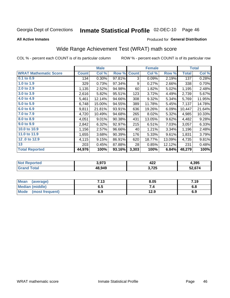#### Inmate Statistical Profile 02-DEC-10 Page 46

**All Active Inmates** 

#### Produced for General Distribution

## Wide Range Achievement Test (WRAT) math score

COL % - percent each COUNT is of its particular column

|                              |              | <b>Male</b> |        |              | <b>Female</b> |        |              | <b>Total</b> |
|------------------------------|--------------|-------------|--------|--------------|---------------|--------|--------------|--------------|
| <b>WRAT Mathematic Score</b> | <b>Count</b> | Col %       | Row %  | <b>Count</b> | Col %         | Row %  | <b>Total</b> | Col %        |
| $0.1$ to $0.9$               | 134          | 0.30%       | 97.81% | 3            | 0.09%         | 2.19%  | 137          | 0.28%        |
| 1.0 to 1.9                   | 329          | 0.73%       | 97.34% | 9            | 0.27%         | 2.66%  | 338          | 0.70%        |
| 2.0 to 2.9                   | 1,135        | 2.52%       | 94.98% | 60           | 1.82%         | 5.02%  | 1,195        | 2.48%        |
| 3.0 to 3.9                   | 2,616        | 5.82%       | 95.51% | 123          | 3.72%         | 4.49%  | 2,739        | 5.67%        |
| 4.0 to 4.9                   | 5,461        | 12.14%      | 94.66% | 308          | 9.32%         | 5.34%  | 5,769        | 11.95%       |
| 5.0 to 5.9                   | 6,748        | 15.00%      | 94.55% | 389          | 11.78%        | 5.45%  | 7,137        | 14.78%       |
| 6.0 to 6.9                   | 9,811        | 21.81%      | 93.91% | 636          | 19.26%        | 6.09%  | 10,447       | 21.64%       |
| 7.0 to 7.9                   | 4,720        | 10.49%      | 94.68% | 265          | 8.02%         | 5.32%  | 4,985        | 10.33%       |
| 8.0 to 8.9                   | 4,051        | 9.01%       | 90.38% | 431          | 13.05%        | 9.62%  | 4,482        | 9.28%        |
| 9.0 to 9.9                   | 2,842        | 6.32%       | 92.97% | 215          | 6.51%         | 7.03%  | 3,057        | 6.33%        |
| 10.0 to 10.9                 | 1,156        | 2.57%       | 96.66% | 40           | 1.21%         | 3.34%  | 1,196        | 2.48%        |
| 11.0 to 11.9                 | 1,655        | 3.68%       | 90.39% | 176          | 5.33%         | 9.61%  | 1,831        | 3.79%        |
| 12.0 to 12.9                 | 4,115        | 9.15%       | 86.91% | 620          | 18.77%        | 13.09% | 4,735        | 9.81%        |
| 13                           | 203          | 0.45%       | 87.88% | 28           | 0.85%         | 12.12% | 231          | 0.48%        |
| <b>Total Reported</b>        | 44,976       | 100%        | 93.16% | 3,303        | 100%          | 6.84%  | 48,279       | 100%         |
|                              |              |             |        |              |               |        |              |              |

| <b>Not Reported</b> | 3,973  | ハウイ<br>422 | 4,395  |
|---------------------|--------|------------|--------|
| Total<br>Grand      | 48,949 | 3,725      | 52,674 |

| <b>Mean</b><br>(average)       | 712<br>נו. | 8.05 | 7.19 |
|--------------------------------|------------|------|------|
| <b>Median (middle)</b>         | ხ. J       |      | o.o  |
| <b>Mode</b><br>(most frequent) | 6.9        | 12.9 | 6.9  |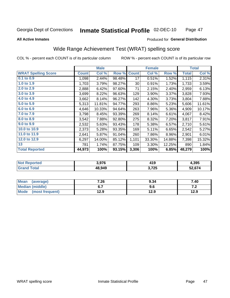#### Inmate Statistical Profile 02-DEC-10 Page 47

**All Active Inmates** 

#### Produced for General Distribution

## Wide Range Achievement Test (WRAT) spelling score

COL % - percent each COUNT is of its particular column

|                            |              | <b>Male</b> |        |              | <b>Female</b> |          |              | <b>Total</b> |
|----------------------------|--------------|-------------|--------|--------------|---------------|----------|--------------|--------------|
| <b>WRAT Spelling Score</b> | <b>Count</b> | Col %       | Row %  | <b>Count</b> | Col %         | Row %    | <b>Total</b> | Col %        |
| $0.1$ to $0.9$             | 1,098        | 2.44%       | 98.48% | 17           | 0.51%         | 1.52%    | 1,115        | 2.31%        |
| 1.0 to 1.9                 | 1,703        | 3.79%       | 98.27% | 30           | 0.91%         | 1.73%    | 1,733        | 3.59%        |
| 2.0 to 2.9                 | 2,888        | 6.42%       | 97.60% | 71           | 2.15%         | 2.40%    | 2,959        | 6.13%        |
| 3.0 to 3.9                 | 3,699        | 8.22%       | 96.63% | 129          | 3.90%         | 3.37%    | 3,828        | 7.93%        |
| 4.0 to 4.9                 | 3,662        | 8.14%       | 96.27% | 142          | 4.30%         | 3.73%    | 3,804        | 7.88%        |
| 5.0 to 5.9                 | 5,313        | 11.81%      | 94.77% | 293          | 8.86%         | 5.23%    | 5,606        | 11.61%       |
| 6.0 to 6.9                 | 4,646        | 10.33%      | 94.64% | 263          | 7.96%         | $5.36\%$ | 4,909        | 10.17%       |
| 7.0 to 7.9                 | 3,798        | 8.45%       | 93.39% | 269          | 8.14%         | 6.61%    | 4,067        | 8.42%        |
| 8.0 to 8.9                 | 3,542        | 7.88%       | 92.80% | 275          | 8.32%         | 7.20%    | 3,817        | 7.91%        |
| 9.0 to 9.9                 | 2,532        | 5.63%       | 93.43% | 178          | 5.38%         | 6.57%    | 2,710        | 5.61%        |
| 10.0 to 10.9               | 2,373        | 5.28%       | 93.35% | 169          | 5.11%         | 6.65%    | 2,542        | 5.27%        |
| 11.0 to 11.9               | 2,641        | 5.87%       | 91.04% | 260          | 7.86%         | 8.96%    | 2,901        | 6.01%        |
| 12.0 to 12.9               | 6,297        | 14.00%      | 85.12% | 1,101        | 33.30%        | 14.88%   | 7,398        | 15.32%       |
| 13                         | 781          | 1.74%       | 87.75% | 109          | 3.30%         | 12.25%   | 890          | 1.84%        |
| <b>Total Reported</b>      | 44,973       | 100%        | 93.15% | 3,306        | 100%          | 6.85%    | 48,279       | 100%         |

| -тес<br>NO        | 3.976  | 14 G<br>+ 1 J   | 4,395  |
|-------------------|--------|-----------------|--------|
| $T \sim$ follows: | 48,949 | っ フヘビ<br>J.I LJ | 52,674 |

| <b>Mean</b><br>(average) | 7.26 | 9.34 | 7.40  |
|--------------------------|------|------|-------|
| Median (middle)          |      | 9.6  | . . Z |
| Mode<br>(most frequent)  | 12.9 | 12.9 | 12.9  |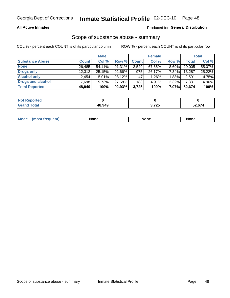## **All Active Inmates**

## Produced for General Distribution

## Scope of substance abuse - summary

COL % - percent each COUNT is of its particular column

|                        |              | <b>Male</b> |           |              | <b>Female</b> |          |              | <b>Total</b> |
|------------------------|--------------|-------------|-----------|--------------|---------------|----------|--------------|--------------|
| <b>Substance Abuse</b> | <b>Count</b> | Col %       | Row %     | <b>Count</b> | Col %         | Row %    | <b>Total</b> | Col %        |
| <b>None</b>            | 26,485       | 54.11%      | 91.31%    | 2,520        | 67.65%        | 8.69%    | 29,005       | 55.07%       |
| <b>Drugs only</b>      | 12,312       | 25.15%      | $92.66\%$ | 975          | 26.17%        | $7.34\%$ | 13,287       | 25.22%       |
| <b>Alcohol only</b>    | 2.454        | $5.01\%$    | $98.12\%$ | 47           | $1.26\%$      | 1.88%    | 2,501        | 4.75%        |
| Drugs and alcohol      | .698         | 15.73%      | 97.68%    | 183          | 4.91%         | 2.32%    | 7,881        | 14.96%       |
| <b>Total Reported</b>  | 48,949       | 100%        | $92.93\%$ | 3,725        | 100%          | 7.07%    | 52,674       | 100%         |

| <b>Not Reported</b> |        |                 |        |
|---------------------|--------|-----------------|--------|
| <b>Grand Total</b>  | 48.949 | ? フクベ<br>J.I LJ | 52,674 |

| nuem | <b>Mo</b> | None | <b>None</b> | None |
|------|-----------|------|-------------|------|
|------|-----------|------|-------------|------|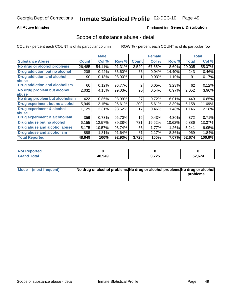## **All Active Inmates**

## Produced for General Distribution

## Scope of substance abuse - detail

COL % - percent each COUNT is of its particular column

|                                      |              | <b>Male</b> |        |                | <b>Female</b> |        |              | <b>Total</b> |
|--------------------------------------|--------------|-------------|--------|----------------|---------------|--------|--------------|--------------|
| <b>Substance Abuse</b>               | <b>Count</b> | Col %       | Row %  | <b>Count</b>   | Col %         | Row %  | <b>Total</b> | Col %        |
| No drug or alcohol problems          | 26,485       | 54.11%      | 91.31% | 2,520          | 67.65%        | 8.69%  | 29,005       | 55.07%       |
| <b>Drug addiction but no alcohol</b> | 208          | 0.42%       | 85.60% | 35             | 0.94%         | 14.40% | 243          | 0.46%        |
| <b>Drug addiction and alcohol</b>    | 90           | 0.18%       | 98.90% |                | 0.03%         | 1.10%  | 91           | 0.17%        |
| <b>labuse</b>                        |              |             |        |                |               |        |              |              |
| <b>Drug addiction and alcoholism</b> | 60           | 0.12%       | 96.77% | $\overline{2}$ | 0.05%         | 3.23%  | 62           | 0.12%        |
| No drug problem but alcohol          | 2,032        | 4.15%       | 99.03% | 20             | 0.54%         | 0.97%  | 2,052        | 3.90%        |
| <b>labuse</b>                        |              |             |        |                |               |        |              |              |
| No drug problem but alcoholism       | 422          | 0.86%       | 93.99% | 27             | 0.72%         | 6.01%  | 449          | 0.85%        |
| Drug experiment but no alcohol       | 5,949        | 12.15%      | 96.61% | 209            | 5.61%         | 3.39%  | 6,158        | 11.69%       |
| <b>Drug experiment &amp; alcohol</b> | 1,129        | 2.31%       | 98.52% | 17             | 0.46%         | 1.48%  | 1,146        | 2.18%        |
| <b>labuse</b>                        |              |             |        |                |               |        |              |              |
| Drug experiment & alcoholism         | 356          | 0.73%       | 95.70% | 16             | 0.43%         | 4.30%  | 372          | 0.71%        |
| Drug abuse but no alcohol            | 6,155        | 12.57%      | 89.38% | 731            | 19.62%        | 10.62% | 6,886        | 13.07%       |
| Drug abuse and alcohol abuse         | 5,175        | 10.57%      | 98.74% | 66             | 1.77%         | 1.26%  | 5,241        | 9.95%        |
| Drug abuse and alcoholism            | 888          | 1.81%       | 91.64% | 81             | 2.17%         | 8.36%  | 969          | 1.84%        |
| <b>Total Reported</b>                | 48,949       | 100%        | 92.93% | 3,725          | 100%          | 7.07%  | 52,674       | 100.0%       |

| ported<br><b>NOT</b> |        |       |        |
|----------------------|--------|-------|--------|
| <b>otal</b>          | 48,949 | 3,725 | 52,674 |

| Mode (most frequent) | No drug or alcohol problems No drug or alcohol problems No drug or alcohol |          |
|----------------------|----------------------------------------------------------------------------|----------|
|                      |                                                                            | problems |
|                      |                                                                            |          |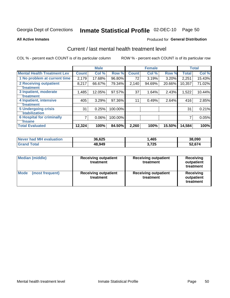# Inmate Statistical Profile 02-DEC-10 Page 50

**All Active Inmates** 

## **Produced for General Distribution**

# Current / last mental health treatment level

COL % - percent each COUNT is of its particular column

|                                    |              | <b>Male</b> |         |              | <b>Female</b> |        |        | <b>Total</b> |
|------------------------------------|--------------|-------------|---------|--------------|---------------|--------|--------|--------------|
| <b>Mental Health Treatment Lev</b> | <b>Count</b> | Col %       | Row %   | <b>Count</b> | Col %         | Row %  | Total  | Col %        |
| 1 No problem at current time       | 2,179        | 17.68%      | 96.80%  | 72           | 3.19%         | 3.20%  | 2,251  | 15.43%       |
| 2 Receiving outpatient             | 8,217        | 66.67%      | 79.34%  | 2,140        | 94.69%        | 20.66% | 10,357 | 71.02%       |
| <b>Treatment</b>                   |              |             |         |              |               |        |        |              |
| 3 Inpatient, moderate              | 1,485        | 12.05%      | 97.57%  | 37           | 1.64%         | 2.43%  | 1,522  | 10.44%       |
| <b>Treatment</b>                   |              |             |         |              |               |        |        |              |
| 4 Inpatient, intensive             | 405          | 3.29%       | 97.36%  | 11           | 0.49%         | 2.64%  | 416    | 2.85%        |
| <b>Treatment</b>                   |              |             |         |              |               |        |        |              |
| 5 Undergoing crisis                | 31           | 0.25%       | 100.00% |              |               |        | 31     | 0.21%        |
| <b>stabilization</b>               |              |             |         |              |               |        |        |              |
| <b>6 Hospital for criminally</b>   | 7            | 0.06%       | 100.00% |              |               |        |        | 0.05%        |
| Tnsane                             |              |             |         |              |               |        |        |              |
| <b>Total Evaluated</b>             | 12,324       | 100%        | 84.50%  | 2,260        | 100%          | 15.50% | 14,584 | 100%         |

| Never had MH evaluation | 36,625 | .465  | 38,090 |
|-------------------------|--------|-------|--------|
| <b>Grand Total</b>      | 48,949 | 3,725 | 52,674 |

| <b>Median (middle)</b>         | <b>Receiving outpatient</b><br>treatment | <b>Receiving outpatient</b><br>treatment | <b>Receiving</b><br>outpatient<br>treatment |
|--------------------------------|------------------------------------------|------------------------------------------|---------------------------------------------|
| <b>Mode</b><br>(most frequent) | <b>Receiving outpatient</b><br>treatment | <b>Receiving outpatient</b><br>treatment | Receiving<br>outpatient<br>treatment        |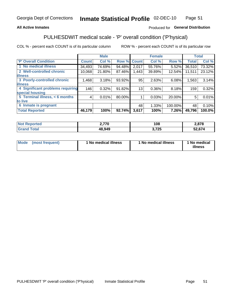## **All Active Inmates**

## Produced for General Distribution

# PULHESDWIT medical scale - 'P' overall condition ('P'hysical)

COL % - percent each COUNT is of its particular column

|                                  |              | <b>Male</b> |        |              | <b>Female</b> |         |              | <b>Total</b> |
|----------------------------------|--------------|-------------|--------|--------------|---------------|---------|--------------|--------------|
| 'P' Overall Condition            | <b>Count</b> | Col %       | Row %  | <b>Count</b> | Col %         | Row %   | <b>Total</b> | Col %        |
| 1 No medical illness             | 34,493       | 74.69%      | 94.48% | 2,017        | 55.76%        | 5.52%   | 36,510       | 73.32%       |
| 2 Well-controlled chronic        | 10,068       | 21.80%      | 87.46% | 1,443        | 39.89%        | 12.54%  | 11,511       | 23.12%       |
| <b>lillness</b>                  |              |             |        |              |               |         |              |              |
| 3 Poorly-controlled chronic      | 1,468        | 3.18%       | 93.92% | 95           | 2.63%         | 6.08%   | 1,563        | 3.14%        |
| <b>illness</b>                   |              |             |        |              |               |         |              |              |
| 4 Significant problems requiring | 146          | 0.32%       | 91.82% | 13           | 0.36%         | 8.18%   | 159          | 0.32%        |
| special housing                  |              |             |        |              |               |         |              |              |
| 5 Terminal illness, < 6 months   | 4            | 0.01%       | 80.00% |              | 0.03%         | 20.00%  | 5            | 0.01%        |
| to live                          |              |             |        |              |               |         |              |              |
| 6 Inmate is pregnant             |              |             |        | 48           | 1.33%         | 100.00% | 48           | 0.10%        |
| <b>Total Reported</b>            | 46,179       | 100%        | 92.74% | 3,617        | 100%          | 7.26%   | 49,796       | 100.0%       |

| <b>:ported</b> | 2,770  | 108                                 | 4,878  |
|----------------|--------|-------------------------------------|--------|
| <b>otal</b>    | 18,949 | .725<br>and the control of the con- | 52,674 |

| Mode | (most frequent) | 1 No medical illness | 1 No medical illness | 1 No medical<br>illness |
|------|-----------------|----------------------|----------------------|-------------------------|
|------|-----------------|----------------------|----------------------|-------------------------|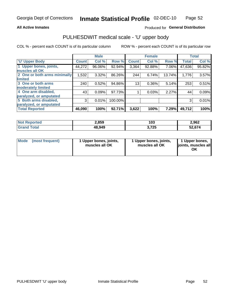### **All Active Inmates**

## Produced for General Distribution

# PULHESDWIT medical scale - 'U' upper body

COL % - percent each COUNT is of its particular column

|                              |              | <b>Male</b> |         |              | <b>Female</b> |        |              | <b>Total</b> |
|------------------------------|--------------|-------------|---------|--------------|---------------|--------|--------------|--------------|
| <b>U' Upper Body</b>         | <b>Count</b> | Col %       | Row %   | <b>Count</b> | Col %         | Row %  | <b>Total</b> | Col %        |
| 1 Upper bones, joints,       | 44,272       | 96.06%      | 92.94%  | 3,364        | 92.88%        | 7.06%  | 47,636       | 95.82%       |
| muscles all OK               |              |             |         |              |               |        |              |              |
| 2 One or both arms minimally | 1,532        | 3.32%       | 86.26%  | 244          | 6.74%         | 13.74% | 1,776        | 3.57%        |
| limited                      |              |             |         |              |               |        |              |              |
| 3 One or both arms           | 240          | 0.52%       | 94.86%  | 13           | 0.36%         | 5.14%  | 253          | 0.51%        |
| <b>moderately limited</b>    |              |             |         |              |               |        |              |              |
| 4 One arm disabled,          | 43           | 0.09%       | 97.73%  |              | 0.03%         | 2.27%  | 44           | 0.09%        |
| paralyzed, or amputated      |              |             |         |              |               |        |              |              |
| 5 Both arms disabled,        | 3            | 0.01%       | 100.00% |              |               |        | 3            | 0.01%        |
| paralyzed, or amputated      |              |             |         |              |               |        |              |              |
| <b>Total Reported</b>        | 46,090       | 100%        | 92.71%  | 3,622        | 100%          | 7.29%  | 49,712       | 100%         |

| <b>Not Reported</b> | 2,859  | 103   | 2,962  |
|---------------------|--------|-------|--------|
| <b>Grand Total</b>  | 48,949 | 3,725 | 52,674 |

| Mode (most frequent) | 1 Upper bones, joints,<br>muscles all OK | 1 Upper bones, joints,<br>muscles all OK | 1 Upper bones,<br>joints, muscles all<br>ΟK |
|----------------------|------------------------------------------|------------------------------------------|---------------------------------------------|
|----------------------|------------------------------------------|------------------------------------------|---------------------------------------------|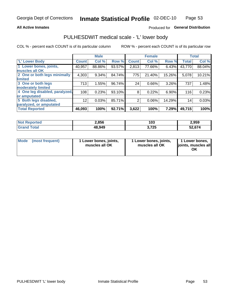### **All Active Inmates**

## Produced for General Distribution

## PULHESDWIT medical scale - 'L' lower body

COL % - percent each COUNT is of its particular column

|                                |              | <b>Male</b> |        |              | <b>Female</b> |        |              | <b>Total</b> |
|--------------------------------|--------------|-------------|--------|--------------|---------------|--------|--------------|--------------|
| 'L' Lower Body                 | <b>Count</b> | Col %       | Row %  | <b>Count</b> | Col %         | Row %  | <b>Total</b> | Col %        |
| 1 Lower bones, joints,         | 40,957       | 88.86%      | 93.57% | 2,813        | 77.66%        | 6.43%  | 43,770       | 88.04%       |
| muscles all OK                 |              |             |        |              |               |        |              |              |
| 2 One or both legs minimally   | 4,303        | 9.34%       | 84.74% | 775          | 21.40%        | 15.26% | 5,078        | 10.21%       |
| limited                        |              |             |        |              |               |        |              |              |
| 3 One or both legs             | 713          | 1.55%       | 96.74% | 24           | 0.66%         | 3.26%  | 737          | 1.48%        |
| moderately limited             |              |             |        |              |               |        |              |              |
| 4 One leg disabled, paralyzed, | 108          | 0.23%       | 93.10% | 8            | 0.22%         | 6.90%  | 116          | 0.23%        |
| or amputated                   |              |             |        |              |               |        |              |              |
| 5 Both legs disabled,          | 12           | 0.03%       | 85.71% | 2            | 0.06%         | 14.29% | 14           | 0.03%        |
| paralyzed, or amputated        |              |             |        |              |               |        |              |              |
| <b>Total Reported</b>          | 46,093       | 100%        | 92.71% | 3,622        | 100%          | 7.29%  | 49,715       | 100%         |

| <b>Not Reported</b> | 2,856  | 103   | 2,959  |
|---------------------|--------|-------|--------|
| <b>Grand Total</b>  | 48,949 | 3,725 | 52,674 |

| Mode | (most frequent) | 1 Lower bones, joints,<br>muscles all OK | 1 Lower bones, joints,<br>muscles all OK | 1 Lower bones,<br>joints, muscles all<br>ΟK |
|------|-----------------|------------------------------------------|------------------------------------------|---------------------------------------------|
|------|-----------------|------------------------------------------|------------------------------------------|---------------------------------------------|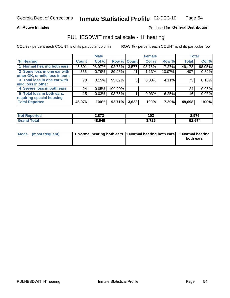#### **All Active Inmates**

## Produced for General Distribution

## PULHESDWIT medical scale - 'H' hearing

COL % - percent each COUNT is of its particular column

|                                |              | <b>Male</b> |             |       | <b>Female</b> |        | <b>Total</b> |        |
|--------------------------------|--------------|-------------|-------------|-------|---------------|--------|--------------|--------|
| <b>'H' Hearing</b>             | <b>Count</b> | Col %       | Row % Count |       | Col %         | Row %  | <b>Total</b> | Col %  |
| 1 Normal hearing both ears     | 45,601       | 98.97%      | 92.73%      | 3,577 | 98.76%        | 7.27%  | 49,178       | 98.95% |
| 2 Some loss in one ear with    | 366          | 0.79%       | 89.93%      | 41    | 1.13%         | 10.07% | 407          | 0.82%  |
| other OK, or mild loss in both |              |             |             |       |               |        |              |        |
| 3 Total loss in one ear with   | 70           | 0.15%       | 95.89%      | 3     | 0.08%         | 4.11%  | 73           | 0.15%  |
| mild loss in other             |              |             |             |       |               |        |              |        |
| 4 Severe loss in both ears     | 24           | 0.05%       | 100.00%     |       |               |        | 24           | 0.05%  |
| 5 Total loss in both ears,     | 15           | 0.03%       | 93.75%      |       | 0.03%         | 6.25%  | 16           | 0.03%  |
| requiring special housing      |              |             |             |       |               |        |              |        |
| <b>Total Reported</b>          | 46,076       | 100%        | 92.71%      | 3,622 | 100%          | 7.29%  | 49,698       | 100%   |

| <b>Not Renc</b><br>≅norted i | ברם ב<br>ב וס,∠ | 103   | 2,976  |
|------------------------------|-----------------|-------|--------|
| Total                        | 48,949          | 3,725 | 52,674 |

| Mode (most frequent) | 1 Normal hearing both ears 11 Normal hearing both ears 1 Normal hearing | both ears |
|----------------------|-------------------------------------------------------------------------|-----------|
|                      |                                                                         |           |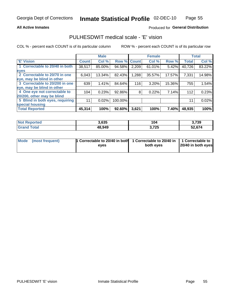### **All Active Inmates**

## Produced for General Distribution

## PULHESDWIT medical scale - 'E' vision

COL % - percent each COUNT is of its particular column

|                                 |              | <b>Male</b> |         |              | <b>Female</b> |        |              | <b>Total</b> |
|---------------------------------|--------------|-------------|---------|--------------|---------------|--------|--------------|--------------|
| <b>E' Vision</b>                | <b>Count</b> | Col %       | Row %   | <b>Count</b> | Col %         | Row %  | <b>Total</b> | Col %        |
| 1 Correctable to 20/40 in both  | 38,517       | 85.00%      | 94.58%  | 2,209        | $61.01\%$     | 5.42%  | 40,726       | 83.22%       |
| eyes                            |              |             |         |              |               |        |              |              |
| 2 Correctable to 20/70 in one   | 6,043        | 13.34%      | 82.43%  | 1,288        | 35.57%        | 17.57% | 7,331        | 14.98%       |
| eye, may be blind in other      |              |             |         |              |               |        |              |              |
| 3 Correctable to 20/200 in one  | 639          | 1.41%       | 84.64%  | 116          | 3.20%         | 15.36% | 755          | 1.54%        |
| eye, may be blind in other      |              |             |         |              |               |        |              |              |
| 4 One eye not correctable to    | 104          | 0.23%       | 92.86%  | 8            | 0.22%         | 7.14%  | 112          | 0.23%        |
| 20/200, other may be blind      |              |             |         |              |               |        |              |              |
| 5 Blind in both eyes, requiring | 11           | 0.02%       | 100.00% |              |               |        | 11           | 0.02%        |
| special housing                 |              |             |         |              |               |        |              |              |
| <b>Total Reported</b>           | 45,314       | 100%        | 92.60%  | 3,621        | 100%          | 7.40%  | 48,935       | 100%         |

| Reported<br>NOT. | 3,635  | 104   | 3,739  |
|------------------|--------|-------|--------|
| ™∩tal            | 48,949 | 3,725 | 52,674 |

| Mode (most frequent) | 1 Correctable to 20/40 in both<br>eves | 1 Correctable to 20/40 in   1 Correctable to  <br>both eves | 20/40 in both eyes |
|----------------------|----------------------------------------|-------------------------------------------------------------|--------------------|
|                      |                                        |                                                             |                    |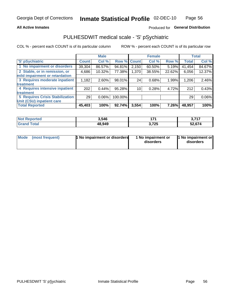### **All Active Inmates**

## Produced for General Distribution

# PULHESDWIT medical scale - 'S' pSychiatric

COL % - percent each COUNT is of its particular column

|                                        |              | <b>Male</b> |         |                 | <b>Female</b> |        |              | <b>Total</b> |
|----------------------------------------|--------------|-------------|---------|-----------------|---------------|--------|--------------|--------------|
| 'S' pSychiatric                        | <b>Count</b> | Col %       | Row %   | <b>Count</b>    | Col %         | Row %  | <b>Total</b> | Col %        |
| 1 No impairment or disorders           | 39,304       | 86.57%      | 94.81%  | 2,150           | 60.50%        | 5.19%  | 41,454       | 84.67%       |
| 2 Stable, or in remission, or          | 4,686        | 10.32%      | 77.38%  | 1,370           | 38.55%        | 22.62% | 6,056        | 12.37%       |
| mild impairment or retardation         |              |             |         |                 |               |        |              |              |
| 3 Requires moderate inpatient          | 1,182        | 2.60%       | 98.01%  | 24              | 0.68%         | 1.99%  | 1,206        | 2.46%        |
| treatment                              |              |             |         |                 |               |        |              |              |
| 4 Requires intensive inpatient         | 202          | 0.44%       | 95.28%  | 10 <sub>1</sub> | 0.28%         | 4.72%  | 212          | 0.43%        |
| treatment                              |              |             |         |                 |               |        |              |              |
| <b>5 Requires Crisis Stabilization</b> | 29           | $0.06\%$    | 100.00% |                 |               |        | 29           | 0.06%        |
| Unit (CSU) inpatient care              |              |             |         |                 |               |        |              |              |
| <b>Total Reported</b>                  | 45,403       | 100%        | 92.74%  | 3,554           | 100%          | 7.26%  | 48,957       | 100%         |

| <b>Not Reported</b>     | 3,546  | 47 d<br>. .<br>-- - | 2747<br>، ۱ ، ۱ ، |
|-------------------------|--------|---------------------|-------------------|
| <b>Total</b><br>' Grand | 48,949 | 3,725               | 52,674            |

| Mode<br>1 No impairment or disorders<br>(most frequent) | 1 No impairment or<br>disorders | 1 No impairment or<br>disorders |
|---------------------------------------------------------|---------------------------------|---------------------------------|
|---------------------------------------------------------|---------------------------------|---------------------------------|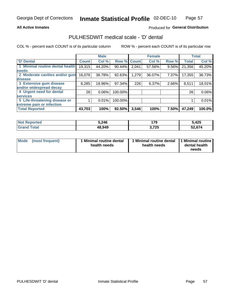### **All Active Inmates**

## Produced for General Distribution

# PULHESDWIT medical scale - 'D' dental

COL % - percent each COUNT is of its particular column

|                                 |              | <b>Male</b> |         |              | <b>Female</b> |       |              | <b>Total</b> |
|---------------------------------|--------------|-------------|---------|--------------|---------------|-------|--------------|--------------|
| <b>D'</b> Dental                | <b>Count</b> | Col %       | Row %   | <b>Count</b> | Col %         | Row % | <b>Total</b> | Col %        |
| 1 Minimal routine dental health | 19,315       | 44.20%      | 90.44%  | 2,041        | 57.56%        | 9.56% | 21,356       | 45.20%       |
| <b>needs</b>                    |              |             |         |              |               |       |              |              |
| 2 Moderate cavities and/or gum  | 16,076       | 36.78%      | 92.63%  | 1,279        | 36.07%        | 7.37% | 17,355       | 36.73%       |
| disease                         |              |             |         |              |               |       |              |              |
| 3 Extensive gum disease         | 8,285        | 18.96%      | 97.34%  | 226          | 6.37%         | 2.66% | 8,511        | 18.01%       |
| and/or widespread decay         |              |             |         |              |               |       |              |              |
| 4 Urgent need for dental        | 26           | $0.06\%$    | 100.00% |              |               |       | 26           | 0.06%        |
| <b>services</b>                 |              |             |         |              |               |       |              |              |
| 5 Life-threatening disease or   |              | 0.01%       | 100.00% |              |               |       |              | 0.01%        |
| extreme pain or infection       |              |             |         |              |               |       |              |              |
| <b>Total Reported</b>           | 43,703       | 100%        | 92.50%  | 3,546        | 100%          | 7.50% | 47,249       | 100.0%       |

| <b>Not Reported</b>     | 5,246  | 179   | 5,425  |
|-------------------------|--------|-------|--------|
| <b>Total</b><br>' Grand | 48,949 | 3,725 | 52,674 |

| 1 Minimal routine dental<br>Mode<br>(most frequent)<br>health needs | 1 Minimal routine dental 1 Minimal routine<br>health needs | dental health<br>needs |
|---------------------------------------------------------------------|------------------------------------------------------------|------------------------|
|---------------------------------------------------------------------|------------------------------------------------------------|------------------------|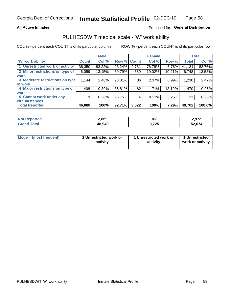### **All Active Inmates**

## Produced for General Distribution

## PULHESDWIT medical scale - 'W' work ability

COL % - percent each COUNT is of its particular column

|                                 |                    | <b>Male</b> |             |       | <b>Female</b> |          |              | <b>Total</b> |
|---------------------------------|--------------------|-------------|-------------|-------|---------------|----------|--------------|--------------|
| <b>W' work ability</b>          | Count <sup>1</sup> | Col %       | Row % Count |       | Col %         | Row %    | <b>Total</b> | Col %        |
| 1 Unrestricted work or activity | 38,350             | 83.22%      | 93.24%      | 2,781 | 76.78%        | $6.76\%$ | 41,131       | 82.76%       |
| 2 Minor restrictions on type of | 6,059              | 13.15%      | 89.79%      | 689   | 19.02%        | 10.21%   | 6,748        | 13.58%       |
| <b>work</b>                     |                    |             |             |       |               |          |              |              |
| 3 Moderate restrictions on type | 1,144              | 2.48%       | 93.01%      | 86    | 2.37%         | 6.99%    | 1,230        | 2.47%        |
| lof work                        |                    |             |             |       |               |          |              |              |
| 4 Major restrictions on type of | 408                | 0.89%       | 86.81%      | 62    | 1.71%         | 13.19%   | 470          | 0.95%        |
| <b>work</b>                     |                    |             |             |       |               |          |              |              |
| 5 Cannot work under any         | 119                | 0.26%       | 96.75%      | 4     | 0.11%         | 3.25%    | 123          | 0.25%        |
| <b>circumstances</b>            |                    |             |             |       |               |          |              |              |
| <b>Total Reported</b>           | 46,080             | 100%        | 92.71%      | 3,622 | 100%          | 7.29%    | 49,702       | 100.0%       |

| <b>Not Reported</b> | 2,869  | 103   | 2,972  |
|---------------------|--------|-------|--------|
| Total<br>' Grand    | 48,949 | 3,725 | 52,674 |

| Mode            | 1 Unrestricted work or | 1 Unrestricted work or | 1 Unrestricted   |
|-----------------|------------------------|------------------------|------------------|
| (most frequent) | activity               | activity               | work or activity |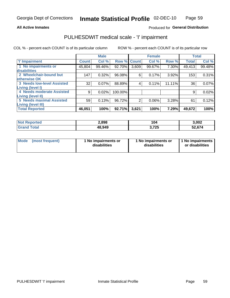#### **All Active Inmates**

## Produced for General Distribution

# PULHESDWIT medical scale - 'I' impairment

COL % - percent each COUNT is of its particular column

|                                                       |              | <b>Male</b> |         |             | <b>Female</b> |        |              | <b>Total</b> |
|-------------------------------------------------------|--------------|-------------|---------|-------------|---------------|--------|--------------|--------------|
| <b>T' Impairment</b>                                  | <b>Count</b> | Col %       |         | Row % Count | Col %         | Row %  | <b>Total</b> | Col %        |
| 1 No impairments or<br>disabilities                   | 45,804       | 99.46%      | 92.70%  | 3,609       | 99.67%        | 7.30%  | 49,413       | 99.48%       |
| 2 Wheelchair-bound but<br>otherwise OK                | 147          | 0.32%       | 96.08%  | 6           | 0.17%         | 3.92%  | 153          | 0.31%        |
| <b>3 Needs low-level Assisted</b><br>Living (level I) | 32           | 0.07%       | 88.89%  | 4           | 0.11%         | 11.11% | 36           | 0.07%        |
| 4 Needs moderate Assisted<br><b>Living (level II)</b> | 9            | 0.02%       | 100.00% |             |               |        | 9            | 0.02%        |
| <b>5 Needs maximal Assisted</b><br>Living (level III) | 59           | 0.13%       | 96.72%  | 2           | 0.06%         | 3.28%  | 61           | 0.12%        |
| <b>Total Reported</b>                                 | 46,051       | 100%        | 92.71%  | 3,621       | 100%          | 7.29%  | 49,672       | 100%         |

| <b>Not</b><br>Reported | 2,898  | 104        | 3,002  |
|------------------------|--------|------------|--------|
| `otal                  | 48,949 | ,725<br>J. | 52.674 |

| Mode | (most frequent) | 1 No impairments or<br>disabilities | 1 No impairments or<br>disabilities | 1 No impairments<br>or disabilities |
|------|-----------------|-------------------------------------|-------------------------------------|-------------------------------------|
|------|-----------------|-------------------------------------|-------------------------------------|-------------------------------------|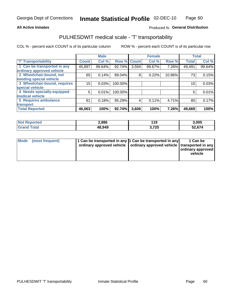### **All Active Inmates**

## Produced fo General Distribution

# PULHESDWIT medical scale - 'T' transportability

COL % - percent each COUNT is of its particular column

|                              |              | <b>Male</b> |         |              | <b>Female</b> |        |              | <b>Total</b> |
|------------------------------|--------------|-------------|---------|--------------|---------------|--------|--------------|--------------|
| <b>T' Transportability</b>   | <b>Count</b> | Col %       | Row %   | <b>Count</b> | Col %         | Row %  | <b>Total</b> | Col %        |
| 1 Can be transported in any  | 45,897       | 99.64%      | 92.74%  | 3,594        | 99.67%        | 7.26%  | 49,491       | 99.64%       |
| ordinary approved vehicle    |              |             |         |              |               |        |              |              |
| 2 Wheelchair-bound, not      | 65           | 0.14%       | 89.04%  | 8            | 0.22%         | 10.96% | 73           | 0.15%        |
| needing special vehicle      |              |             |         |              |               |        |              |              |
| 3 Wheelchair-bound, requires | 15           | 0.03%       | 100.00% |              |               |        | 15           | 0.03%        |
| special vehicle              |              |             |         |              |               |        |              |              |
| 4 Needs specially-equipped   | 5            | 0.01%       | 100.00% |              |               |        | 5            | 0.01%        |
| medical vehicle              |              |             |         |              |               |        |              |              |
| <b>5 Requires ambulance</b>  | 81           | 0.18%       | 95.29%  | 4            | 0.11%         | 4.71%  | 85           | 0.17%        |
| transport                    |              |             |         |              |               |        |              |              |
| <b>Total Reported</b>        | 46,063       | 100%        | 92.74%  | 3,606        | 100%          | 7.26%  | 49,669       | 100%         |

| $^{\dagger}$ Not $\ddagger$<br>Reported | 2,886  | 119        | 3,005  |
|-----------------------------------------|--------|------------|--------|
| <b>Total</b>                            | 48,949 | ,725<br>◡. | 52.674 |

|  | Mode (most frequent) | 1 Can be transported in any 1 Can be transported in any<br>ordinary approved vehicle   ordinary approved vehicle   transported in any |  | 1 Can be<br>  ordinary approved  <br>vehicle |
|--|----------------------|---------------------------------------------------------------------------------------------------------------------------------------|--|----------------------------------------------|
|--|----------------------|---------------------------------------------------------------------------------------------------------------------------------------|--|----------------------------------------------|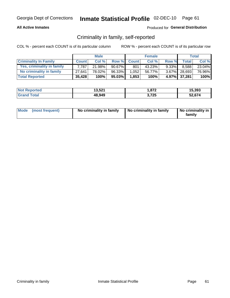## **All Active Inmates**

## Produced for General Distribution

## Criminality in family, self-reported

COL % - percent each COUNT is of its particular column

|                              |              | <b>Male</b> |        |              | <b>Female</b> |          |                 | Total  |
|------------------------------|--------------|-------------|--------|--------------|---------------|----------|-----------------|--------|
| <b>Criminality In Family</b> | <b>Count</b> | Col%        | Row %  | <b>Count</b> | Col %         | Row %    | <b>Total</b>    | Col %  |
| Yes, criminality in family   | 7.787        | 21.98%      | 90.67% | 801          | 43.23%        | $9.33\%$ | 8,588           | 23.04% |
| No criminality in family     | 27.641       | 78.02%      | 96.33% | 1,052        | 56.77%        |          | $3.67\%$ 28,693 | 76.96% |
| <b>Total Reported</b>        | 35,428       | 100%        | 95.03% | 1,853        | 100%          |          | 4.97% 37,281    | 100%   |

| <b>Not Reported</b> | 13,521 | ,872       | 15.393 |
|---------------------|--------|------------|--------|
| ſotal               | 48,949 | ,725<br>v. | 52,674 |

|  | Mode (most frequent) | No criminality in family | No criminality in family | No criminality in<br>family |
|--|----------------------|--------------------------|--------------------------|-----------------------------|
|--|----------------------|--------------------------|--------------------------|-----------------------------|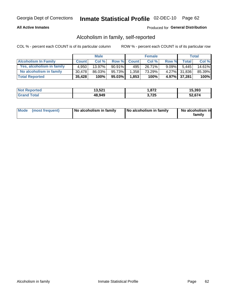## **All Active Inmates**

## Produced for General Distribution

## Alcoholism in family, self-reported

COL % - percent each COUNT is of its particular column

|                             |              | <b>Male</b> |           |              | <b>Female</b> |          |              | Total   |
|-----------------------------|--------------|-------------|-----------|--------------|---------------|----------|--------------|---------|
| <b>Alcoholism In Family</b> | <b>Count</b> | Col%        | Row %     | <b>Count</b> | Col %         | Row %    | <b>Total</b> | Col %   |
| Yes, alcoholism in family   | 4.950        | $13.97\%$   | $90.91\%$ | 495          | 26.71%        | $9.09\%$ | 5.445        | 14.61%  |
| No alcoholism in family     | 30.478       | 86.03%      | 95.73%    | 1,358        | 73.29%        |          | 4.27% 31,836 | 85.39%  |
| <b>Total Reported</b>       | 35,428       | 100%        | 95.03%    | 1,853        | 100%          |          | 4.97% 37,281 | $100\%$ |

| <b>Not Reported</b> | 13,521 | ,872  | 15.393 |
|---------------------|--------|-------|--------|
| Total<br>l Grand T  | 48,949 | 3,725 | 52,674 |

|  | Mode (most frequent) | No alcoholism in family | No alcoholism in family | No alcoholism in<br>family |
|--|----------------------|-------------------------|-------------------------|----------------------------|
|--|----------------------|-------------------------|-------------------------|----------------------------|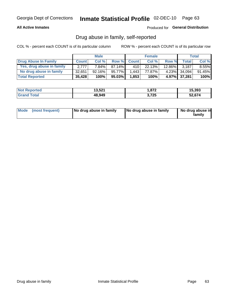## **All Active Inmates**

## Produced for General Distribution

## Drug abuse in family, self-reported

COL % - percent each COUNT is of its particular column

|                           |              | <b>Male</b> |           |              | <b>Female</b> |           |              | Total    |
|---------------------------|--------------|-------------|-----------|--------------|---------------|-----------|--------------|----------|
| Drug Abuse In Family      | <b>Count</b> | Col%        | Row %     | <b>Count</b> | Col%          | Row %     | Total        | Col %    |
| Yes, drug abuse in family | 2.777        | 7.84%       | $87.14\%$ | 410          | 22.13%        | $12.86\%$ | 3.187        | $8.55\%$ |
| No drug abuse in family   | 32,651       | $92.16\%$   | 95.77%    | 1.443        | 77.87%        |           | 4.23% 34,094 | 91.45%   |
| <b>Total Reported</b>     | 35,428       | 100%        | $95.03\%$ | 1,853        | 100%          |           | 4.97% 37,281 | $100\%$  |

| <b>Not Reported</b> | 13,521 | ,872  | 15.393 |
|---------------------|--------|-------|--------|
| Total<br>l Grand T  | 48,949 | 3,725 | 52,674 |

|  | Mode (most frequent) | No drug abuse in family | No drug abuse in family | No drug abuse in<br>familv |
|--|----------------------|-------------------------|-------------------------|----------------------------|
|--|----------------------|-------------------------|-------------------------|----------------------------|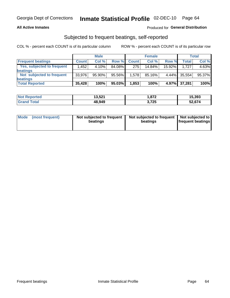## **All Active Inmates**

## **Produced for General Distribution**

## Subjected to frequent beatings, self-reported

COL % - percent each COUNT is of its particular column

|                            |              | <b>Male</b> |        |              | <b>Female</b> |          |        | Total  |
|----------------------------|--------------|-------------|--------|--------------|---------------|----------|--------|--------|
| <b>Frequent beatings</b>   | <b>Count</b> | Col %       | Row %  | <b>Count</b> | Col %         | Row %    | Total  | Col%   |
| Yes, subjected to frequent | .452         | 4.10%       | 84.08% | 275          | $14.84\%$     | 15.92%   | 1.727  | 4.63%  |
| beatings                   |              |             |        |              |               |          |        |        |
| Not subjected to frequent  | 33,976       | 95.90%      | 95.56% | 1,578        | 85.16%        | $4.44\%$ | 35,554 | 95.37% |
| beatings                   |              |             |        |              |               |          |        |        |
| <b>Total Reported</b>      | 35,428       | 100%        | 95.03% | 1,853        | 100%          | 4.97%    | 37,281 | 100%   |

| <b>Not Reported</b> | 13,521 | 1,872 | 15,393 |
|---------------------|--------|-------|--------|
| <b>Grand Total</b>  | 48,949 | 3,725 | 52,674 |

| Mode (most frequent) | Not subjected to frequent<br>beatings | Not subjected to frequent<br>beatings | Not subjected to<br><b>frequent beatings</b> |
|----------------------|---------------------------------------|---------------------------------------|----------------------------------------------|
|                      |                                       |                                       |                                              |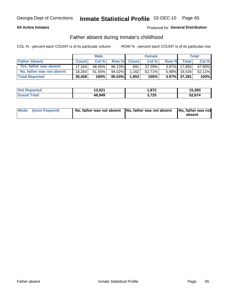## **All Active Inmates**

## Produced for General Distribution

## Father absent during inmate's childhood

COL % - percent each COUNT is of its particular column

|                           |              | <b>Male</b> |        |              | <b>Female</b> |          |              | Total  |
|---------------------------|--------------|-------------|--------|--------------|---------------|----------|--------------|--------|
| <b>Father Absent</b>      | <b>Count</b> | Col %       | Row %  | <b>Count</b> | Col %         | Row %    | <b>Total</b> | Col %  |
| Yes, father was absent    | 17.164       | 48.45%      | 96.13% | 691          | 37.29%        | $3.87\%$ | 17,855       | 47.89% |
| No, father was not absent | 18.264       | 51.55%      | 94.02% | 1,162        | 62.71%        | $5.98\%$ | 19,426       | 52.11% |
| <b>Total Reported</b>     | 35,428       | 100%        | 95.03% | 1,853        | 100%          |          | 4.97% 37,281 | 100%   |

| <b>Not Reported</b> | 13,521 | 872, ا | 15,393 |
|---------------------|--------|--------|--------|
| <b>Grand Total</b>  | 48,949 | 3,725  | 52,674 |

|  | Mode (most frequent) | No, father was not absent No, father was not absent |  | No, father was not<br>absent |
|--|----------------------|-----------------------------------------------------|--|------------------------------|
|--|----------------------|-----------------------------------------------------|--|------------------------------|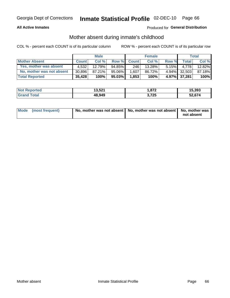## **All Active Inmates**

## Produced for General Distribution

## Mother absent during inmate's childhood

COL % - percent each COUNT is of its particular column

|                           |              | <b>Male</b> |        |              | <b>Female</b> |          |              | Total  |
|---------------------------|--------------|-------------|--------|--------------|---------------|----------|--------------|--------|
| <b>Mother Absent</b>      | <b>Count</b> | Col%        | Row %  | <b>Count</b> | Col %         | Row %    | <b>Total</b> | Col %  |
| Yes, mother was absent    | 4.532        | 12.79%      | 94.85% | 246          | 13.28%        | $5.15\%$ | 4.778        | 12.82% |
| No, mother was not absent | 30.896       | 87.21%      | 95.06% | 1,607        | 86.72%        |          | 4.94% 32,503 | 87.18% |
| <b>Total Reported</b>     | 35,428       | 100%        | 95.03% | 1,853        | 100%          |          | 4.97% 37,281 | 100%   |

| <b>Not Reported</b> | 13,521 | ,872       | 15.393 |
|---------------------|--------|------------|--------|
| ſotal               | 48,949 | ,725<br>v. | 52,674 |

| Mode (most frequent) | No, mother was not absent   No, mother was not absent   No, mother was | not absent |
|----------------------|------------------------------------------------------------------------|------------|
|                      |                                                                        |            |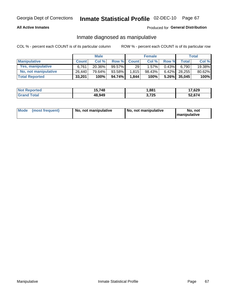## **All Active Inmates**

## Produced for General Distribution

## Inmate diagnosed as manipulative

COL % - percent each COUNT is of its particular column

|                       |              | <b>Male</b> |           |              | <b>Female</b> |          |              | Total  |
|-----------------------|--------------|-------------|-----------|--------------|---------------|----------|--------------|--------|
| <b>Manipulative</b>   | <b>Count</b> | Col %       | Row %     | <b>Count</b> | Col%          | Row %    | <b>Total</b> | Col %  |
| Yes, manipulative     | 6.761        | 20.36%      | 99.57%    | 29           | 1.57%         | 0.43%    | 6.790        | 19.38% |
| No, not manipulative  | 26,440       | 79.64%      | 93.58%    | 1,815        | 98.43%        | $6.42\%$ | 28.255       | 80.62% |
| <b>Total Reported</b> | 33,201       | 100%        | $94.74\%$ | 1.844        | 100%          | $5.26\%$ | 35,045       | 100%   |

| <b>Not Reported</b> | 15,748 | ,881         | 17,629 |
|---------------------|--------|--------------|--------|
| <b>Total</b>        | 48,949 | ? フクド        | -0.071 |
| l Grand             |        | , <u>, ,</u> | 4674   |

| Mode | (most frequent) | No, not manipulative | No, not manipulative | No. not<br><b>I</b> manipulative |
|------|-----------------|----------------------|----------------------|----------------------------------|
|------|-----------------|----------------------|----------------------|----------------------------------|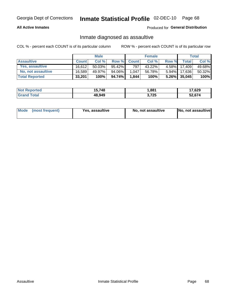### **All Active Inmates**

## Produced for General Distribution

## Inmate diagnosed as assaultive

COL % - percent each COUNT is of its particular column

|                       |              | <b>Male</b> |        |              | <b>Female</b> |          |              | Total  |
|-----------------------|--------------|-------------|--------|--------------|---------------|----------|--------------|--------|
| <b>Assaultive</b>     | <b>Count</b> | Col%        | Row %  | <b>Count</b> | Col %         | Row %    | Total        | Col %  |
| Yes, assaultive       | 16.612       | $50.03\%$   | 95.42% | 797          | 43.22%        | $4.58\%$ | 17,409       | 49.68% |
| No, not assaultive    | 16.589       | 49.97%      | 94.06% | 1,047        | 56.78%        | $5.94\%$ | 17.636       | 50.32% |
| <b>Total Reported</b> | 33,201       | 100%        | 94.74% | 1.844        | 100%          |          | 5.26% 35,045 | 100%   |

| <b>Not Reported</b> | 15,748 | 881.،      | 17,629 |
|---------------------|--------|------------|--------|
| <b>Cotal</b>        | 48,949 | ,725<br>v. | 52.674 |

|  | Mode (most frequent) | Yes, assaultive | No, not assaultive | <b>INo. not assaultivel</b> |
|--|----------------------|-----------------|--------------------|-----------------------------|
|--|----------------------|-----------------|--------------------|-----------------------------|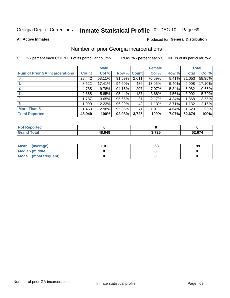#### Inmate Statistical Profile 02-DEC-10 Page 69

**All Active Inmates** 

## **Produced for General Distribution**

## Number of prior Georgia incarcerations

COL % - percent each COUNT is of its particular column

|                                       |              | <b>Male</b> |             |       | <b>Female</b> |       |        | <b>Total</b> |
|---------------------------------------|--------------|-------------|-------------|-------|---------------|-------|--------|--------------|
| <b>Num of Prior GA Incarcerations</b> | <b>Count</b> | Col %       | Row % Count |       | Col %         | Row % | Total  | Col %        |
|                                       | 28,442       | 58.11%      | 91.59%      | 2,611 | 70.09%        | 8.41% | 31,053 | 58.95%       |
|                                       | 8,522        | 17.41%      | 94.60%      | 486   | 13.05%        | 5.40% | 9,008  | 17.10%       |
| $\overline{2}$                        | 4,785        | 9.78%       | 94.16%      | 297   | 7.97%         | 5.84% | 5,082  | 9.65%        |
| 3                                     | 2,865        | 5.85%       | 95.44%      | 137   | 3.68%         | 4.56% | 3,002  | 5.70%        |
| $\boldsymbol{4}$                      | 1,787        | 3.65%       | 95.66%      | 81    | 2.17%         | 4.34% | 1,868  | 3.55%        |
| 5                                     | 1,090        | 2.23%       | 96.29%      | 42'   | 1.13%         | 3.71% | 1,132  | 2.15%        |
| <b>More Than 5</b>                    | 1,458        | 2.98%       | 95.36%      | 71    | 1.91%         | 4.64% | 1,529  | 2.90%        |
| <b>Total Reported</b>                 | 48,949       | 100%        | 92.93%      | 3,725 | 100%          | 7.07% | 52,674 | 100%         |

| <b>Not</b><br>Reported  |        |               |        |
|-------------------------|--------|---------------|--------|
| Total<br><b>'</b> Gran∟ | 48,949 | フクト<br>. . 2J | 52,674 |

| Mean (average)       | l.01 | .00 | .99 |
|----------------------|------|-----|-----|
| Median (middle)      |      |     |     |
| Mode (most frequent) |      |     |     |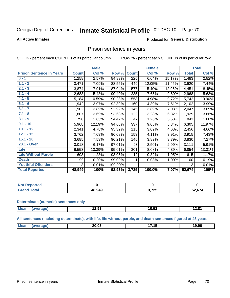#### Inmate Statistical Profile 02-DEC-10 Page 70

#### **All Active Inmates**

#### Produced for General Distribution

## Prison sentence in years

COL % - percent each COUNT is of its particular column

ROW % - percent each COUNT is of its particular row

|                                 |              | <b>Male</b> |         |              | <b>Female</b> |        |              | <b>Total</b> |
|---------------------------------|--------------|-------------|---------|--------------|---------------|--------|--------------|--------------|
| <b>Prison Sentence In Years</b> | <b>Count</b> | Col %       | Row %   | <b>Count</b> | Col %         | Row %  | <b>Total</b> | Col %        |
| $0 - 1$                         | 1,258        | 2.57%       | 84.83%  | 225          | 6.04%         | 15.17% | 1,483        | 2.82%        |
| $1.1 - 2$                       | 3,471        | 7.09%       | 88.55%  | 449          | 12.05%        | 11.45% | 3,920        | 7.44%        |
| $2.1 - 3$                       | 3,874        | 7.91%       | 87.04%  | 577          | 15.49%        | 12.96% | 4,451        | 8.45%        |
| $3.1 - 4$                       | 2,683        | 5.48%       | 90.40%  | 285          | 7.65%         | 9.60%  | 2,968        | 5.63%        |
| $4.1 - 5$                       | 5,184        | 10.59%      | 90.28%  | 558          | 14.98%        | 9.72%  | 5,742        | 10.90%       |
| $5.1 - 6$                       | 1,942        | 3.97%       | 92.39%  | 160          | 4.30%         | 7.61%  | 2,102        | 3.99%        |
| $6.1 - 7$                       | 1,902        | 3.89%       | 92.92%  | 145          | 3.89%         | 7.08%  | 2,047        | 3.89%        |
| $7.1 - 8$                       | 1,807        | 3.69%       | 93.68%  | 122          | 3.28%         | 6.32%  | 1,929        | 3.66%        |
| $8.1 - 9$                       | 796          | 1.63%       | 94.42%  | 47           | 1.26%         | 5.58%  | 843          | 1.60%        |
| $9.1 - 10$                      | 5,968        | 12.19%      | 94.66%  | 337          | 9.05%         | 5.34%  | 6,305        | 11.97%       |
| $10.1 - 12$                     | 2,341        | 4.78%       | 95.32%  | 115          | 3.09%         | 4.68%  | 2,456        | 4.66%        |
| $12.1 - 15$                     | 3,762        | 7.69%       | 96.09%  | 153          | 4.11%         | 3.91%  | 3,915        | 7.43%        |
| $15.1 - 20$                     | 3,685        | 7.53%       | 96.21%  | 145          | 3.89%         | 3.79%  | 3,830        | 7.27%        |
| 20.1 - Over                     | 3,018        | 6.17%       | 97.01%  | 93           | 2.50%         | 2.99%  | 3,111        | 5.91%        |
| <b>Life</b>                     | 6,553        | 13.39%      | 95.61%  | 301          | 8.08%         | 4.39%  | 6,854        | 13.01%       |
| <b>Life Without Parole</b>      | 603          | 1.23%       | 98.05%  | 12           | 0.32%         | 1.95%  | 615          | 1.17%        |
| <b>Death</b>                    | 99           | 0.20%       | 99.00%  |              | 0.03%         | 1.00%  | 100          | 0.19%        |
| <b>Youthful Offenders</b>       | 3            | 0.01%       | 100.00% |              |               |        | 3            | 0.01%        |
| <b>Total Reported</b>           | 48,949       | 100%        | 92.93%  | 3,725        | 100.0%        | 7.07%  | 52,674       | 100%         |

| <b>Not Reported</b>             |        |       |               |
|---------------------------------|--------|-------|---------------|
| <b>otal</b><br>. Cir $\epsilon$ | 48.949 | ) フクに | <b>12 674</b> |

#### **Determinate (numeric) sentences only**

| <b>Mean</b> | הה הו<br>. 2.93 | .<br>ےכ.∪1 | ים ה<br>. د.ه<br>$\sim$ $\sim$ |
|-------------|-----------------|------------|--------------------------------|
|             |                 |            |                                |

All sentences (including determinate), with life, life without parole, and death sentences figured at 45 years

| <b>Me</b> | 00.00<br>-u.uj<br>____ | . .<br>. | 19.90 |
|-----------|------------------------|----------|-------|
|           |                        |          |       |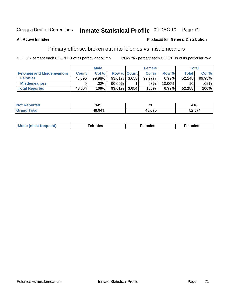#### Inmate Statistical Profile 02-DEC-10 Georgia Dept of Corrections Page 71

#### **All Active Inmates**

#### **Produced for General Distribution**

# Primary offense, broken out into felonies vs misdemeanors

COL % - percent each COUNT is of its particular column

|                                  |              | <b>Male</b> |           |                    | <b>Female</b>       |           | Total        |         |
|----------------------------------|--------------|-------------|-----------|--------------------|---------------------|-----------|--------------|---------|
| <b>Felonies and Misdemeanors</b> | <b>Count</b> | Col %       |           | <b>Row % Count</b> | Col %               | Row %     | <b>Total</b> | Col %   |
| <b>Felonies</b>                  | 48,595       | 99.98%      | $93.01\%$ | 3,653              | 99.97%              | 6.99%     | 52.248       | 99.98%  |
| <b>Misdemeanors</b>              | 9            | $.02\%$     | 90.00%    |                    | $.03\%$ $^{\prime}$ | $10.00\%$ | 10           | $.02\%$ |
| <b>Total Reported</b>            | 48,604       | 100%        | $93.01\%$ | 3,654              | 100%                | 6.99%     | 52,258       | 100%    |

| <b>Not</b>    | - - -  | $\sim$ | .      |
|---------------|--------|--------|--------|
| ted.          | 345    |        | 4 I U  |
| ™otai<br>Grar | 48,949 | 18 G75 | 52,674 |

|  | Mo | . | a masa sa sa<br>. | onies<br>. |
|--|----|---|-------------------|------------|
|--|----|---|-------------------|------------|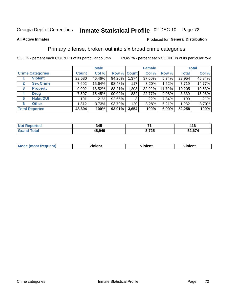# Inmate Statistical Profile 02-DEC-10 Page 72

#### **All Active Inmates**

### Produced for General Distribution

### Primary offense, broken out into six broad crime categories

COL % - percent each COUNT is of its particular column

|                         |                  |              | <b>Male</b> |           |             | <b>Female</b> |        |              | <b>Total</b> |
|-------------------------|------------------|--------------|-------------|-----------|-------------|---------------|--------|--------------|--------------|
| <b>Crime Categories</b> |                  | <b>Count</b> | Col %       |           | Row % Count | Col %         | Row %  | <b>Total</b> | Col %        |
|                         | <b>Violent</b>   | 22,580       | 46.46%      | 94.26%    | 1,374       | 37.60%        | 5.74%  | 23,954       | 45.84%       |
| $\mathbf{2}$            | <b>Sex Crime</b> | 7,602        | 15.64%      | 98.48%    | 117         | $3.20\%$      | 1.52%  | 7,719        | 14.77%       |
| 3                       | <b>Property</b>  | 9,002        | 18.52%      | 88.21%    | 1,203       | 32.92%        | 11.79% | 10,205       | 19.53%       |
| 4                       | <b>Drug</b>      | 7,507        | 15.45%      | $90.02\%$ | 832         | 22.77%        | 9.98%  | 8,339        | 15.96%       |
| 5                       | <b>Habit/DUI</b> | 101          | .21%        | 92.66%    | 8           | $.22\%$       | 7.34%  | 109          | .21%         |
| 6                       | <b>Other</b>     | 1,812        | 3.73%       | 93.79%    | 120         | 3.28%         | 6.21%  | 1,932        | 3.70%        |
| <b>Total Reported</b>   |                  | 48,604       | 100%        | 93.01%    | 3,654       | 100%          | 6.99%  | 52,258       | 100%         |

| <b>Not</b><br>Reported | 345    | $\sim$         | 416    |
|------------------------|--------|----------------|--------|
| <b>Total</b>           | 48,949 | ≀ 7ク斥<br>ט זוי | 52,674 |

| M | - --<br>100011 | .<br><b>VIOIGIIL</b> | 1.91311 |
|---|----------------|----------------------|---------|
|   |                |                      |         |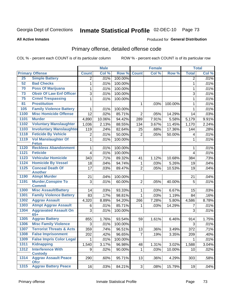# Inmate Statistical Profile 02-DEC-10 Page 73

**Produced for General Distribution** 

#### **All Active Inmates**

## Primary offense, detailed offense code

COL % - percent each COUNT is of its particular column

|      |                                            | <b>Male</b>    |        | <b>Female</b> |                |       | <b>Total</b> |                    |       |
|------|--------------------------------------------|----------------|--------|---------------|----------------|-------|--------------|--------------------|-------|
|      | <b>Primary Offense</b>                     | <b>Count</b>   | Col %  | Row %         | <b>Count</b>   | Col % | Row %        | <b>Total</b>       | Col % |
| 25   | <b>Simple Battery</b>                      | $\overline{2}$ | .01%   | 100.00%       |                |       |              | $\overline{2}$     | .01%  |
| 52   | <b>Bad Checks</b>                          | 1              | .01%   | 100.00%       |                |       |              | 1                  | .01%  |
| 70   | <b>Poss Of Marijuana</b>                   | 1              | .01%   | 100.00%       |                |       |              | 1                  | .01%  |
| 73   | <b>Obstr Of Law Enf Officer</b>            | 3              | .01%   | 100.00%       |                |       |              | 3                  | .01%  |
| 75   | <b>Crmnl Trespassing</b>                   | $\mathbf{1}$   | .01%   | 100.00%       |                |       |              | $\mathbf{1}$       | .01%  |
| 81   | <b>Prostitution</b>                        |                |        |               | 1              | .03%  | 100.00%      | 1                  | .01%  |
| 105  | <b>Family Violence Battery</b>             | 1              | .01%   | 100.00%       |                |       |              | 1                  | .01%  |
| 1100 | <b>Misc Homicide Offense</b>               | 12             | .02%   | 85.71%        | 2              | .05%  | 14.29%       | 14                 | .03%  |
| 1101 | <b>Murder</b>                              | 4,890          | 10.06% | 94.42%        | 289            | 7.91% | 5.58%        | $\overline{5,179}$ | 9.91% |
| 1102 | <b>Voluntary Manslaughter</b>              | 1,036          | 2.13%  | 88.55%        | 134            | 3.67% | 11.45%       | 1,170              | 2.24% |
| 1103 | <b>Involuntary Manslaughter</b>            | 119            | .24%   | 82.64%        | 25             | .68%  | 17.36%       | 144                | .28%  |
| 1118 | <b>Feticide By Vehicle</b>                 | $\overline{2}$ | .01%   | 50.00%        | $\overline{2}$ | .05%  | 50.00%       | 4                  | .01%  |
| 1119 | <b>Vol Manslaughter Of</b><br><b>Fetus</b> | $\mathbf{1}$   | .01%   | 100.00%       |                |       |              | $\mathbf{1}$       | .01%  |
| 1120 | <b>Reckless Abandonment</b>                | 1              | .01%   | 100.00%       |                |       |              | 1                  | .01%  |
| 1121 | <b>Feticide</b>                            | $\overline{4}$ | .01%   | 100.00%       |                |       |              | 4                  | .01%  |
| 1123 | <b>Vehicular Homicide</b>                  | 343            | .71%   | 89.32%        | 41             | 1.12% | 10.68%       | 384                | .73%  |
| 1124 | <b>Homicide By Vessel</b>                  | 18             | .04%   | 94.74%        | 1              | .03%  | 5.26%        | 19                 | .04%  |
| 1125 | <b>Conceal Death Of</b><br><b>Another</b>  | 17             | .03%   | 89.47%        | $\overline{2}$ | .05%  | 10.53%       | 19                 | .04%  |
| 1190 | <b>Atmpt Murder</b>                        | 21             | .04%   | 100.00%       |                |       |              | 21                 | .04%  |
| 1191 | <b>Murder, Conspire To</b>                 | 3              | .01%   | 60.00%        | $\overline{2}$ | .05%  | 40.00%       | 5                  | .01%  |
|      | <b>Commit</b>                              |                |        |               |                |       |              |                    |       |
| 1300 | <b>Misc Assault/Battery</b>                | 14             | .03%   | 93.33%        | 1              | .03%  | 6.67%        | 15                 | .03%  |
| 1301 | <b>Family Violence Battery</b>             | 83             | .17%   | 98.81%        | $\mathbf{1}$   | .03%  | 1.19%        | 84                 | .16%  |
| 1302 | <b>Aggrav Assault</b>                      | 4,320          | 8.89%  | 94.20%        | 266            | 7.28% | 5.80%        | 4,586              | 8.78% |
| 1303 | <b>Atmpt Aggrav Assault</b>                | 6              | .01%   | 85.71%        | 1              | .03%  | 14.29%       | 7                  | .01%  |
| 1304 | <b>Aggravated Assault On</b>               | 3              | .01%   | 100.00%       |                |       |              | 3                  | .01%  |
| 1305 | $65+$<br><b>Aggrav Battery</b>             | 855            | 1.76%  | 93.54%        | 59             | 1.61% | 6.46%        | 914                | 1.75% |
| 1306 | <b>Misc Family Violence</b>                | 3              | .01%   | 100.00%       |                |       |              | 3                  | .01%  |
| 1307 | <b>Terrorist Threats &amp; Acts</b>        | 359            | .74%   | 96.51%        | 13             | .36%  | 3.49%        | 372                | .71%  |
| 1308 | <b>False Imprisonment</b>                  | 202            | .42%   | 96.65%        | $\overline{7}$ | .19%  | 3.35%        | 209                | .40%  |
| 1309 | <b>False Impris Color Legal</b>            | $\mathbf 1$    | .01%   | 100.00%       |                |       |              |                    | .01%  |
| 1311 | <b>Kidnapping</b>                          | 1,540          | 3.17%  | 96.98%        | 48             | 1.31% | 3.02%        | 1,588              | 3.04% |
| 1312 | <b>Interference With</b>                   | 9              | .02%   | 90.00%        | $\mathbf{1}$   | .03%  | 10.00%       | 10                 | .02%  |
|      | <b>Custody</b>                             |                |        |               |                |       |              |                    |       |
| 1314 | <b>Aggrav Assault Peace</b><br><b>Ofcr</b> | 290            | .60%   | 95.71%        | 13             | .36%  | 4.29%        | 303                | .58%  |
| 1315 | <b>Aggrav Battery Peace</b>                | 16             | .03%   | 84.21%        | 3              | .08%  | 15.79%       | 19                 | .04%  |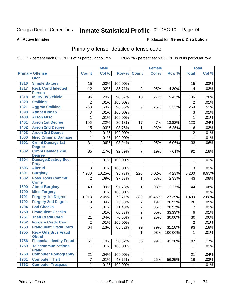# Inmate Statistical Profile 02-DEC-10 Page 74

#### **All Active Inmates**

### **Produced for General Distribution**

## Primary offense, detailed offense code

COL % - percent each COUNT is of its particular column

|      |                                             | <b>Male</b>             |        | <b>Female</b>        |                  |        | <b>Total</b> |                |       |
|------|---------------------------------------------|-------------------------|--------|----------------------|------------------|--------|--------------|----------------|-------|
|      | <b>Primary Offense</b>                      | <b>Count</b>            | Col %  | Row %                | <b>Count</b>     | Col %  | Row %        | <b>Total</b>   | Col % |
|      | <b>Ofcr</b>                                 |                         |        |                      |                  |        |              |                |       |
| 1316 | <b>Simple Battery</b>                       | 15                      | .03%   | 100.00%              |                  |        |              | 15             | .03%  |
| 1317 | <b>Reck Cond Infected</b>                   | 12                      | .02%   | 85.71%               | $\overline{2}$   | .05%   | 14.29%       | 14             | .03%  |
| 1318 | <b>Person</b><br><b>Injury By Vehicle</b>   | 96                      | .20%   | 90.57%               | 10               | .27%   | 9.43%        | 106            | .20%  |
| 1320 | <b>Stalking</b>                             | $\overline{2}$          | .01%   | 100.00%              |                  |        |              | $\overline{2}$ | .01%  |
| 1321 | <b>Aggrav Stalking</b>                      | 260                     | .53%   | 96.65%               | 9                | .25%   | 3.35%        | 269            | .51%  |
| 1390 | <b>Atmpt Kidnap</b>                         | 3                       | .01%   | 100.00%              |                  |        |              | 3              | .01%  |
| 1400 | <b>Arson Misc</b>                           |                         |        |                      |                  |        |              |                |       |
| 1401 | <b>Arson 1st Degree</b>                     | 1                       | .01%   | 100.00%              |                  |        |              | 1              | .01%  |
|      |                                             | 106                     | .22%   | 86.18%               | 17               | .47%   | 13.82%       | 123            | .24%  |
| 1402 | <b>Arson 2nd Degree</b>                     | 15                      | .03%   | $\overline{93.75\%}$ | $\mathbf 1$      | .03%   | 6.25%        | 16             | .03%  |
| 1403 | <b>Arson 3rd Degree</b>                     | $\overline{c}$          | .01%   | 100.00%              |                  |        |              | $\overline{2}$ | .01%  |
| 1500 | <b>Misc Criminal Damage</b>                 | $\mathbf{1}$            | .01%   | 100.00%              |                  |        |              | 1              | .01%  |
| 1501 | <b>Crmnl Damage 1st</b><br><b>Degree</b>    | 31                      | .06%   | 93.94%               | $\boldsymbol{2}$ | .05%   | 6.06%        | 33             | .06%  |
| 1502 | <b>Crmnl Damage 2nd</b><br><b>Degree</b>    | 85                      | .17%   | 92.39%               | $\overline{7}$   | .19%   | 7.61%        | 92             | .18%  |
| 1504 | <b>Damage, Destroy Secr</b><br><b>Prop</b>  | 1                       | .01%   | 100.00%              |                  |        |              | 1              | .01%  |
| 1506 | <b>Alter Id</b>                             | 3                       | .01%   | 100.00%              |                  |        |              | 3              | .01%  |
| 1601 | <b>Burglary</b>                             | 4,980                   | 10.25% | 95.77%               | 220              | 6.02%  | 4.23%        | 5,200          | 9.95% |
| 1602 | <b>Poss Tools Commit</b><br><b>Crime</b>    | 42                      | .09%   | 97.67%               | 1                | .03%   | 2.33%        | 43             | .08%  |
| 1690 | <b>Atmpt Burglary</b>                       | 43                      | .09%   | 97.73%               | 1                | .03%   | 2.27%        | 44             | .08%  |
| 1700 | <b>Misc Forgery</b>                         | 1                       | .01%   | 100.00%              |                  |        |              | 1              | .01%  |
| 1701 | <b>Forgery 1st Degree</b>                   | 1,018                   | 2.09%  | 72.71%               | 382              | 10.45% | 27.29%       | 1,400          | 2.68% |
| 1702 | <b>Forgery 2nd Degree</b>                   | 19                      | .04%   | 73.08%               | 7                | .19%   | 26.92%       | 26             | .05%  |
| 1704 | <b>Bad Checks</b>                           | 5                       | .01%   | 71.43%               | $\overline{2}$   | .05%   | 28.57%       | $\overline{7}$ | .01%  |
| 1750 | <b>Fraudulent Checks</b>                    | $\overline{\mathbf{4}}$ | .01%   | 66.67%               | $\overline{2}$   | .05%   | 33.33%       | 6              | .01%  |
| 1751 | <b>Theft Credit Card</b>                    | 21                      | .04%   | 70.00%               | $\overline{9}$   | .25%   | 30.00%       | 30             | .06%  |
| 1752 | <b>Forgery Credit Card</b>                  | $\overline{2}$          | .01%   | 100.00%              |                  |        |              | $\overline{2}$ | .01%  |
| 1753 | <b>Fraudulent Credit Card</b>               | 64                      | .13%   | 68.82%               | 29               | .79%   | 31.18%       | 93             | .18%  |
| 1755 | <b>Recv Gds, Srvs Fraud</b><br><b>Obtnd</b> |                         |        |                      | 1                | .03%   | 100.00%      | 1              | .01%  |
| 1756 | <b>Financial Identity Fraud</b>             | 51                      | .10%   | 58.62%               | 36               | .99%   | 41.38%       | 87             | .17%  |
| 1759 | <b>Telecommunications</b><br><b>Fraud</b>   | 1                       | .01%   | 100.00%              |                  |        |              | 1              | .01%  |
| 1760 | <b>Computer Pornography</b>                 | 21                      | .04%   | 100.00%              |                  |        |              | 21             | .04%  |
| 1761 | <b>Computer Theft</b>                       | $\overline{7}$          | .01%   | 43.75%               | 9                | .25%   | 56.25%       | 16             | .03%  |
| 1762 | <b>Computer Trespass</b>                    | 1                       | .01%   | 100.00%              |                  |        |              | $\mathbf 1$    | .01%  |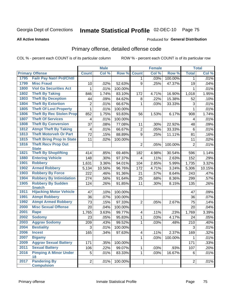# Inmate Statistical Profile 02-DEC-10 Page 75

**Produced for General Distribution** 

#### **All Active Inmates**

### Primary offense, detailed offense code

COL % - percent each COUNT is of its particular column

| Col %<br>Row %<br>Col %<br>Row %<br><b>Total</b><br>Col %<br><b>Primary Offense</b><br><b>Count</b><br><b>Count</b><br><b>Failr Pay Natrl Prd/Chttl</b><br>1795<br>100.00%<br>.01%<br>.03%<br>$\mathbf{1}$<br>$\mathbf 1$<br><b>Misc Fraud</b><br>1799<br>.02%<br>52.63%<br>9<br>.25%<br>47.37%<br>19<br>.04%<br>10<br><b>Viol Ga Securities Act</b><br>1800<br>.01%<br>100.00%<br>.01%<br>1<br>$\mathbf 1$<br>1802<br><b>Theft By Taking</b><br>1.74%<br>83.10%<br>16.90%<br>1,018<br>1.95%<br>846<br>172<br>4.71%<br><b>Theft By Deception</b><br>1803<br>84.62%<br>15.38%<br>44<br>.09%<br>8<br>.22%<br>52<br>.10%<br>1804<br><b>Theft By Extortion</b><br>.01%<br>66.67%<br>.01%<br>2<br>.03%<br>33.33%<br>3<br>1<br><b>Theft Of Lost Property</b><br>1805<br>$\mathbf{1}$<br>.01%<br>100.00%<br>.01%<br>1<br><b>Theft By Rec Stolen Prop</b><br>1806<br>852<br>1.75%<br>93.83%<br>1.74%<br>56<br>1.53%<br>6.17%<br>908<br>1807<br><b>Theft Of Services</b><br>100.00%<br>.01%<br>4<br>.01%<br>4<br><b>Theft By Conversion</b><br>1808<br>37<br>.08%<br>77.08%<br>.30%<br>22.92%<br>48<br>.09%<br>11<br>1812<br><b>Atmpt Theft By Taking</b><br>$\overline{2}$<br>.01%<br>66.67%<br>.05%<br>33.33%<br>.01%<br>4<br>6<br><b>Theft Motorveh Or Part</b><br>1813<br>9<br>72<br>.15%<br>88.89%<br>.25%<br>11.11%<br>.16%<br>81<br>1815<br><b>Theft Bring Prop In State</b><br>11<br>100.00%<br>.02%<br>.02%<br>11<br>1816<br><b>Theft Recv Prop Out</b><br>.01%<br>$\overline{2}$<br>.05%<br>100.00%<br>$\overline{2}$<br><b>State</b><br><b>Theft By Shoplifting</b><br>1821<br>414<br>30.54%<br>1.14%<br>.85%<br>69.46%<br>182<br>4.98%<br>596<br>1880<br><b>Entering Vehicle</b><br>148<br>.30%<br>97.37%<br>2.63%<br>152<br>.11%<br>.29%<br>4<br>1901<br><b>Robbery</b><br>3.36%<br>5.99%<br>3.32%<br>1,631<br>94.01%<br>104<br>2.85%<br>1,735<br><b>Armed Robbery</b><br>1902<br>96.76%<br>4.71%<br>3.24%<br>5,306<br>10.15%<br>5,134<br>10.56%<br>172<br>1903<br><b>Robbery By Force</b><br>222<br>91.36%<br>243<br>.46%<br>21<br>.57%<br>8.64%<br>.47%<br>1904<br><b>Robbery By Intimidation</b><br>91.64%<br>25<br>274<br>.56%<br>.68%<br>8.36%<br>299<br>.57%<br><b>Robbery By Sudden</b><br>1905<br>124<br>.26%<br>91.85%<br>11<br>135<br>.26%<br>.30%<br>8.15%<br><b>Snatch</b><br><b>Hijacking Motor Vehicle</b><br>1911<br>47<br>.10%<br>100.00%<br>.09%<br>47<br><b>Atmpt Robbery</b><br>1991<br>36<br>.07%<br>100.00%<br>.07%<br>36<br><b>Atmpt Armed Robbery</b><br>1992<br>73<br>.15%<br>97.33%<br>$\overline{2}$<br>.14%<br>.05%<br>2.67%<br>75<br>2000<br><b>Misc Sexual Offense</b><br>20<br>100.00%<br>.04%<br>.04%<br>20<br>2001<br>Rape<br>3.63%<br>99.77%<br>3.39%<br>1,765<br>.11%<br>.23%<br>1,769<br>4<br>2002<br><b>Sodomy</b><br>23<br>95.83%<br>$\mathbf{1}$<br>.03%<br>4.17%<br>.05%<br>.05%<br>24<br><b>Aggrav Sodomy</b><br>2003<br>.43%<br>99.52%<br>210<br>.40%<br>209<br>1<br>.03%<br>.48%<br>2004<br><b>Bestiality</b><br>.01%<br>3<br>.01%<br>100.00%<br>3<br>2006<br>165<br>.34%<br>.32%<br><b>Incest</b><br>97.63%<br>.11%<br>2.37%<br>169<br>4<br>2007<br><b>Bigamy</b><br>$\mathbf{1}$<br>100.00%<br>$\mathbf{1}$<br>.01%<br>.03%<br><b>Aggrav Sexual Battery</b><br>2009<br>171<br>100.00%<br>171<br>.33%<br>.35%<br>2011<br><b>Sexual Battery</b><br>106<br>.22%<br>99.07%<br>$\mathbf 1$<br>.93%<br>107<br>.20%<br>.03%<br><b>Pimping A Minor Under</b><br>2016<br>5<br>83.33%<br>$\mathbf{1}$<br>.03%<br>16.67%<br>.01%<br>6<br>.01%<br>18 |      |                     | <b>Male</b>    |      |         | <b>Female</b> |  |  | <b>Total</b>   |      |
|------------------------------------------------------------------------------------------------------------------------------------------------------------------------------------------------------------------------------------------------------------------------------------------------------------------------------------------------------------------------------------------------------------------------------------------------------------------------------------------------------------------------------------------------------------------------------------------------------------------------------------------------------------------------------------------------------------------------------------------------------------------------------------------------------------------------------------------------------------------------------------------------------------------------------------------------------------------------------------------------------------------------------------------------------------------------------------------------------------------------------------------------------------------------------------------------------------------------------------------------------------------------------------------------------------------------------------------------------------------------------------------------------------------------------------------------------------------------------------------------------------------------------------------------------------------------------------------------------------------------------------------------------------------------------------------------------------------------------------------------------------------------------------------------------------------------------------------------------------------------------------------------------------------------------------------------------------------------------------------------------------------------------------------------------------------------------------------------------------------------------------------------------------------------------------------------------------------------------------------------------------------------------------------------------------------------------------------------------------------------------------------------------------------------------------------------------------------------------------------------------------------------------------------------------------------------------------------------------------------------------------------------------------------------------------------------------------------------------------------------------------------------------------------------------------------------------------------------------------------------------------------------------------------------------------------------------------------------------------------------------------------------------------------------------------------------------------------------------------------------------------------------------------------------------------------------------------------------------------------------------------------------------------------------------------------------------------------------------------------------------------------------------------------------------------------------------------------------------------------|------|---------------------|----------------|------|---------|---------------|--|--|----------------|------|
|                                                                                                                                                                                                                                                                                                                                                                                                                                                                                                                                                                                                                                                                                                                                                                                                                                                                                                                                                                                                                                                                                                                                                                                                                                                                                                                                                                                                                                                                                                                                                                                                                                                                                                                                                                                                                                                                                                                                                                                                                                                                                                                                                                                                                                                                                                                                                                                                                                                                                                                                                                                                                                                                                                                                                                                                                                                                                                                                                                                                                                                                                                                                                                                                                                                                                                                                                                                                                                                                                          |      |                     |                |      |         |               |  |  |                |      |
|                                                                                                                                                                                                                                                                                                                                                                                                                                                                                                                                                                                                                                                                                                                                                                                                                                                                                                                                                                                                                                                                                                                                                                                                                                                                                                                                                                                                                                                                                                                                                                                                                                                                                                                                                                                                                                                                                                                                                                                                                                                                                                                                                                                                                                                                                                                                                                                                                                                                                                                                                                                                                                                                                                                                                                                                                                                                                                                                                                                                                                                                                                                                                                                                                                                                                                                                                                                                                                                                                          |      |                     |                |      |         |               |  |  |                |      |
|                                                                                                                                                                                                                                                                                                                                                                                                                                                                                                                                                                                                                                                                                                                                                                                                                                                                                                                                                                                                                                                                                                                                                                                                                                                                                                                                                                                                                                                                                                                                                                                                                                                                                                                                                                                                                                                                                                                                                                                                                                                                                                                                                                                                                                                                                                                                                                                                                                                                                                                                                                                                                                                                                                                                                                                                                                                                                                                                                                                                                                                                                                                                                                                                                                                                                                                                                                                                                                                                                          |      |                     |                |      |         |               |  |  |                |      |
|                                                                                                                                                                                                                                                                                                                                                                                                                                                                                                                                                                                                                                                                                                                                                                                                                                                                                                                                                                                                                                                                                                                                                                                                                                                                                                                                                                                                                                                                                                                                                                                                                                                                                                                                                                                                                                                                                                                                                                                                                                                                                                                                                                                                                                                                                                                                                                                                                                                                                                                                                                                                                                                                                                                                                                                                                                                                                                                                                                                                                                                                                                                                                                                                                                                                                                                                                                                                                                                                                          |      |                     |                |      |         |               |  |  |                |      |
|                                                                                                                                                                                                                                                                                                                                                                                                                                                                                                                                                                                                                                                                                                                                                                                                                                                                                                                                                                                                                                                                                                                                                                                                                                                                                                                                                                                                                                                                                                                                                                                                                                                                                                                                                                                                                                                                                                                                                                                                                                                                                                                                                                                                                                                                                                                                                                                                                                                                                                                                                                                                                                                                                                                                                                                                                                                                                                                                                                                                                                                                                                                                                                                                                                                                                                                                                                                                                                                                                          |      |                     |                |      |         |               |  |  |                |      |
|                                                                                                                                                                                                                                                                                                                                                                                                                                                                                                                                                                                                                                                                                                                                                                                                                                                                                                                                                                                                                                                                                                                                                                                                                                                                                                                                                                                                                                                                                                                                                                                                                                                                                                                                                                                                                                                                                                                                                                                                                                                                                                                                                                                                                                                                                                                                                                                                                                                                                                                                                                                                                                                                                                                                                                                                                                                                                                                                                                                                                                                                                                                                                                                                                                                                                                                                                                                                                                                                                          |      |                     |                |      |         |               |  |  |                |      |
|                                                                                                                                                                                                                                                                                                                                                                                                                                                                                                                                                                                                                                                                                                                                                                                                                                                                                                                                                                                                                                                                                                                                                                                                                                                                                                                                                                                                                                                                                                                                                                                                                                                                                                                                                                                                                                                                                                                                                                                                                                                                                                                                                                                                                                                                                                                                                                                                                                                                                                                                                                                                                                                                                                                                                                                                                                                                                                                                                                                                                                                                                                                                                                                                                                                                                                                                                                                                                                                                                          |      |                     |                |      |         |               |  |  |                |      |
|                                                                                                                                                                                                                                                                                                                                                                                                                                                                                                                                                                                                                                                                                                                                                                                                                                                                                                                                                                                                                                                                                                                                                                                                                                                                                                                                                                                                                                                                                                                                                                                                                                                                                                                                                                                                                                                                                                                                                                                                                                                                                                                                                                                                                                                                                                                                                                                                                                                                                                                                                                                                                                                                                                                                                                                                                                                                                                                                                                                                                                                                                                                                                                                                                                                                                                                                                                                                                                                                                          |      |                     |                |      |         |               |  |  |                |      |
|                                                                                                                                                                                                                                                                                                                                                                                                                                                                                                                                                                                                                                                                                                                                                                                                                                                                                                                                                                                                                                                                                                                                                                                                                                                                                                                                                                                                                                                                                                                                                                                                                                                                                                                                                                                                                                                                                                                                                                                                                                                                                                                                                                                                                                                                                                                                                                                                                                                                                                                                                                                                                                                                                                                                                                                                                                                                                                                                                                                                                                                                                                                                                                                                                                                                                                                                                                                                                                                                                          |      |                     |                |      |         |               |  |  |                |      |
|                                                                                                                                                                                                                                                                                                                                                                                                                                                                                                                                                                                                                                                                                                                                                                                                                                                                                                                                                                                                                                                                                                                                                                                                                                                                                                                                                                                                                                                                                                                                                                                                                                                                                                                                                                                                                                                                                                                                                                                                                                                                                                                                                                                                                                                                                                                                                                                                                                                                                                                                                                                                                                                                                                                                                                                                                                                                                                                                                                                                                                                                                                                                                                                                                                                                                                                                                                                                                                                                                          |      |                     |                |      |         |               |  |  |                |      |
|                                                                                                                                                                                                                                                                                                                                                                                                                                                                                                                                                                                                                                                                                                                                                                                                                                                                                                                                                                                                                                                                                                                                                                                                                                                                                                                                                                                                                                                                                                                                                                                                                                                                                                                                                                                                                                                                                                                                                                                                                                                                                                                                                                                                                                                                                                                                                                                                                                                                                                                                                                                                                                                                                                                                                                                                                                                                                                                                                                                                                                                                                                                                                                                                                                                                                                                                                                                                                                                                                          |      |                     |                |      |         |               |  |  |                |      |
|                                                                                                                                                                                                                                                                                                                                                                                                                                                                                                                                                                                                                                                                                                                                                                                                                                                                                                                                                                                                                                                                                                                                                                                                                                                                                                                                                                                                                                                                                                                                                                                                                                                                                                                                                                                                                                                                                                                                                                                                                                                                                                                                                                                                                                                                                                                                                                                                                                                                                                                                                                                                                                                                                                                                                                                                                                                                                                                                                                                                                                                                                                                                                                                                                                                                                                                                                                                                                                                                                          |      |                     |                |      |         |               |  |  |                |      |
|                                                                                                                                                                                                                                                                                                                                                                                                                                                                                                                                                                                                                                                                                                                                                                                                                                                                                                                                                                                                                                                                                                                                                                                                                                                                                                                                                                                                                                                                                                                                                                                                                                                                                                                                                                                                                                                                                                                                                                                                                                                                                                                                                                                                                                                                                                                                                                                                                                                                                                                                                                                                                                                                                                                                                                                                                                                                                                                                                                                                                                                                                                                                                                                                                                                                                                                                                                                                                                                                                          |      |                     |                |      |         |               |  |  |                |      |
|                                                                                                                                                                                                                                                                                                                                                                                                                                                                                                                                                                                                                                                                                                                                                                                                                                                                                                                                                                                                                                                                                                                                                                                                                                                                                                                                                                                                                                                                                                                                                                                                                                                                                                                                                                                                                                                                                                                                                                                                                                                                                                                                                                                                                                                                                                                                                                                                                                                                                                                                                                                                                                                                                                                                                                                                                                                                                                                                                                                                                                                                                                                                                                                                                                                                                                                                                                                                                                                                                          |      |                     |                |      |         |               |  |  |                |      |
|                                                                                                                                                                                                                                                                                                                                                                                                                                                                                                                                                                                                                                                                                                                                                                                                                                                                                                                                                                                                                                                                                                                                                                                                                                                                                                                                                                                                                                                                                                                                                                                                                                                                                                                                                                                                                                                                                                                                                                                                                                                                                                                                                                                                                                                                                                                                                                                                                                                                                                                                                                                                                                                                                                                                                                                                                                                                                                                                                                                                                                                                                                                                                                                                                                                                                                                                                                                                                                                                                          |      |                     |                |      |         |               |  |  |                |      |
|                                                                                                                                                                                                                                                                                                                                                                                                                                                                                                                                                                                                                                                                                                                                                                                                                                                                                                                                                                                                                                                                                                                                                                                                                                                                                                                                                                                                                                                                                                                                                                                                                                                                                                                                                                                                                                                                                                                                                                                                                                                                                                                                                                                                                                                                                                                                                                                                                                                                                                                                                                                                                                                                                                                                                                                                                                                                                                                                                                                                                                                                                                                                                                                                                                                                                                                                                                                                                                                                                          |      |                     |                |      |         |               |  |  |                |      |
|                                                                                                                                                                                                                                                                                                                                                                                                                                                                                                                                                                                                                                                                                                                                                                                                                                                                                                                                                                                                                                                                                                                                                                                                                                                                                                                                                                                                                                                                                                                                                                                                                                                                                                                                                                                                                                                                                                                                                                                                                                                                                                                                                                                                                                                                                                                                                                                                                                                                                                                                                                                                                                                                                                                                                                                                                                                                                                                                                                                                                                                                                                                                                                                                                                                                                                                                                                                                                                                                                          |      |                     |                |      |         |               |  |  |                |      |
|                                                                                                                                                                                                                                                                                                                                                                                                                                                                                                                                                                                                                                                                                                                                                                                                                                                                                                                                                                                                                                                                                                                                                                                                                                                                                                                                                                                                                                                                                                                                                                                                                                                                                                                                                                                                                                                                                                                                                                                                                                                                                                                                                                                                                                                                                                                                                                                                                                                                                                                                                                                                                                                                                                                                                                                                                                                                                                                                                                                                                                                                                                                                                                                                                                                                                                                                                                                                                                                                                          |      |                     |                |      |         |               |  |  |                |      |
|                                                                                                                                                                                                                                                                                                                                                                                                                                                                                                                                                                                                                                                                                                                                                                                                                                                                                                                                                                                                                                                                                                                                                                                                                                                                                                                                                                                                                                                                                                                                                                                                                                                                                                                                                                                                                                                                                                                                                                                                                                                                                                                                                                                                                                                                                                                                                                                                                                                                                                                                                                                                                                                                                                                                                                                                                                                                                                                                                                                                                                                                                                                                                                                                                                                                                                                                                                                                                                                                                          |      |                     |                |      |         |               |  |  |                |      |
|                                                                                                                                                                                                                                                                                                                                                                                                                                                                                                                                                                                                                                                                                                                                                                                                                                                                                                                                                                                                                                                                                                                                                                                                                                                                                                                                                                                                                                                                                                                                                                                                                                                                                                                                                                                                                                                                                                                                                                                                                                                                                                                                                                                                                                                                                                                                                                                                                                                                                                                                                                                                                                                                                                                                                                                                                                                                                                                                                                                                                                                                                                                                                                                                                                                                                                                                                                                                                                                                                          |      |                     |                |      |         |               |  |  |                |      |
|                                                                                                                                                                                                                                                                                                                                                                                                                                                                                                                                                                                                                                                                                                                                                                                                                                                                                                                                                                                                                                                                                                                                                                                                                                                                                                                                                                                                                                                                                                                                                                                                                                                                                                                                                                                                                                                                                                                                                                                                                                                                                                                                                                                                                                                                                                                                                                                                                                                                                                                                                                                                                                                                                                                                                                                                                                                                                                                                                                                                                                                                                                                                                                                                                                                                                                                                                                                                                                                                                          |      |                     |                |      |         |               |  |  |                |      |
|                                                                                                                                                                                                                                                                                                                                                                                                                                                                                                                                                                                                                                                                                                                                                                                                                                                                                                                                                                                                                                                                                                                                                                                                                                                                                                                                                                                                                                                                                                                                                                                                                                                                                                                                                                                                                                                                                                                                                                                                                                                                                                                                                                                                                                                                                                                                                                                                                                                                                                                                                                                                                                                                                                                                                                                                                                                                                                                                                                                                                                                                                                                                                                                                                                                                                                                                                                                                                                                                                          |      |                     |                |      |         |               |  |  |                |      |
|                                                                                                                                                                                                                                                                                                                                                                                                                                                                                                                                                                                                                                                                                                                                                                                                                                                                                                                                                                                                                                                                                                                                                                                                                                                                                                                                                                                                                                                                                                                                                                                                                                                                                                                                                                                                                                                                                                                                                                                                                                                                                                                                                                                                                                                                                                                                                                                                                                                                                                                                                                                                                                                                                                                                                                                                                                                                                                                                                                                                                                                                                                                                                                                                                                                                                                                                                                                                                                                                                          |      |                     |                |      |         |               |  |  |                |      |
|                                                                                                                                                                                                                                                                                                                                                                                                                                                                                                                                                                                                                                                                                                                                                                                                                                                                                                                                                                                                                                                                                                                                                                                                                                                                                                                                                                                                                                                                                                                                                                                                                                                                                                                                                                                                                                                                                                                                                                                                                                                                                                                                                                                                                                                                                                                                                                                                                                                                                                                                                                                                                                                                                                                                                                                                                                                                                                                                                                                                                                                                                                                                                                                                                                                                                                                                                                                                                                                                                          |      |                     |                |      |         |               |  |  |                |      |
|                                                                                                                                                                                                                                                                                                                                                                                                                                                                                                                                                                                                                                                                                                                                                                                                                                                                                                                                                                                                                                                                                                                                                                                                                                                                                                                                                                                                                                                                                                                                                                                                                                                                                                                                                                                                                                                                                                                                                                                                                                                                                                                                                                                                                                                                                                                                                                                                                                                                                                                                                                                                                                                                                                                                                                                                                                                                                                                                                                                                                                                                                                                                                                                                                                                                                                                                                                                                                                                                                          |      |                     |                |      |         |               |  |  |                |      |
|                                                                                                                                                                                                                                                                                                                                                                                                                                                                                                                                                                                                                                                                                                                                                                                                                                                                                                                                                                                                                                                                                                                                                                                                                                                                                                                                                                                                                                                                                                                                                                                                                                                                                                                                                                                                                                                                                                                                                                                                                                                                                                                                                                                                                                                                                                                                                                                                                                                                                                                                                                                                                                                                                                                                                                                                                                                                                                                                                                                                                                                                                                                                                                                                                                                                                                                                                                                                                                                                                          |      |                     |                |      |         |               |  |  |                |      |
|                                                                                                                                                                                                                                                                                                                                                                                                                                                                                                                                                                                                                                                                                                                                                                                                                                                                                                                                                                                                                                                                                                                                                                                                                                                                                                                                                                                                                                                                                                                                                                                                                                                                                                                                                                                                                                                                                                                                                                                                                                                                                                                                                                                                                                                                                                                                                                                                                                                                                                                                                                                                                                                                                                                                                                                                                                                                                                                                                                                                                                                                                                                                                                                                                                                                                                                                                                                                                                                                                          |      |                     |                |      |         |               |  |  |                |      |
|                                                                                                                                                                                                                                                                                                                                                                                                                                                                                                                                                                                                                                                                                                                                                                                                                                                                                                                                                                                                                                                                                                                                                                                                                                                                                                                                                                                                                                                                                                                                                                                                                                                                                                                                                                                                                                                                                                                                                                                                                                                                                                                                                                                                                                                                                                                                                                                                                                                                                                                                                                                                                                                                                                                                                                                                                                                                                                                                                                                                                                                                                                                                                                                                                                                                                                                                                                                                                                                                                          |      |                     |                |      |         |               |  |  |                |      |
|                                                                                                                                                                                                                                                                                                                                                                                                                                                                                                                                                                                                                                                                                                                                                                                                                                                                                                                                                                                                                                                                                                                                                                                                                                                                                                                                                                                                                                                                                                                                                                                                                                                                                                                                                                                                                                                                                                                                                                                                                                                                                                                                                                                                                                                                                                                                                                                                                                                                                                                                                                                                                                                                                                                                                                                                                                                                                                                                                                                                                                                                                                                                                                                                                                                                                                                                                                                                                                                                                          |      |                     |                |      |         |               |  |  |                |      |
|                                                                                                                                                                                                                                                                                                                                                                                                                                                                                                                                                                                                                                                                                                                                                                                                                                                                                                                                                                                                                                                                                                                                                                                                                                                                                                                                                                                                                                                                                                                                                                                                                                                                                                                                                                                                                                                                                                                                                                                                                                                                                                                                                                                                                                                                                                                                                                                                                                                                                                                                                                                                                                                                                                                                                                                                                                                                                                                                                                                                                                                                                                                                                                                                                                                                                                                                                                                                                                                                                          |      |                     |                |      |         |               |  |  |                |      |
|                                                                                                                                                                                                                                                                                                                                                                                                                                                                                                                                                                                                                                                                                                                                                                                                                                                                                                                                                                                                                                                                                                                                                                                                                                                                                                                                                                                                                                                                                                                                                                                                                                                                                                                                                                                                                                                                                                                                                                                                                                                                                                                                                                                                                                                                                                                                                                                                                                                                                                                                                                                                                                                                                                                                                                                                                                                                                                                                                                                                                                                                                                                                                                                                                                                                                                                                                                                                                                                                                          |      |                     |                |      |         |               |  |  |                |      |
|                                                                                                                                                                                                                                                                                                                                                                                                                                                                                                                                                                                                                                                                                                                                                                                                                                                                                                                                                                                                                                                                                                                                                                                                                                                                                                                                                                                                                                                                                                                                                                                                                                                                                                                                                                                                                                                                                                                                                                                                                                                                                                                                                                                                                                                                                                                                                                                                                                                                                                                                                                                                                                                                                                                                                                                                                                                                                                                                                                                                                                                                                                                                                                                                                                                                                                                                                                                                                                                                                          |      |                     |                |      |         |               |  |  |                |      |
|                                                                                                                                                                                                                                                                                                                                                                                                                                                                                                                                                                                                                                                                                                                                                                                                                                                                                                                                                                                                                                                                                                                                                                                                                                                                                                                                                                                                                                                                                                                                                                                                                                                                                                                                                                                                                                                                                                                                                                                                                                                                                                                                                                                                                                                                                                                                                                                                                                                                                                                                                                                                                                                                                                                                                                                                                                                                                                                                                                                                                                                                                                                                                                                                                                                                                                                                                                                                                                                                                          |      |                     |                |      |         |               |  |  |                |      |
|                                                                                                                                                                                                                                                                                                                                                                                                                                                                                                                                                                                                                                                                                                                                                                                                                                                                                                                                                                                                                                                                                                                                                                                                                                                                                                                                                                                                                                                                                                                                                                                                                                                                                                                                                                                                                                                                                                                                                                                                                                                                                                                                                                                                                                                                                                                                                                                                                                                                                                                                                                                                                                                                                                                                                                                                                                                                                                                                                                                                                                                                                                                                                                                                                                                                                                                                                                                                                                                                                          |      |                     |                |      |         |               |  |  |                |      |
|                                                                                                                                                                                                                                                                                                                                                                                                                                                                                                                                                                                                                                                                                                                                                                                                                                                                                                                                                                                                                                                                                                                                                                                                                                                                                                                                                                                                                                                                                                                                                                                                                                                                                                                                                                                                                                                                                                                                                                                                                                                                                                                                                                                                                                                                                                                                                                                                                                                                                                                                                                                                                                                                                                                                                                                                                                                                                                                                                                                                                                                                                                                                                                                                                                                                                                                                                                                                                                                                                          |      |                     |                |      |         |               |  |  |                |      |
|                                                                                                                                                                                                                                                                                                                                                                                                                                                                                                                                                                                                                                                                                                                                                                                                                                                                                                                                                                                                                                                                                                                                                                                                                                                                                                                                                                                                                                                                                                                                                                                                                                                                                                                                                                                                                                                                                                                                                                                                                                                                                                                                                                                                                                                                                                                                                                                                                                                                                                                                                                                                                                                                                                                                                                                                                                                                                                                                                                                                                                                                                                                                                                                                                                                                                                                                                                                                                                                                                          |      |                     |                |      |         |               |  |  |                |      |
|                                                                                                                                                                                                                                                                                                                                                                                                                                                                                                                                                                                                                                                                                                                                                                                                                                                                                                                                                                                                                                                                                                                                                                                                                                                                                                                                                                                                                                                                                                                                                                                                                                                                                                                                                                                                                                                                                                                                                                                                                                                                                                                                                                                                                                                                                                                                                                                                                                                                                                                                                                                                                                                                                                                                                                                                                                                                                                                                                                                                                                                                                                                                                                                                                                                                                                                                                                                                                                                                                          |      |                     |                |      |         |               |  |  |                |      |
| <b>Compulsion</b>                                                                                                                                                                                                                                                                                                                                                                                                                                                                                                                                                                                                                                                                                                                                                                                                                                                                                                                                                                                                                                                                                                                                                                                                                                                                                                                                                                                                                                                                                                                                                                                                                                                                                                                                                                                                                                                                                                                                                                                                                                                                                                                                                                                                                                                                                                                                                                                                                                                                                                                                                                                                                                                                                                                                                                                                                                                                                                                                                                                                                                                                                                                                                                                                                                                                                                                                                                                                                                                                        | 2017 | <b>Pandering By</b> | $\overline{2}$ | .01% | 100.00% |               |  |  | $\overline{2}$ | .01% |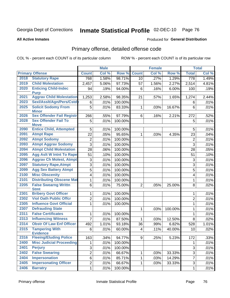# Inmate Statistical Profile 02-DEC-10 Page 76

**All Active Inmates** 

### **Produced for General Distribution**

## Primary offense, detailed offense code

COL % - percent each COUNT is of its particular column

|      |                                                  |                         | <b>Male</b> |         |                | <b>Female</b> |         |                | <b>Total</b> |
|------|--------------------------------------------------|-------------------------|-------------|---------|----------------|---------------|---------|----------------|--------------|
|      | <b>Primary Offense</b>                           | <b>Count</b>            | Col %       | Row %   | <b>Count</b>   | Col %         | Row %   | <b>Total</b>   | Col %        |
| 2018 | <b>Statutory Rape</b>                            | 768                     | 1.58%       | 98.71%  | 10             | .27%          | 1.29%   | 778            | 1.49%        |
| 2019 | <b>Child Molestation</b>                         | 2,457                   | 5.06%       | 97.73%  | 57             | 1.56%         | 2.27%   | 2,514          | 4.81%        |
| 2020 | <b>Enticing Child-Indec</b>                      | 94                      | .19%        | 94.00%  | 6              | .16%          | 6.00%   | 100            | .19%         |
|      | <b>Purp</b>                                      |                         |             |         |                |               |         |                |              |
| 2021 | <b>Aggrav Child Molestation</b>                  | 1,253                   | 2.58%       | 98.35%  | 21             | .57%          | 1.65%   | 1,274          | 2.44%        |
| 2023 | Sexl/Asslt/Agn/Pers/Cstdy                        | 6                       | .01%        | 100.00% |                |               |         | 6              | .01%         |
| 2025 | <b>Solicit Sodomy From</b>                       | 5                       | .01%        | 83.33%  | 1              | .03%          | 16.67%  | $6\phantom{1}$ | .01%         |
| 2026 | <b>Minor</b><br><b>Sex Offender Fail Registr</b> | 266                     | .55%        | 97.79%  | 6              | .16%          | 2.21%   | 272            | .52%         |
| 2028 | <b>Sex Offender Fail To</b>                      | 5                       | .01%        | 100.00% |                |               |         | 5              | .01%         |
|      | <b>Move</b>                                      |                         |             |         |                |               |         |                |              |
| 2090 | <b>Entice Child, Attempted</b>                   | 5                       | .01%        | 100.00% |                |               |         | 5              | .01%         |
| 2091 | <b>Atmpt Rape</b>                                | 22                      | .05%        | 95.65%  | 1              | .03%          | 4.35%   | 23             | .04%         |
| 2092 | <b>Atmpt Sodomy</b>                              | $\overline{c}$          | .01%        | 100.00% |                |               |         | $\overline{2}$ | .01%         |
| 2093 | <b>Atmpt Aggrav Sodomy</b>                       | $\overline{3}$          | .01%        | 100.00% |                |               |         | 3              | .01%         |
| 2094 | <b>Atmpt Child Molestation</b>                   | 28                      | .06%        | 100.00% |                |               |         | 28             | .05%         |
| 2095 | <b>Agg Aslt W Intnt To Rape</b>                  | 51                      | .10%        | 100.00% |                |               |         | 51             | .10%         |
| 2096 | <b>Aggrav Ch Molest, Atmpt</b>                   | 3                       | .01%        | 100.00% |                |               |         | 3              | .01%         |
| 2097 | <b>Statutory Rape, Atmpt</b>                     | $\overline{3}$          | .01%        | 100.00% |                |               |         | 3              | .01%         |
| 2099 | <b>Agg Sex Battery Atmpt</b>                     | $\overline{5}$          | .01%        | 100.00% |                |               |         | 5              | .01%         |
| 2100 | <b>Misc Obscenity</b>                            | $\overline{\mathbf{4}}$ | .01%        | 100.00% |                |               |         | 4              | .01%         |
| 2101 | <b>Distributing Obscene Mat</b>                  | $\mathbf{1}$            | .01%        | 100.00% |                |               |         | 1              | .01%         |
| 2205 | <b>False Swearng Writtn</b>                      | 6                       | .01%        | 75.00%  | $\overline{2}$ | .05%          | 25.00%  | 8              | .02%         |
|      | <b>Stmt</b>                                      |                         |             |         |                |               |         |                |              |
| 2301 | <b>Bribery Govt Officer</b>                      | $\mathbf{1}$            | .01%        | 100.00% |                |               |         | 1              | .01%         |
| 2302 | <b>Viol Oath Public Offcr</b>                    | $\overline{c}$          | .01%        | 100.00% |                |               |         | $\overline{2}$ | .01%         |
| 2305 | <b>Influence Govt Official</b>                   | $\mathbf{1}$            | .01%        | 100.00% |                |               |         | 1              | .01%         |
| 2307 | <b>Defrauding State</b>                          |                         |             |         | 1              | .03%          | 100.00% | $\mathbf{1}$   | .01%         |
| 2311 | <b>False Certificates</b>                        | 1                       | .01%        | 100.00% |                |               |         | 1              | .01%         |
| 2313 | <b>Influencing Witness</b>                       | $\overline{7}$          | .01%        | 87.50%  | 1              | .03%          | 12.50%  | 8              | .02%         |
| 2314 | <b>Obstr Of Law Enf Officer</b>                  | 492                     | 1.01%       | 93.18%  | 36             | .99%          | 6.82%   | 528            | 1.01%        |
| 2315 | <b>Tampering With</b>                            | 6                       | .01%        | 60.00%  | $\overline{4}$ | .11%          | 40.00%  | 10             | .02%         |
| 2316 | <b>Evidence</b><br><b>Fleeing/Eluding Police</b> | 163                     | .34%        | 94.77%  | 9              | .25%          | 5.23%   | 172            | .33%         |
| 2400 | <b>Misc Judicial Proceeding</b>                  | 1                       | .01%        | 100.00% |                |               |         | 1              | .01%         |
| 2401 | <b>Perjury</b>                                   | $\overline{3}$          | .01%        | 100.00% |                |               |         | 3              | .01%         |
| 2402 | <b>False Swearing</b>                            | $\overline{2}$          | .01%        | 66.67%  | 1              | .03%          | 33.33%  | 3              | .01%         |
| 2404 | <b>Impersonation</b>                             | 6                       | .01%        | 85.71%  | 1              | .03%          | 14.29%  | $\overline{7}$ | .01%         |
| 2405 | <b>Impersonating Officer</b>                     | $\overline{c}$          | .01%        | 66.67%  | 1              | .03%          | 33.33%  | 3              | .01%         |
| 2406 | <b>Barratry</b>                                  | $\mathbf 1$             | .01%        | 100.00% |                |               |         |                |              |
|      |                                                  |                         |             |         |                |               |         | 1              | .01%         |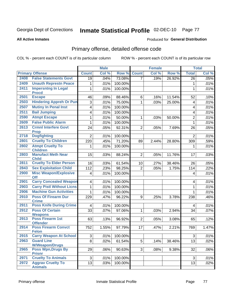#### Inmate Statistical Profile 02-DEC-10 Page 77

#### **All Active Inmates**

### **Produced for General Distribution**

## Primary offense, detailed offense code

COL % - percent each COUNT is of its particular column

|      |                                                |                         | <b>Male</b> |         |                | <b>Female</b> |        |                         | <b>Total</b> |  |
|------|------------------------------------------------|-------------------------|-------------|---------|----------------|---------------|--------|-------------------------|--------------|--|
|      | <b>Primary Offense</b>                         | <b>Count</b>            | Col %       | Row %   | <b>Count</b>   | Col %         | Row %  | <b>Total</b>            | Col %        |  |
| 2408 | <b>False Statements Govt</b>                   | $\overline{19}$         | .04%        | 73.08%  | $\overline{7}$ | .19%          | 26.92% | $\overline{26}$         | .05%         |  |
| 2409 | <b>Unauth Represtn Peace</b>                   | $\mathbf{1}$            | .01%        | 100.00% |                |               |        | 1                       | .01%         |  |
| 2411 | <b>Impersntng In Legal</b>                     | $\mathbf{1}$            | .01%        | 100.00% |                |               |        | 1                       | .01%         |  |
| 2501 | <b>Procd</b><br><b>Escape</b>                  |                         |             |         |                |               |        |                         |              |  |
| 2503 |                                                | 46                      | .09%        | 88.46%  | 6              | .16%          | 11.54% | 52                      | .10%         |  |
|      | <b>Hindering Appreh Or Pun</b>                 | $\mathbf{3}$            | .01%        | 75.00%  | 1              | .03%          | 25.00% | 4                       | .01%         |  |
| 2507 | <b>Mutiny In Penal Inst</b>                    | $\overline{\mathbf{4}}$ | .01%        | 100.00% |                |               |        | 4                       | .01%         |  |
| 2511 | <b>Bail Jumping</b>                            | $\overline{\mathbf{4}}$ | .01%        | 100.00% |                |               |        | 4                       | .01%         |  |
| 2590 | <b>Atmpt Escape</b>                            | 1                       | .01%        | 50.00%  | 1              | .03%          | 50.00% | $\overline{2}$          | .01%         |  |
| 2609 | <b>False Public Alarm</b>                      | 1                       | .01%        | 100.00% |                |               |        | $\mathbf{1}$            | .01%         |  |
| 2613 | <b>Crmnl Interfere Govt</b><br><b>Prop</b>     | 24                      | .05%        | 92.31%  | $\overline{2}$ | .05%          | 7.69%  | 26                      | .05%         |  |
| 2718 | <b>Dogfighting</b>                             | $\overline{2}$          | .01%        | 100.00% |                |               |        | $\overline{2}$          | .01%         |  |
| 2801 | <b>Cruelty To Children</b>                     | 220                     | .45%        | 71.20%  | 89             | 2.44%         | 28.80% | 309                     | .59%         |  |
| 2802 | <b>Atmpt Cruelty To</b>                        | 1                       | .01%        | 100.00% |                |               |        | 1                       | .01%         |  |
|      | <b>Children</b>                                |                         |             |         |                |               |        |                         |              |  |
| 2803 | <b>Manufact Meth Near</b>                      | 15                      | .03%        | 88.24%  | $\overline{2}$ | .05%          | 11.76% | 17                      | .03%         |  |
| 2811 | <b>Child</b><br><b>Cruelty To Elder Person</b> | 16                      | .03%        | 61.54%  | 10             | .27%          | 38.46% | 26                      | .05%         |  |
| 2843 | <b>Sex Exploitation Child</b>                  | 112                     | .23%        | 98.25%  | $\overline{2}$ | .05%          | 1.75%  | 114                     | .22%         |  |
| 2900 | <b>Misc Weapon/Explosive</b>                   |                         |             |         |                |               |        |                         |              |  |
|      | <b>Off</b>                                     | 4                       | .01%        | 100.00% |                |               |        | 4                       | .01%         |  |
| 2901 | <b>Carry Concealed Weapon</b>                  | $\overline{4}$          | .01%        | 100.00% |                |               |        | 4                       | .01%         |  |
| 2903 | <b>Carry Pistl Without Licns</b>               | $\mathbf{1}$            | .01%        | 100.00% |                |               |        | 1                       | .01%         |  |
| 2906 | <b>Machine Gun Activities</b>                  | $\mathbf{1}$            | .01%        | 100.00% |                |               |        | $\mathbf{1}$            | .01%         |  |
| 2910 | <b>Poss Of Firearm Dur</b>                     | 229                     | .47%        | 96.22%  | 9              | .25%          | 3.78%  | 238                     | .46%         |  |
|      | <b>Crime</b>                                   |                         |             |         |                |               |        |                         |              |  |
| 2911 | <b>Poss Knife During Crime</b>                 | 4                       | .01%        | 100.00% |                |               |        | $\overline{\mathbf{4}}$ | .01%         |  |
| 2912 | <b>Poss Of Certain</b><br><b>Weapons</b>       | 33                      | .07%        | 97.06%  | 1              | .03%          | 2.94%  | 34                      | .07%         |  |
| 2913 | <b>Poss Firearm 1st</b>                        | 63                      | .13%        | 96.92%  | $\overline{2}$ | .05%          | 3.08%  | 65                      | .12%         |  |
|      | <b>Offender</b>                                |                         |             |         |                |               |        |                         |              |  |
| 2914 | <b>Poss Firearm Convct</b><br><b>Felon</b>     | 752                     | 1.55%       | 97.79%  | 17             | .47%          | 2.21%  | 769                     | 1.47%        |  |
| 2915 | <b>Carry Weapon At School</b>                  | 3                       | .01%        | 100.00% |                |               |        | 3 <sup>1</sup>          | .01%         |  |
| 2963 | <b>Guard Line</b>                              | 8                       | .02%        | 61.54%  | 5              | .14%          | 38.46% | 13                      | .02%         |  |
|      | <b>W/Weapon/Drugs</b>                          |                         |             |         |                |               |        |                         |              |  |
| 2965 | <b>Poss Wpn, Drugs By</b><br><b>Prisnr</b>     | 29                      | .06%        | 90.63%  | 3 <sup>1</sup> | .08%          | 9.38%  | 32                      | .06%         |  |
| 2971 | <b>Cruelty To Animals</b>                      | 3                       | .01%        | 100.00% |                |               |        | 3                       | .01%         |  |
| 2972 | <b>Aggrav Cruelty To</b>                       | $\overline{13}$         | .03%        | 100.00% |                |               |        | 13                      | .02%         |  |
|      | <b>Animals</b>                                 |                         |             |         |                |               |        |                         |              |  |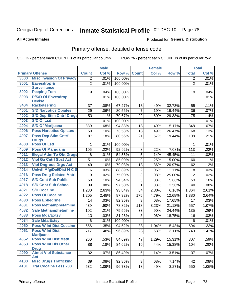# Inmate Statistical Profile 02-DEC-10 Page 78

#### **All Active Inmates**

### **Produced for General Distribution**

## Primary offense, detailed offense code

COL % - percent each COUNT is of its particular column

|      |                                            | <b>Male</b>     |       | <b>Female</b> |                 |       | <b>Total</b> |                |                     |
|------|--------------------------------------------|-----------------|-------|---------------|-----------------|-------|--------------|----------------|---------------------|
|      | <b>Primary Offense</b>                     | <b>Count</b>    | Col % | Row %         | <b>Count</b>    | Col % | Row %        | <b>Total</b>   | Col %               |
| 3000 | <b>Misc Invasion Of Privacy</b>            | $\overline{2}$  | .01%  | 100.00%       |                 |       |              | $\overline{2}$ | .01%                |
| 3001 | <b>Eavesdrop &amp;</b>                     | $\overline{2}$  | .01%  | 100.00%       |                 |       |              | $\overline{2}$ | .01%                |
|      | <b>Surveillance</b>                        |                 |       |               |                 |       |              |                |                     |
| 3002 | <b>Peeping Tom</b>                         | 19              | .04%  | 100.00%       |                 |       |              | 19             | .04%                |
| 3003 | <b>P/S/D Of Eavesdrop</b>                  | 1               | .01%  | 100.00%       |                 |       |              | 1              | .01%                |
| 3404 | <b>Devise</b><br><b>Racketeering</b>       | 37              | .08%  | 67.27%        | 18              | .49%  | 32.73%       | 55             | .11%                |
| 4001 | <b>S/D Narcotics Opiates</b>               | 29              | .06%  | 80.56%        | $\overline{7}$  | .19%  | 19.44%       | 36             | .07%                |
| 4002 | <b>S/D Dep Stim Cntrf Drugs</b>            | $\overline{53}$ | .11%  | 70.67%        | 22              | .60%  | 29.33%       | 75             | .14%                |
| 4003 | <b>S/D Of Lsd</b>                          | 1               | .01%  | 100.00%       |                 |       |              | 1              | .01%                |
| 4004 | <b>S/D Of Marijuana</b>                    | 330             | .68%  | 94.83%        | 18              | .49%  | 5.17%        | 348            | .67%                |
| 4006 | <b>Poss Narcotics Opiates</b>              | 50              | .10%  | 73.53%        | 18              | .49%  | 26.47%       | 68             | .13%                |
| 4007 | <b>Poss Dep Stim Cntrf</b>                 | 87              | .18%  | 80.56%        | 21              | .57%  | 19.44%       | 108            | .21%                |
|      | <b>Drugs</b>                               |                 |       |               |                 |       |              |                |                     |
| 4008 | <b>Poss Of Lsd</b>                         | 1               | .01%  | 100.00%       |                 |       |              | 1              | .01%                |
| 4009 | <b>Poss Of Marijuana</b>                   | 105             | .22%  | 92.92%        | 8               | .22%  | 7.08%        | 113            | .22%                |
| 4011 | <b>Illegal Attm To Obt Drugs</b>           | 6               | .01%  | 54.55%        | $\overline{5}$  | .14%  | 45.45%       | 11             | .02%                |
| 4012 | <b>Viol Ga Cntrl Sbst Act</b>              | 51              | .10%  | 85.00%        | 9               | .25%  | 15.00%       | 60             | .11%                |
| 4013 | <b>Viol Dngrous Drgs Act</b>               | 49              | .10%  | 79.03%        | 13              | .36%  | 20.97%       | 62             | .12%                |
| 4014 | <b>Uniwfl Mfg/Del/Dist N-C S</b>           | 16              | .03%  | 88.89%        | $\overline{2}$  | .05%  | 11.11%       | 18             | .03%                |
| 4016 | <b>Poss Drug Related Matri</b>             | 9               | .02%  | 75.00%        | $\overline{3}$  | .08%  | 25.00%       | 12             | .02%                |
| 4017 | <b>S/D Cont Sub Public</b>                 | 50              | .10%  | 94.34%        | $\overline{3}$  | .08%  | 5.66%        | 53             | .10%                |
| 4018 | <b>S/D Cont Sub School</b>                 | 39              | .08%  | 97.50%        | $\mathbf{1}$    | .03%  | 2.50%        | 40             | .08%                |
| 4021 | <b>S/D Cocaine</b>                         | 1,280           | 2.63% | 93.84%        | 84              | 2.30% | 6.16%        | 1,364          | 2.61%               |
| 4022 | <b>Poss Of Cocaine</b>                     | 1,205           | 2.48% | 87.32%        | 175             | 4.79% | 12.68%       | 1,380          | 2.64%               |
| 4030 | <b>Poss Ephedrine</b>                      | 14              | .03%  | 82.35%        | 3               | .08%  | 17.65%       | 17             | .03%                |
| 4031 | <b>Poss Methamphetamine</b>                | 439             | .90%  | 78.82%        | 118             | 3.23% | 21.18%       | 557            | 1.07%               |
| 4032 | <b>Sale Methamphetamine</b>                | 102             | .21%  | 75.56%        | 33              | .90%  | 24.44%       | 135            | .26%                |
| 4033 | <b>Poss Mda/Extsy</b>                      | 13              | .03%  | 81.25%        | 3               | .08%  | 18.75%       | 16             | .03%                |
| 4034 | <b>Sale Mda/Extsy</b>                      | 6               | .01%  | 100.00%       |                 |       |              | $6\phantom{1}$ | .01%                |
| 4050 | <b>Poss W Int Dist Cocaine</b>             | 656             | 1.35% | 94.52%        | 38              | 1.04% | 5.48%        | 694            | 1.33%               |
| 4051 | <b>Poss W Int Dist</b>                     | 717             | 1.48% | 96.89%        | $\overline{23}$ | .63%  | 3.11%        | 740            | $\overline{1.42\%}$ |
|      | <b>Marijuana</b>                           |                 |       |               |                 |       |              |                |                     |
| 4052 | <b>Poss W Int Dist Meth</b>                | 260             | .53%  | 84.69%        | 47              | 1.29% | 15.31%       | 307            | .59%                |
| 4053 | <b>Poss W Int Dis Other</b>                | 88              | .18%  | 84.62%        | 16              | .44%  | 15.38%       | 104            | .20%                |
| 4090 | <b>Drug</b><br><b>Atmpt Viol Substance</b> | 32              | .07%  | 86.49%        | 5               | .14%  | 13.51%       | 37             | .07%                |
|      | <b>Act</b>                                 |                 |       |               |                 |       |              |                |                     |
| 4100 | <b>Misc Drugs Trafficking</b>              | 39              | .08%  | 92.86%        | 3               | .08%  | 7.14%        | 42             | .08%                |
| 4101 | <b>Traf Cocaine Less 200</b>               | 532             | 1.09% | 96.73%        | 18              | .49%  | 3.27%        | 550            | 1.05%               |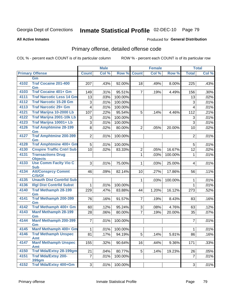# Inmate Statistical Profile 02-DEC-10 Page 79

#### **All Active Inmates**

### **Produced for General Distribution**

## Primary offense, detailed offense code

COL % - percent each COUNT is of its particular column

|      |                                            | <b>Male</b>    |       | <b>Female</b> |                |       | <b>Total</b> |                |         |
|------|--------------------------------------------|----------------|-------|---------------|----------------|-------|--------------|----------------|---------|
|      | <b>Primary Offense</b>                     | <b>Count</b>   | Col % | Row %         | <b>Count</b>   | Col % | Row %        | <b>Total</b>   | Col %   |
|      | Gm                                         |                |       |               |                |       |              |                |         |
| 4102 | <b>Traf Cocaine 201-400</b><br>Gm          | 207            | .43%  | 92.00%        | 18             | .49%  | 8.00%        | 225            | .43%    |
| 4103 | <b>Traf Cocaine 401+ Gm</b>                | 149            | .31%  | 95.51%        | $\overline{7}$ | .19%  | 4.49%        | 156            | $.30\%$ |
| 4111 | <b>Traf Narcotic Less 14 Gm</b>            | 13             | .03%  | 100.00%       |                |       |              | 13             | .02%    |
| 4112 | <b>Traf Narcotic 15-28 Gm</b>              | 3              | .01%  | 100.00%       |                |       |              | 3              | .01%    |
| 4113 | <b>Traf Narcotic 29+ Gm</b>                | $\overline{4}$ | .01%  | 100.00%       |                |       |              | 4              | .01%    |
| 4121 | Traf Marijna 10-2000 Lb                    | 107            | .22%  | 95.54%        | 5              | .14%  | 4.46%        | 112            | .21%    |
| 4122 | <b>Traf Marijna 2001-10k Lb</b>            | 3              | .01%  | 100.00%       |                |       |              | 3              | .01%    |
| 4123 | Traf Marijna 10001+ Lb                     | 3              | .01%  | 100.00%       |                |       |              | 3              | .01%    |
| 4126 | <b>Traf Amphtmine 28-199</b><br>Gm         | 8              | .02%  | 80.00%        | $\overline{2}$ | .05%  | 20.00%       | 10             | .02%    |
| 4127 | <b>Traf Amphtmine 200-399</b><br>Gm        | 2 <sup>1</sup> | .01%  | 100.00%       |                |       |              | $\overline{2}$ | .01%    |
| 4128 | <b>Traf Amphtmine 400+ Gm</b>              | 5              | .01%  | 100.00%       |                |       |              | 5              | .01%    |
| 4130 | <b>Cnspire Traffic Cntrl Sub</b>           | 10             | .02%  | 83.33%        | $\overline{c}$ | .05%  | 16.67%       | 12             | .02%    |
| 4131 | <b>Transactions Drug</b><br><b>Objects</b> |                |       |               | 1              | .03%  | 100.00%      | 1              | .01%    |
| 4133 | <b>Use Comm Facity Vio C</b><br><b>Sub</b> | 3 <sup>1</sup> | .01%  | 75.00%        | 1.             | .03%  | 25.00%       | 4              | .01%    |
| 4134 | <b>Att/Consprcy Commt</b><br>C/S/Of        | 46             | .09%  | 82.14%        | 10             | .27%  | 17.86%       | 56             | .11%    |
| 4135 | <b>Unauth Dist Contrild Sub</b>            |                |       |               | 1              | .03%  | 100.00%      | 1              | .01%    |
| 4136 | <b>Illgl Dist Contrild Subst</b>           | $\mathbf{1}$   | .01%  | 100.00%       |                |       |              | 1              | .01%    |
| 4140 | <b>Traf Methamph 28-199</b><br>Gm          | 229            | .47%  | 83.88%        | 44             | 1.20% | 16.12%       | 273            | .52%    |
| 4141 | Traf Methamph 200-399<br>Gm                | 76             | .16%  | 91.57%        | $\overline{7}$ | .19%  | 8.43%        | 83             | .16%    |
| 4142 | Traf Methamph 400+ Gm                      | 60             | .12%  | 95.24%        | 3              | .08%  | 4.76%        | 63             | .12%    |
| 4143 | <b>Manf Methamph 28-199</b><br>Gm          | 28             | .06%  | 80.00%        | $\overline{7}$ | .19%  | 20.00%       | 35             | .07%    |
| 4144 | <b>Manf Methamph 200-399</b><br>Gm         | $\overline{7}$ | .01%  | 100.00%       |                |       |              | $\overline{7}$ | .01%    |
| 4145 | Manf Methamph 400+ Gm                      | $\mathbf{1}$   | .01%  | 100.00%       |                |       |              | 1              | .01%    |
| 4146 | <b>Traf Methamph Unspec</b>                | 81             | .17%  | 94.19%        | 5              | .14%  | 5.81%        | 86             | .16%    |
|      | Amt                                        |                |       |               |                |       |              |                |         |
| 4147 | <b>Manf Methamph Unspec</b><br>Amt         | 155            | .32%  | 90.64%        | 16             | .44%  | 9.36%        | 171            | .33%    |
| 4150 | <b>Traf Mda/Extsy 28-199gm</b>             | 21             | .04%  | 80.77%        | 5              | .14%  | 19.23%       | 26             | .05%    |
| 4151 | <b>Traf Mda/Extsy 200-</b><br>399gm        | $\overline{7}$ | .01%  | 100.00%       |                |       |              | $\overline{7}$ | .01%    |
| 4152 | <b>Traf Mda/Extsy 400+Gm</b>               | 3 <sup>1</sup> | .01%  | 100.00%       |                |       |              | 3              | .01%    |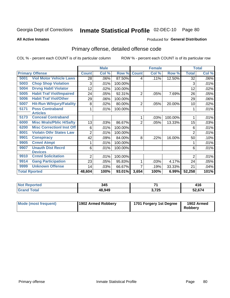# Inmate Statistical Profile 02-DEC-10 Page 80

**All Active Inmates** 

### **Produced for General Distribution**

## Primary offense, detailed offense code

COL % - percent each COUNT is of its particular column

|                      |                                  |                | <b>Male</b> |         |                | <b>Female</b> |         |                | <b>Total</b> |  |
|----------------------|----------------------------------|----------------|-------------|---------|----------------|---------------|---------|----------------|--------------|--|
|                      | <b>Primary Offense</b>           | <b>Count</b>   | Col %       | Row %   | <b>Count</b>   | Col %         | Row %   | <b>Total</b>   | Col %        |  |
| 5001                 | <b>Viol Motor Vehicle Laws</b>   | 28             | .06%        | 87.50%  | 4              | .11%          | 12.50%  | 32             | .06%         |  |
| 5003                 | <b>Chop Shop Violation</b>       | 3              | .01%        | 100.00% |                |               |         | 3              | .01%         |  |
| 5004                 | <b>Drvng Habtl Violator</b>      | 12             | .02%        | 100.00% |                |               |         | 12             | .02%         |  |
| 5005                 | <b>Habit Traf Viol/Impaired</b>  | 24             | .05%        | 92.31%  | $\overline{2}$ | .05%          | 7.69%   | 26             | .05%         |  |
| 5006                 | <b>Habit Traf Viol/Other</b>     | 29             | .06%        | 100.00% |                |               |         | 29             | .06%         |  |
| 5007                 | <b>Hit-Run W/Injury/Fatality</b> | 8              | .02%        | 80.00%  | $\overline{2}$ | .05%          | 20.00%  | 10             | .02%         |  |
| 5171                 | <b>Poss Contraband</b>           |                | .01%        | 100.00% |                |               |         | 1              | .01%         |  |
|                      | <b>Articles</b>                  |                |             |         |                |               |         |                |              |  |
| 5173                 | <b>Conceal Contraband</b>        |                |             |         |                | .03%          | 100.00% |                | .01%         |  |
| 6000                 | <b>Misc Mrals/Pblic H/Safty</b>  | 13             | .03%        | 86.67%  | $\overline{2}$ | .05%          | 13.33%  | 15             | .03%         |  |
| 6200                 | <b>Misc Correctionl Inst Off</b> | 6              | .01%        | 100.00% |                |               |         | 6              | .01%         |  |
| 8001                 | <b>Violatn Othr States Law</b>   | $\overline{2}$ | .01%        | 100.00% |                |               |         | $\overline{2}$ | .01%         |  |
| 9901                 | <b>Conspiracy</b>                | 42             | .09%        | 84.00%  | 8              | .22%          | 16.00%  | 50             | .10%         |  |
| 9905                 | <b>Crmnl Atmpt</b>               |                | .01%        | 100.00% |                |               |         | 1              | .01%         |  |
| 9907                 | <b>Unauth Dist Recrd</b>         | 6              | .01%        | 100.00% |                |               |         | 6              | .01%         |  |
|                      | <b>Devices</b>                   |                |             |         |                |               |         |                |              |  |
| 9910                 | <b>Crmnl Solicitation</b>        | 2              | .01%        | 100.00% |                |               |         | 2              | .01%         |  |
| 9914                 | <b>Gang Participation</b>        | 23             | .05%        | 95.83%  |                | .03%          | 4.17%   | 24             | .05%         |  |
| 9999                 | <b>Unknown Offense</b>           | 14             | .03%        | 66.67%  | 7              | .19%          | 33.33%  | 21             | .04%         |  |
| <b>Total Rported</b> |                                  | 48,604         | 100%        | 93.01%  | 3,654          | 100%          | 6.99%   | 52,258         | 101%         |  |

| 'Not<br><b>Reported</b> | 345    | -              | $\overline{A}$<br>4 I V   |
|-------------------------|--------|----------------|---------------------------|
| <b>Total</b>            | 48.949 | $^{\circ}$ 725 | $F^{\alpha}$ $F^{\alpha}$ |

| Mode (most frequent) | 1902 Armed Robbery | 1701 Forgery 1st Degree | 1902 Armed<br>Robberv |
|----------------------|--------------------|-------------------------|-----------------------|
|----------------------|--------------------|-------------------------|-----------------------|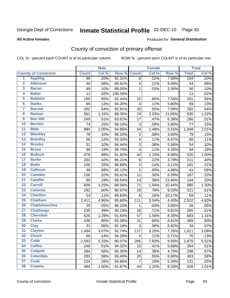# Inmate Statistical Profile 02-DEC-10 Page 81

#### **All Active Inmates**

#### Produced for General Distribution

## County of conviction of primary offense

COL % - percent each COUNT is of its particular column

|                         |                             |              | <b>Male</b> |         |                | <b>Female</b> |        |              | <b>Total</b> |
|-------------------------|-----------------------------|--------------|-------------|---------|----------------|---------------|--------|--------------|--------------|
|                         | <b>County of Conviction</b> | <b>Count</b> | Col %       | Row %   | <b>Count</b>   | Col %         | Row %  | <b>Total</b> | Col %        |
| $\overline{1}$          | <b>Appling</b>              | 96           | .20%        | 92.31%  | 8              | .22%          | 7.69%  | 104          | .20%         |
| $\overline{2}$          | <b>Atkinson</b>             | 40           | .08%        | 90.91%  | 4              | .11%          | 9.09%  | 44           | .08%         |
| 3                       | <b>Bacon</b>                | 49           | .10%        | 98.00%  | 1              | .03%          | 2.00%  | 50           | .10%         |
| 4                       | <b>Baker</b>                | 11           | .02%        | 100.00% |                |               |        | 11           | .02%         |
| $\overline{5}$          | <b>Baldwin</b>              | 269          | .55%        | 92.44%  | 22             | .60%          | 7.56%  | 291          | .56%         |
| $\overline{\mathbf{6}}$ | <b>Banks</b>                | 65           | .13%        | 94.20%  | $\overline{4}$ | .11%          | 5.80%  | 69           | .13%         |
| 7                       | <b>Barrow</b>               | 262          | .54%        | 92.91%  | 20             | .55%          | 7.09%  | 282          | .54%         |
| 8                       | <b>Bartow</b>               | 561          | 1.15%       | 88.35%  | 74             | 2.03%         | 11.65% | 635          | 1.22%        |
| $\overline{9}$          | <b>Ben Hill</b>             | 249          | .51%        | 93.61%  | 17             | .47%          | 6.39%  | 266          | .51%         |
| 10                      | <b>Berrien</b>              | 74           | .15%        | 96.10%  | 3              | .08%          | 3.90%  | 77           | .15%         |
| $\overline{11}$         | <b>Bibb</b>                 | 994          | 2.05%       | 94.85%  | 54             | 1.48%         | 5.15%  | 1,048        | 2.01%        |
| 12                      | <b>Bleckley</b>             | 76           | .16%        | 96.20%  | $\sqrt{3}$     | .08%          | 3.80%  | 79           | .15%         |
| $\overline{13}$         | <b>Brantley</b>             | 56           | .12%        | 93.33%  | 4              | .11%          | 6.67%  | 60           | .11%         |
| 14                      | <b>Brooks</b>               | 51           | .10%        | 94.44%  | $\overline{3}$ | .08%          | 5.56%  | 54           | .10%         |
| 15                      | <b>Bryan</b>                | 90           | .19%        | 95.74%  | 4              | .11%          | 4.26%  | 94           | .18%         |
| 16                      | <b>Bulloch</b>              | 478          | .98%        | 91.92%  | 42             | 1.15%         | 8.08%  | 520          | 1.00%        |
| $\overline{17}$         | <b>Burke</b>                | 203          | .42%        | 96.21%  | 8              | .22%          | 3.79%  | 211          | .40%         |
| 18                      | <b>Butts</b>                | 156          | .32%        | 96.89%  | 5              | .14%          | 3.11%  | 161          | .31%         |
| 19                      | <b>Calhoun</b>              | 39           | .08%        | 95.12%  | $\overline{2}$ | .05%          | 4.88%  | 41           | .08%         |
| 20                      | <b>Camden</b>               | 156          | .32%        | 93.41%  | 11             | .30%          | 6.59%  | 167          | .32%         |
| $\overline{21}$         | <b>Candler</b>              | 90           | .19%        | 86.54%  | 14             | .38%          | 13.46% | 104          | .20%         |
| $\overline{22}$         | <b>Carroll</b>              | 609          | 1.25%       | 89.56%  | 71             | 1.94%         | 10.44% | 680          | 1.30%        |
| $\overline{23}$         | <b>Catoosa</b>              | 292          | .60%        | 90.97%  | 29             | .79%          | 9.03%  | 321          | .61%         |
| 24                      | <b>Charlton</b>             | 53           | .11%        | 89.83%  | 6              | .16%          | 10.17% | 59           | .11%         |
| 25                      | <b>Chatham</b>              | 2,411        | 4.96%       | 95.60%  | 111            | 3.04%         | 4.40%  | 2,522        | 4.83%        |
| 26                      | <b>Chattahoochee</b>        | 25           | .05%        | 96.15%  | 1              | .03%          | 3.85%  | 26           | .05%         |
| $\overline{27}$         | <b>Chattooga</b>            | 239          | .49%        | 90.19%  | 26             | .71%          | 9.81%  | 265          | .51%         |
| 28                      | <b>Cherokee</b>             | 626          | 1.29%       | 91.65%  | 57             | 1.56%         | 8.35%  | 683          | 1.31%        |
| 29                      | <b>Clarke</b>               | 438          | .90%        | 93.39%  | 31             | .85%          | 6.61%  | 469          | .90%         |
| 30                      | <b>Clay</b>                 | 31           | .06%        | 91.18%  | 3              | .08%          | 8.82%  | 34           | .07%         |
| $\overline{31}$         | <b>Clayton</b>              | 1,494        | 3.07%       | 92.74%  | 117            | 3.20%         | 7.26%  | 1,611        | 3.08%        |
| 32                      | <b>Clinch</b>               | 66           | .14%        | 94.29%  | 4              | .11%          | 5.71%  | 70           | .13%         |
| 33                      | <b>Cobb</b>                 | 2,593        | 5.33%       | 90.07%  | 286            | 7.83%         | 9.93%  | 2,879        | 5.51%        |
| 34                      | <b>Coffee</b>               | 249          | .51%        | 94.32%  | 15             | .41%          | 5.68%  | 264          | .51%         |
| 35                      | <b>Colquitt</b>             | 284          | .58%        | 95.30%  | 14             | .38%          | 4.70%  | 298          | .57%         |
| 36                      | <b>Columbia</b>             | 283          | .58%        | 93.40%  | 20             | .55%          | 6.60%  | 303          | .58%         |
| 37                      | <b>Cook</b>                 | 124          | .26%        | 94.66%  | $\overline{7}$ | .19%          | 5.34%  | 131          | .25%         |
| 38                      | <b>Coweta</b>               | 484          | 1.00%       | 91.67%  | 44             | 1.20%         | 8.33%  | 528          | 1.01%        |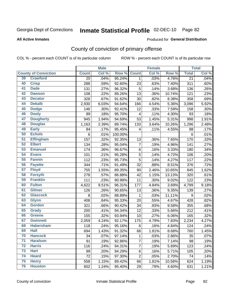# Inmate Statistical Profile 02-DEC-10 Page 82

Produced for General Distribution

#### **All Active Inmates**

## County of conviction of primary offense

COL % - percent each COUNT is of its particular column

|                 |                             |              | <b>Male</b> |         |                | <b>Female</b> |        |                 | <b>Total</b> |
|-----------------|-----------------------------|--------------|-------------|---------|----------------|---------------|--------|-----------------|--------------|
|                 | <b>County of Conviction</b> | <b>Count</b> | Col %       | Row %   | <b>Count</b>   | Col %         | Row %  | <b>Total</b>    | Col %        |
| 39              | <b>Crawford</b>             | 20           | .04%        | 95.24%  | $\mathbf 1$    | .03%          | 4.76%  | $\overline{21}$ | .04%         |
| 40              | <b>Crisp</b>                | 288          | .59%        | 92.60%  | 23             | .63%          | 7.40%  | 311             | .60%         |
| 41              | <b>Dade</b>                 | 131          | .27%        | 96.32%  | 5              | .14%          | 3.68%  | 136             | .26%         |
| 42              | <b>Dawson</b>               | 108          | .22%        | 89.26%  | 13             | .36%          | 10.74% | 121             | .23%         |
| 43              | <b>Decatur</b>              | 328          | .67%        | 91.62%  | 30             | .82%          | 8.38%  | 358             | .69%         |
| 44              | <b>Dekalb</b>               | 2,930        | 6.03%       | 94.64%  | 166            | 4.54%         | 5.36%  | 3,096           | 5.92%        |
| 45              | <b>Dodge</b>                | 146          | .30%        | 92.41%  | 12             | .33%          | 7.59%  | 158             | .30%         |
| 46              | <b>Dooly</b>                | 89           | .18%        | 95.70%  | 4              | .11%          | 4.30%  | 93              | .18%         |
| 47              | <b>Dougherty</b>            | 945          | 1.94%       | 94.69%  | 53             | 1.45%         | 5.31%  | 998             | 1.91%        |
| 48              | <b>Douglas</b>              | 1,163        | 2.39%       | 89.74%  | 133            | 3.64%         | 10.26% | 1,296           | 2.48%        |
| 49              | <b>Early</b>                | 84           | .17%        | 95.45%  | 4              | .11%          | 4.55%  | 88              | .17%         |
| 50              | <b>Echols</b>               | 6            | .01%        | 100.00% |                |               |        | 6               | .01%         |
| $\overline{51}$ | <b>Effingham</b>            | 157          | .32%        | 92.35%  | 13             | .36%          | 7.65%  | 170             | .33%         |
| 52              | <b>Elbert</b>               | 134          | .28%        | 95.04%  | $\overline{7}$ | .19%          | 4.96%  | 141             | .27%         |
| 53              | <b>Emanuel</b>              | 174          | .36%        | 96.67%  | 6              | .16%          | 3.33%  | 180             | .34%         |
| 54              | <b>Evans</b>                | 101          | .21%        | 95.28%  | 5              | .14%          | 4.72%  | 106             | .20%         |
| 55              | <b>Fannin</b>               | 112          | .23%        | 95.73%  | 5              | .14%          | 4.27%  | 117             | .22%         |
| 56              | <b>Fayette</b>              | 344          | .71%        | 91.49%  | 32             | .88%          | 8.51%  | 376             | .72%         |
| $\overline{57}$ | <b>Floyd</b>                | 755          | 1.55%       | 89.35%  | 90             | 2.46%         | 10.65% | 845             | 1.62%        |
| 58              | <b>Forsyth</b>              | 278          | .57%        | 86.88%  | 42             | 1.15%         | 13.13% | 320             | .61%         |
| 59              | <b>Franklin</b>             | 111          | .23%        | 90.98%  | 11             | .30%          | 9.02%  | 122             | .23%         |
| 60              | <b>Fulton</b>               | 4,622        | 9.51%       | 96.31%  | 177            | 4.84%         | 3.69%  | 4,799           | 9.18%        |
| 61              | Gilmer                      | 126          | .26%        | 90.65%  | 13             | .36%          | 9.35%  | 139             | .27%         |
| 62              | <b>Glascock</b>             | 8            | .02%        | 88.89%  | $\mathbf{1}$   | .03%          | 11.11% | 9               | .02%         |
| 63              | <b>Glynn</b>                | 408          | .84%        | 95.33%  | 20             | .55%          | 4.67%  | 428             | .82%         |
| 64              | <b>Gordon</b>               | 321          | .66%        | 90.42%  | 34             | .93%          | 9.58%  | 355             | .68%         |
| 65              | <b>Grady</b>                | 200          | .41%        | 94.34%  | 12             | .33%          | 5.66%  | 212             | .41%         |
| 66              | <b>Greene</b>               | 155          | .32%        | 93.94%  | 10             | .27%          | 6.06%  | 165             | .32%         |
| 67              | <b>Gwinnett</b>             | 2,059        | 4.24%       | 92.17%  | 175            | 4.79%         | 7.83%  | 2,234           | 4.27%        |
| 68              | <b>Habersham</b>            | 118          | .24%        | 95.16%  | 6              | .16%          | 4.84%  | 124             | .24%         |
| 69              | <b>Hall</b>                 | 694          | 1.43%       | 91.32%  | 66             | 1.81%         | 8.68%  | 760             | 1.45%        |
| 70              | <b>Hancock</b>              | 34           | $.07\%$     | 97.14%  | 1              | .03%          | 2.86%  | 35              | .07%         |
| $\overline{71}$ | <b>Haralson</b>             | 91           | .19%        | 92.86%  | $\overline{7}$ | .19%          | 7.14%  | 98              | .19%         |
| 72              | <b>Harris</b>               | 116          | .24%        | 94.31%  | $\overline{7}$ | .19%          | 5.69%  | 123             | .24%         |
| 73              | <b>Hart</b>                 | 99           | .20%        | 94.29%  | 6              | .16%          | 5.71%  | 105             | .20%         |
| 74              | <b>Heard</b>                | 72           | .15%        | 97.30%  | $\overline{2}$ | .05%          | 2.70%  | 74              | .14%         |
| 75              | <b>Henry</b>                | 558          | 1.15%       | 89.42%  | 66             | 1.81%         | 10.58% | 624             | 1.19%        |
| 76              | <b>Houston</b>              | 602          | 1.24%       | 95.40%  | 29             | .79%          | 4.60%  | 631             | 1.21%        |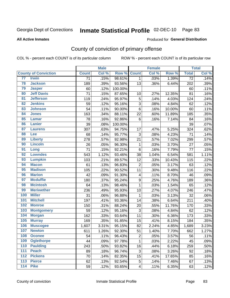# Inmate Statistical Profile 02-DEC-10 Page 83

#### **All Active Inmates**

### Produced for General Distribution

## County of conviction of primary offense

COL % - percent each COUNT is of its particular column

|                  |                             |                 | <b>Male</b> |         |                         | <b>Female</b> |        |                 | <b>Total</b> |
|------------------|-----------------------------|-----------------|-------------|---------|-------------------------|---------------|--------|-----------------|--------------|
|                  | <b>County of Conviction</b> | <b>Count</b>    | Col %       | Row %   | <b>Count</b>            | Col %         | Row %  | <b>Total</b>    | Col %        |
| 77               | <b>Irwin</b>                | $\overline{71}$ | .15%        | 98.61%  | $\mathbf{1}$            | .03%          | 1.39%  | $\overline{72}$ | .14%         |
| 78               | <b>Jackson</b>              | 189             | .39%        | 93.56%  | 13                      | .36%          | 6.44%  | 202             | .39%         |
| 79               | <b>Jasper</b>               | 60              | .12%        | 100.00% |                         |               |        | 60              | .11%         |
| 80               | <b>Jeff Davis</b>           | 71              | .15%        | 87.65%  | 10                      | .27%          | 12.35% | 81              | .16%         |
| 81               | <b>Jefferson</b>            | 119             | .24%        | 95.97%  | 5                       | .14%          | 4.03%  | 124             | .24%         |
| 82               | <b>Jenkins</b>              | 59              | .12%        | 95.16%  | 3                       | .08%          | 4.84%  | 62              | .12%         |
| 83               | <b>Johnson</b>              | 54              | .11%        | 90.00%  | 6                       | .16%          | 10.00% | 60              | .11%         |
| 84               | <b>Jones</b>                | 163             | .34%        | 88.11%  | 22                      | .60%          | 11.89% | 185             | .35%         |
| 85               | <b>Lamar</b>                | 78              | .16%        | 92.86%  | 6                       | .16%          | 7.14%  | 84              | .16%         |
| 86               | <b>Lanier</b>               | 39              | .08%        | 100.00% |                         |               |        | 39              | .07%         |
| 87               | <b>Laurens</b>              | 307             | .63%        | 94.75%  | 17                      | .47%          | 5.25%  | 324             | .62%         |
| 88               | Lee                         | 68              | .14%        | 95.77%  | 3                       | .08%          | 4.23%  | 71              | .14%         |
| 89               | <b>Liberty</b>              | 278             | .57%        | 92.98%  | 21                      | .57%          | 7.02%  | 299             | .57%         |
| 90               | <b>Lincoln</b>              | 26              | .05%        | 96.30%  | 1                       | .03%          | 3.70%  | 27              | .05%         |
| 91               | Long                        | 71              | .15%        | 92.21%  | 6                       | .16%          | 7.79%  | 77              | .15%         |
| 92               | <b>Lowndes</b>              | 543             | 1.12%       | 93.46%  | 38                      | 1.04%         | 6.54%  | 581             | 1.11%        |
| 93               | <b>Lumpkin</b>              | 103             | .21%        | 89.57%  | 12                      | .33%          | 10.43% | 115             | .22%         |
| 94               | <b>Macon</b>                | 61              | .13%        | 96.83%  | $\overline{2}$          | .05%          | 3.17%  | 63              | .12%         |
| 95               | <b>Madison</b>              | 105             | .22%        | 90.52%  | 11                      | .30%          | 9.48%  | 116             | .22%         |
| 96               | <b>Marion</b>               | 42              | .09%        | 91.30%  | $\overline{\mathbf{4}}$ | .11%          | 8.70%  | 46              | .09%         |
| 97               | <b>Mcduffie</b>             | 180             | .37%        | 95.24%  | $\boldsymbol{9}$        | .25%          | 4.76%  | 189             | .36%         |
| 98               | <b>Mcintosh</b>             | 64              | .13%        | 98.46%  | $\mathbf{1}$            | .03%          | 1.54%  | 65              | .12%         |
| 99               | <b>Meriwether</b>           | 236             | .49%        | 95.93%  | 10                      | .27%          | 4.07%  | 246             | .47%         |
| 100              | <b>Miller</b>               | 31              | .06%        | 96.88%  | 1                       | .03%          | 3.13%  | 32              | .06%         |
| 101              | <b>Mitchell</b>             | 197             | .41%        | 93.36%  | 14                      | .38%          | 6.64%  | 211             | .40%         |
| 102              | <b>Monroe</b>               | 150             | .31%        | 88.24%  | 20                      | .55%          | 11.76% | 170             | .33%         |
| 103              | <b>Montgomery</b>           | 59              | .12%        | 95.16%  | 3                       | .08%          | 4.84%  | 62              | .12%         |
| 104              | <b>Morgan</b>               | 162             | .33%        | 93.64%  | 11                      | .30%          | 6.36%  | 173             | .33%         |
| 105              | <b>Murray</b>               | 169             | .35%        | 91.85%  | 15                      | .41%          | 8.15%  | 184             | .35%         |
| 106              | <b>Muscogee</b>             | 1,607           | 3.31%       | 95.15%  | 82                      | 2.24%         | 4.85%  | 1,689           | 3.23%        |
| 107              | <b>Newton</b>               | 611             | 1.26%       | 92.30%  | 51                      | 1.40%         | 7.70%  | 662             | 1.27%        |
| 108              | <b>Oconee</b>               | 54              | .11%        | 96.43%  | $\overline{c}$          | .05%          | 3.57%  | 56              | .11%         |
| 109              | <b>Oglethorpe</b>           | 44              | .09%        | 97.78%  | $\mathbf{1}$            | .03%          | 2.22%  | 45              | .09%         |
| 110              | <b>Paulding</b>             | 243             | .50%        | 93.82%  | 16                      | .44%          | 6.18%  | 259             | .50%         |
| 111              | <b>Peach</b>                | 89              | .18%        | 96.74%  | 3                       | .08%          | 3.26%  | 92              | .18%         |
| 112              | <b>Pickens</b>              | 70              | .14%        | 82.35%  | 15                      | .41%          | 17.65% | 85              | .16%         |
| 113              | <b>Pierce</b>               | 62              | .13%        | 92.54%  | 5                       | .14%          | 7.46%  | 67              | .13%         |
| $\overline{114}$ | <b>Pike</b>                 | 59              | .12%        | 93.65%  | 4                       | .11%          | 6.35%  | 63              | .12%         |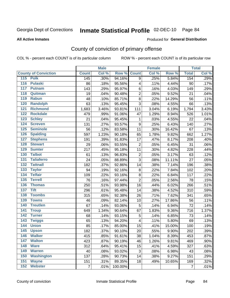# Inmate Statistical Profile 02-DEC-10 Page 84

#### **All Active Inmates**

#### Produced for General Distribution

## County of conviction of primary offense

COL % - percent each COUNT is of its particular column

|                                     |                | <b>Male</b> |           |                         | <b>Female</b> |        |                | <b>Total</b> |
|-------------------------------------|----------------|-------------|-----------|-------------------------|---------------|--------|----------------|--------------|
| <b>County of Conviction</b>         | <b>Count</b>   | Col %       | Row %     | <b>Count</b>            | Col %         | Row %  | <b>Total</b>   | Col %        |
| 115 Polk                            | 145            | .30%        | 94.16%    | 9                       | .25%          | 5.84%  | 154            | .29%         |
| $\overline{116}$<br><b>Pulaski</b>  | 86             | .18%        | 95.56%    | $\overline{\mathbf{4}}$ | .11%          | 4.44%  | 90             | .17%         |
| 117<br><b>Putnam</b>                | 143            | .29%        | 95.97%    | 6                       | .16%          | 4.03%  | 149            | .29%         |
| 118<br>Quitman                      | 19             | .04%        | 90.48%    | $\overline{c}$          | .05%          | 9.52%  | 21             | .04%         |
| 119<br><b>Rabun</b>                 | 48             | .10%        | 85.71%    | $\bf 8$                 | .22%          | 14.29% | 56             | .11%         |
| 120<br><b>Randolph</b>              | 63             | .13%        | 95.45%    | 3                       | .08%          | 4.55%  | 66             | .13%         |
| 121<br><b>Richmond</b>              | 1,683          | 3.46%       | 93.81%    | 111                     | 3.04%         | 6.19%  | 1,794          | 3.43%        |
| 122<br><b>Rockdale</b>              | 479            | .99%        | 91.06%    | 47                      | 1.29%         | 8.94%  | 526            | 1.01%        |
| 123<br><b>Schley</b>                | 21             | .04%        | 95.45%    | 1                       | .03%          | 4.55%  | 22             | .04%         |
| $\overline{124}$<br><b>Screven</b>  | 131            | .27%        | 93.57%    | $\boldsymbol{9}$        | .25%          | 6.43%  | 140            | .27%         |
| <b>Seminole</b><br>125              | 56             | .12%        | 83.58%    | 11                      | .30%          | 16.42% | 67             | .13%         |
| 126<br><b>Spalding</b>              | 597            | 1.23%       | 90.18%    | 65                      | 1.78%         | 9.82%  | 662            | 1.27%        |
| $\overline{127}$<br><b>Stephens</b> | 191            | .39%        | 91.83%    | 17                      | .47%          | 8.17%  | 208            | .40%         |
| 128<br><b>Stewart</b>               | 29             | .06%        | 93.55%    | $\overline{c}$          | .05%          | 6.45%  | 31             | .06%         |
| 129<br><b>Sumter</b>                | 217            | .45%        | 95.18%    | 11                      | .30%          | 4.82%  | 228            | .44%         |
| 130<br><b>Talbot</b>                | 61             | .13%        | 96.83%    | $\mathbf 2$             | .05%          | 3.17%  | 63             | .12%         |
| 131<br><b>Taliaferro</b>            | 24             | .05%        | 88.89%    | 3                       | .08%          | 11.11% | 27             | .05%         |
| 132<br><b>Tattnall</b>              | 182            | .37%        | 92.86%    | 14                      | .38%          | 7.14%  | 196            | .38%         |
| 133<br><b>Taylor</b>                | 94             | .19%        | 92.16%    | $\bf 8$                 | .22%          | 7.84%  | 102            | .20%         |
| <b>Telfair</b><br>134               | 109            | .22%        | 93.16%    | $\bf 8$                 | .22%          | 6.84%  | 117            | .22%         |
| 135<br><b>Terrell</b>               | 76             | .16%        | $97.44\%$ | $\overline{2}$          | .05%          | 2.56%  | 78             | .15%         |
| 136<br><b>Thomas</b>                | 250            | .51%        | 93.98%    | 16                      | .44%          | 6.02%  | 266            | .51%         |
| <b>Tift</b><br>137                  | 296            | .61%        | 95.48%    | 14                      | .38%          | 4.52%  | 310            | .59%         |
| <b>Toombs</b><br>138                | 315            | .65%        | 92.38%    | 26                      | .71%          | 7.62%  | 341            | .65%         |
| 139<br><b>Towns</b>                 | 46             | .09%        | 82.14%    | 10                      | .27%          | 17.86% | 56             | .11%         |
| <b>Treutlen</b><br>140              | 67             | .14%        | 93.06%    | 5                       | .14%          | 6.94%  | 72             | .14%         |
| 141<br><b>Troup</b>                 | 649            | 1.34%       | 90.64%    | 67                      | 1.83%         | 9.36%  | 716            | 1.37%        |
| 142<br><b>Turner</b>                | 68             | .14%        | 93.15%    | 5                       | .14%          | 6.85%  | 73             | .14%         |
| $\overline{143}$<br><b>Twiggs</b>   | 65             | .13%        | 94.20%    | $\overline{\mathbf{4}}$ | .11%          | 5.80%  | 69             | .13%         |
| 144<br><b>Union</b>                 | 85             | .17%        | 85.00%    | 15                      | .41%          | 15.00% | 100            | .19%         |
| 145<br><b>Upson</b>                 | 182            | .37%        | 90.10%    | 20                      | .55%          | 9.90%  | 202            | .39%         |
| 146<br><b>Walker</b>                | 415            | .85%        | 91.61%    | 38                      | 1.04%         | 8.39%  | 453            | .87%         |
| $\overline{147}$<br><b>Walton</b>   | 423            | .87%        | 90.19%    | 46                      | 1.26%         | 9.81%  | 469            | $.90\%$      |
| 148<br><b>Ware</b>                  | 312            | .64%        | 95.41%    | 15                      | .41%          | 4.59%  | 327            | .63%         |
| 149<br><b>Warren</b>                | 40             | .08%        | 93.02%    | 3                       | .08%          | 6.98%  | 43             | .08%         |
| <b>Washington</b><br>150            | 137            | .28%        | 90.73%    | 14                      | .38%          | 9.27%  | 151            | .29%         |
| 151<br><b>Wayne</b>                 | 151            | .31%        | 89.35%    | 18                      | .49%          | 10.65% | 169            | .32%         |
| <b>Webster</b><br>152               | $\overline{7}$ | .01%        | 100.00%   |                         |               |        | $\overline{7}$ | .01%         |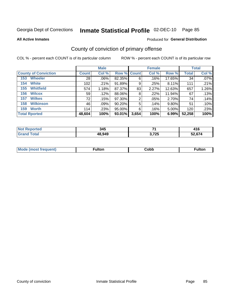# Inmate Statistical Profile 02-DEC-10 Page 85

**All Active Inmates** 

### Produced for General Distribution

## County of conviction of primary offense

COL % - percent each COUNT is of its particular column

|                             |              | <b>Male</b> |             |       | <b>Female</b> |        |              | <b>Total</b> |
|-----------------------------|--------------|-------------|-------------|-------|---------------|--------|--------------|--------------|
| <b>County of Conviction</b> | <b>Count</b> | Col %       | Row % Count |       | Col %         | Row %  | <b>Total</b> | Col %        |
| <b>Wheeler</b><br>153       | 28           | $.06\%$     | 82.35%      | 6     | .16%          | 17.65% | 34           | $.07\%$      |
| <b>White</b><br>154         | 102          | .21%        | 91.89%      | 9     | .25%          | 8.11%  | 111          | .21%         |
| <b>Whitfield</b><br>155     | 574          | 1.18%       | 87.37%      | 83    | 2.27%         | 12.63% | 657          | 1.26%        |
| <b>Wilcox</b><br>156        | 59           | .12%        | 88.06%      | 8     | $.22\%$       | 11.94% | 67           | .13%         |
| <b>Wilkes</b><br>157        | 72           | .15%        | 97.30%      | 2     | .05%          | 2.70%  | 74           | .14%         |
| <b>Wilkinson</b><br>158     | 46           | .09%        | $90.20\%$   | 5     | .14%          | 9.80%  | 51           | .10%         |
| <b>Worth</b><br>159         | 114          | .23%        | 95.00%      | 6     | .16%          | 5.00%  | 120          | .23%         |
| <b>Total Rported</b>        | 48,604       | 100%        | 93.01%      | 3,654 | 100%          | 6.99%  | 52,258       | 100%         |

| чтео<br>N | 345    | __              | $\overline{11}$<br>71 V |
|-----------|--------|-----------------|-------------------------|
| otal      | 48,949 | 2.725<br>,,, zj | <b>FO 071</b><br>.674   |

| <b>Mode</b><br>---<br>luent)<br>nost tren | ™ulton | ;obb | Fulto |
|-------------------------------------------|--------|------|-------|
|                                           |        |      |       |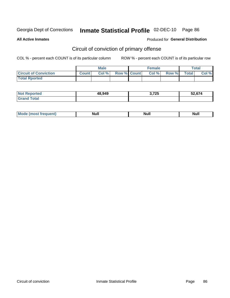## Inmate Statistical Profile 02-DEC-10 Page 86

**All Active Inmates** 

### **Produced for General Distribution**

## Circuit of conviction of primary offense

COL % - percent each COUNT is of its particular column

|                              | <b>Male</b>  |       |                    | <b>Female</b> |       |       | <b>Total</b> |       |
|------------------------------|--------------|-------|--------------------|---------------|-------|-------|--------------|-------|
| <b>Circuit of Conviction</b> | <b>Count</b> | Col % | <b>Row % Count</b> |               | Col % | Row % | <b>Total</b> | Col % |
| <b>Total Rported</b>         |              |       |                    |               |       |       |              |       |

| <b>Not Reported</b>    | 48,949 | 3,725 | 52,674 |
|------------------------|--------|-------|--------|
| <b>Total</b><br>. Gran |        |       |        |

| <b>Mode</b><br><b>Most frequent)</b> ( | <b>Null</b> | <b>Null</b> | Nul. |
|----------------------------------------|-------------|-------------|------|
|----------------------------------------|-------------|-------------|------|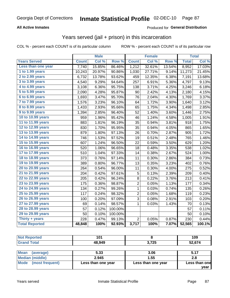# Inmate Statistical Profile 02-DEC-10 Page 87

### **All Active Inmates**

### Produced for General Distribution

### Years served (jail + prison) in this incarceration

COL % - percent each COUNT is of its particular column

|                              |              | <b>Male</b> |                  |                         | <b>Female</b> |        |              | <b>Total</b> |
|------------------------------|--------------|-------------|------------------|-------------------------|---------------|--------|--------------|--------------|
| <b>Years Served</b>          | <b>Count</b> | Col %       | Row <sup>%</sup> | <b>Count</b>            | Col %         | Row %  | <b>Total</b> | Col %        |
| Less than one year           | 7,740        | 15.85%      | 86.46%           | 1,212                   | 32.61%        | 13.54% | 8,952        | 17.03%       |
| 1 to 1.99 years              | 10,243       | 20.97%      | 90.86%           | 1,030                   | 27.71%        | 9.14%  | 11,273       | 21.45%       |
| $2$ to 2.99 years            | 6,732        | 13.78%      | 93.62%           | 459                     | 12.35%        | 6.38%  | 7,191        | 13.68%       |
| $3$ to $3.99$ years          | 4,540        | 9.29%       | 94.64%           | 257                     | 6.91%         | 5.36%  | 4,797        | 9.13%        |
| $\overline{4}$ to 4.99 years | 3,108        | 6.36%       | 95.75%           | 138                     | 3.71%         | 4.25%  | 3,246        | 6.18%        |
| 5 to 5.99 years              | 2,090        | 4.28%       | 95.87%           | 90                      | 2.42%         | 4.13%  | 2,180        | 4.15%        |
| 6 to 6.99 years              | 1,693        | 3.47%       | 95.70%           | 76                      | 2.04%         | 4.30%  | 1,769        | 3.37%        |
| 7 to 7.99 years              | 1,576        | 3.23%       | 96.10%           | 64                      | 1.72%         | 3.90%  | 1,640        | 3.12%        |
| <b>8 to 8.99 years</b>       | 1,433        | 2.93%       | 95.66%           | 65                      | 1.75%         | 4.34%  | 1,498        | 2.85%        |
| 9 to 9.99 years              | 1,394        | 2.85%       | 96.40%           | 52                      | 1.40%         | 3.60%  | 1,446        | 2.75%        |
| 10 to 10.99 years            | 959          | 1.96%       | 95.42%           | 46                      | 1.24%         | 4.58%  | 1,005        | 1.91%        |
| 11 to 11.99 years            | 883          | 1.81%       | 96.19%           | 35                      | 0.94%         | 3.81%  | 918          | 1.75%        |
| 12 to 12.99 years            | 830          | 1.70%       | 95.95%           | 35                      | 0.94%         | 4.05%  | 865          | 1.65%        |
| 13 to 13.99 years            | 879          | 1.80%       | 97.13%           | 26                      | 0.70%         | 2.87%  | 905          | 1.72%        |
| 14 to 14.99 years            | 746          | 1.53%       | 97.52%           | 19                      | 0.51%         | 2.48%  | 765          | 1.46%        |
| 15 to 15.99 years            | 607          | 1.24%       | 96.50%           | 22                      | 0.59%         | 3.50%  | 629          | 1.20%        |
| 16 to 16.99 years            | 520          | 1.06%       | 96.65%           | 18                      | 0.48%         | 3.35%  | 538          | 1.02%        |
| 17 to 17.99 years            | 510          | 1.04%       | 97.33%           | 14                      | 0.38%         | 2.67%  | 524          | 1.00%        |
| 18 to 18.99 years            | 373          | 0.76%       | 97.14%           | 11                      | 0.30%         | 2.86%  | 384          | 0.73%        |
| 19 to 19.99 years            | 389          | 0.80%       | 96.77%           | 13                      | 0.35%         | 3.23%  | 402          | 0.76%        |
| 20 to 20.99 years            | 264          | 0.54%       | 96.00%           | 11                      | 0.30%         | 4.00%  | 275          | 0.52%        |
| 21 to 21.99 years            | 204          | 0.42%       | 97.61%           | 5                       | 0.13%         | 2.39%  | 209          | 0.40%        |
| 22 to 22.99 years            | 205          | 0.42%       | 96.24%           | $\,8\,$                 | 0.22%         | 3.76%  | 213          | 0.41%        |
| 23 to 23.99 years            | 175          | 0.36%       | 98.87%           | $\overline{2}$          | 0.05%         | 1.13%  | 177          | 0.34%        |
| 24 to 24.99 years            | 134          | 0.27%       | 99.26%           | 1                       | 0.03%         | 0.74%  | 135          | 0.26%        |
| 25 to 25.99 years            | 117          | 0.24%       | 98.32%           | $\overline{\mathbf{c}}$ | 0.05%         | 1.68%  | 119          | 0.23%        |
| 26 to 26.99 years            | 100          | 0.20%       | 97.09%           | 3                       | 0.08%         | 2.91%  | 103          | 0.20%        |
| 27 to 27.99 years            | 69           | 0.14%       | 98.57%           | 1                       | 0.03%         | 1.43%  | 70           | 0.13%        |
| 28 to 28.99 years            | 57           | 0.12%       | 100.00%          |                         |               |        | 57           | 0.11%        |
| 29 to 29.99 years            | 50           | 0.10%       | 100.00%          |                         |               |        | 50           | 0.10%        |
| Thirty + years               | 228          | 0.47%       | 99.13%           | $\overline{2}$          | 0.05%         | 0.87%  | 230          | 0.44%        |
| <b>Total Reported</b>        | 48,848       | 100%        | 92.93%           | 3,717                   | 100%          | 7.07%  | 52,565       | 100.1%       |

| <b>Not</b><br>Reported | 101    |       | 109        |
|------------------------|--------|-------|------------|
| <b>Total</b><br>Grand  | 48,949 | 3,725 | .674<br>гΛ |
|                        |        |       |            |

| Mean<br>(average)    | 5.33               | 3.06               | 5.17          |
|----------------------|--------------------|--------------------|---------------|
| Median (middle)      | 2.945              | 1.55               | 2.8           |
| Mode (most frequent) | Less than one year | Less than one year | Less than one |
|                      |                    |                    | vear          |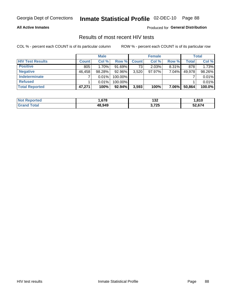## Inmate Statistical Profile 02-DEC-10 Page 88

### **All Active Inmates**

Produced for General Distribution

### Results of most recent HIV tests

COL % - percent each COUNT is of its particular column

|                         |              | <b>Male</b> |           |              | <b>Female</b> |          |              | <b>Total</b> |
|-------------------------|--------------|-------------|-----------|--------------|---------------|----------|--------------|--------------|
| <b>HIV Test Results</b> | <b>Count</b> | Col %       | Row %I    | <b>Count</b> | Col %         | Row %    | <b>Total</b> | Col %        |
| <b>Positive</b>         | 805          | 1.70%       | $91.69\%$ | 73           | 2.03%         | 8.31%    | 878          | 1.73%        |
| <b>Negative</b>         | 46,458       | 98.28%      | 92.96%    | 3,520        | $97.97\%$     | $7.04\%$ | 49,978       | 98.26%       |
| Indeterminate           |              | 0.01%       | 100.00%   |              |               |          |              | 0.01%        |
| <b>Refused</b>          |              | 0.01%       | 100.00%   |              |               |          |              | 0.01%        |
| <b>Total Reported</b>   | 47,271       | 100%        | $92.94\%$ | 3,593        | 100%          | 7.06%    | 50,864       | 100.0%       |

| <b>Not Reported</b> | . 678، | ימו<br>ے د ا | 810, ا |
|---------------------|--------|--------------|--------|
| <b>Grand Total</b>  | 48.949 | 3,725        | 52.674 |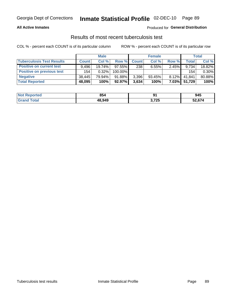## Inmate Statistical Profile 02-DEC-10 Page 89

### **All Active Inmates**

### Produced for General Distribution

### Results of most recent tuberculosis test

COL % - percent each COUNT is of its particular column

|                                  | <b>Male</b>  |        |         | <b>Female</b> |           |          | Total        |        |
|----------------------------------|--------------|--------|---------|---------------|-----------|----------|--------------|--------|
| <b>Tuberculosis Test Results</b> | <b>Count</b> | Col%   | Row %I  | <b>Count</b>  | Col%      | Row %    | <b>Total</b> | Col %  |
| <b>Positive on current test</b>  | 9.496        | 19.74% | 97.55%  | 238           | 6.55%     | 2.45%    | 9,734        | 18.82% |
| <b>Positive on previous test</b> | 154          | 0.32%  | 100.00% |               |           |          | 154          | 0.30%  |
| <b>Negative</b>                  | 38,445       | 79.94% | 91.88%  | 3,396         | $93.45\%$ | $8.12\%$ | 41,841       | 80.88% |
| <b>Total Reported</b>            | 48,095       | 100%   | 92.97%  | 3,634         | 100%      | $7.03\%$ | 51,729       | 100%   |

| <b>Not Reported</b> | 854    | ъ.    | 945    |
|---------------------|--------|-------|--------|
| <b>Grand Total</b>  | 48,949 | 3,725 | 52,674 |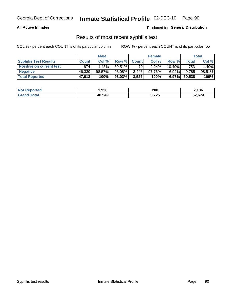## Georgia Dept of Corrections **Inmate Statistical Profile** 02-DEC-10 Page 90

### **All Active Inmates**

Produced for **General Distribution**

### Results of most recent syphilis test

COL % - percent each COUNT is of its particular column ROW % - percent each COUNT is of its particular row

|                                 |              | <b>Male</b> |           |              | <b>Female</b> |           |        | Total  |
|---------------------------------|--------------|-------------|-----------|--------------|---------------|-----------|--------|--------|
| <b>Syphilis Test Results</b>    | <b>Count</b> | Col%        | Row %     | <b>Count</b> | Col %         | Row %     | Total  | Col %  |
| <b>Positive on current test</b> | 674          | 1.43%       | $89.51\%$ | 791          | $2.24\%$      | $10.49\%$ | 753    | 1.49%  |
| <b>Negative</b>                 | 46.339       | 98.57%      | 93.08%    | 3,446        | $97.76\%$     | $6.92\%$  | 49,785 | 98.51% |
| <b>Total Reported</b>           | 47,013       | 100%        | $93.03\%$ | 3,525        | 100%          | 6.97%     | 50,538 | 100%   |

| <b>Not Reported</b> | .936   | 200   | 2,136  |
|---------------------|--------|-------|--------|
| <b>Grand Total</b>  | 48,949 | 3,725 | 52,674 |